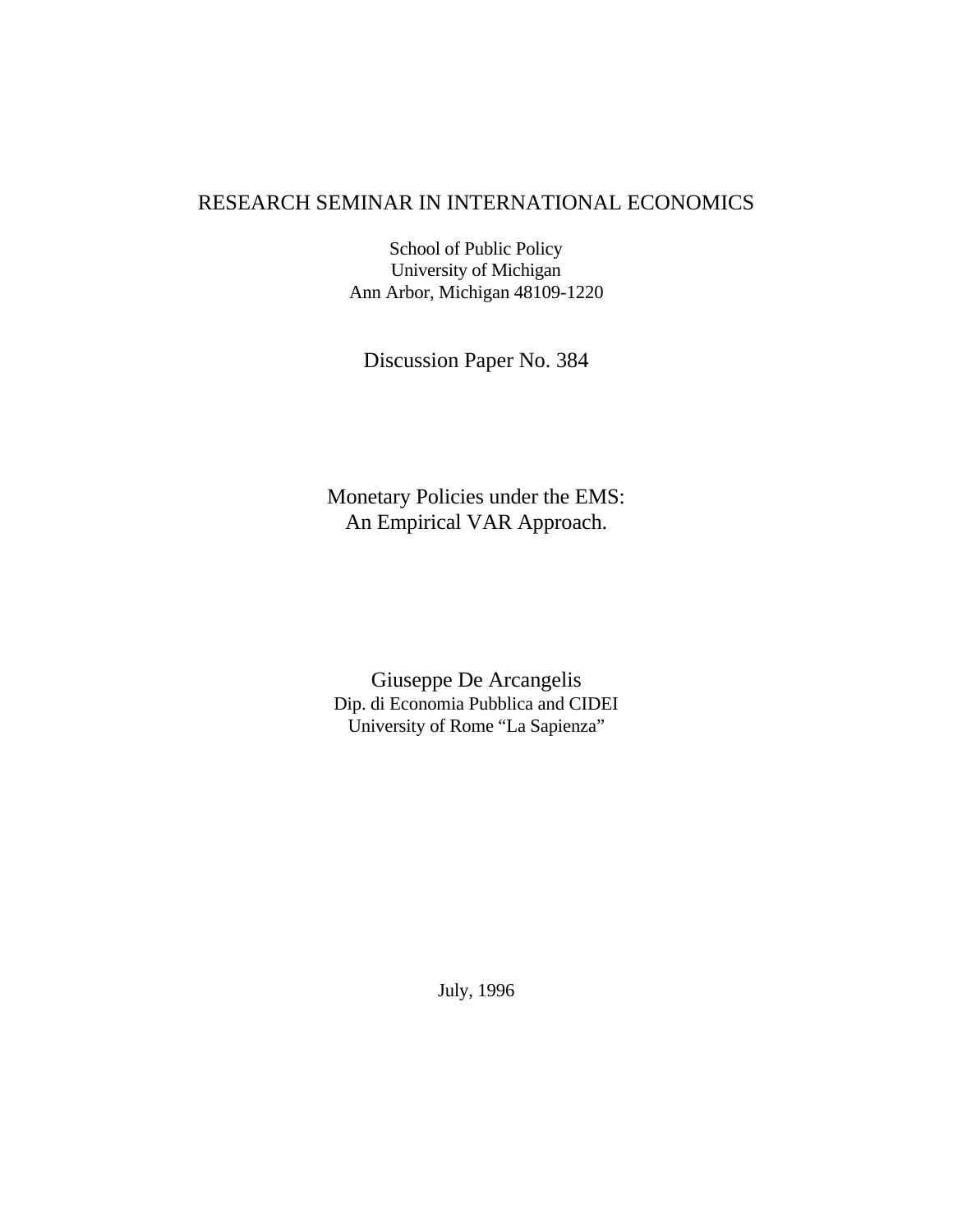### RESEARCH SEMINAR IN INTERNATIONAL ECONOMICS

School of Public Policy University of Michigan Ann Arbor, Michigan 48109-1220

Discussion Paper No. 384

Monetary Policies under the EMS: An Empirical VAR Approach.

Giuseppe De Arcangelis Dip. di Economia Pubblica and CIDEI University of Rome "La Sapienza"

July, 1996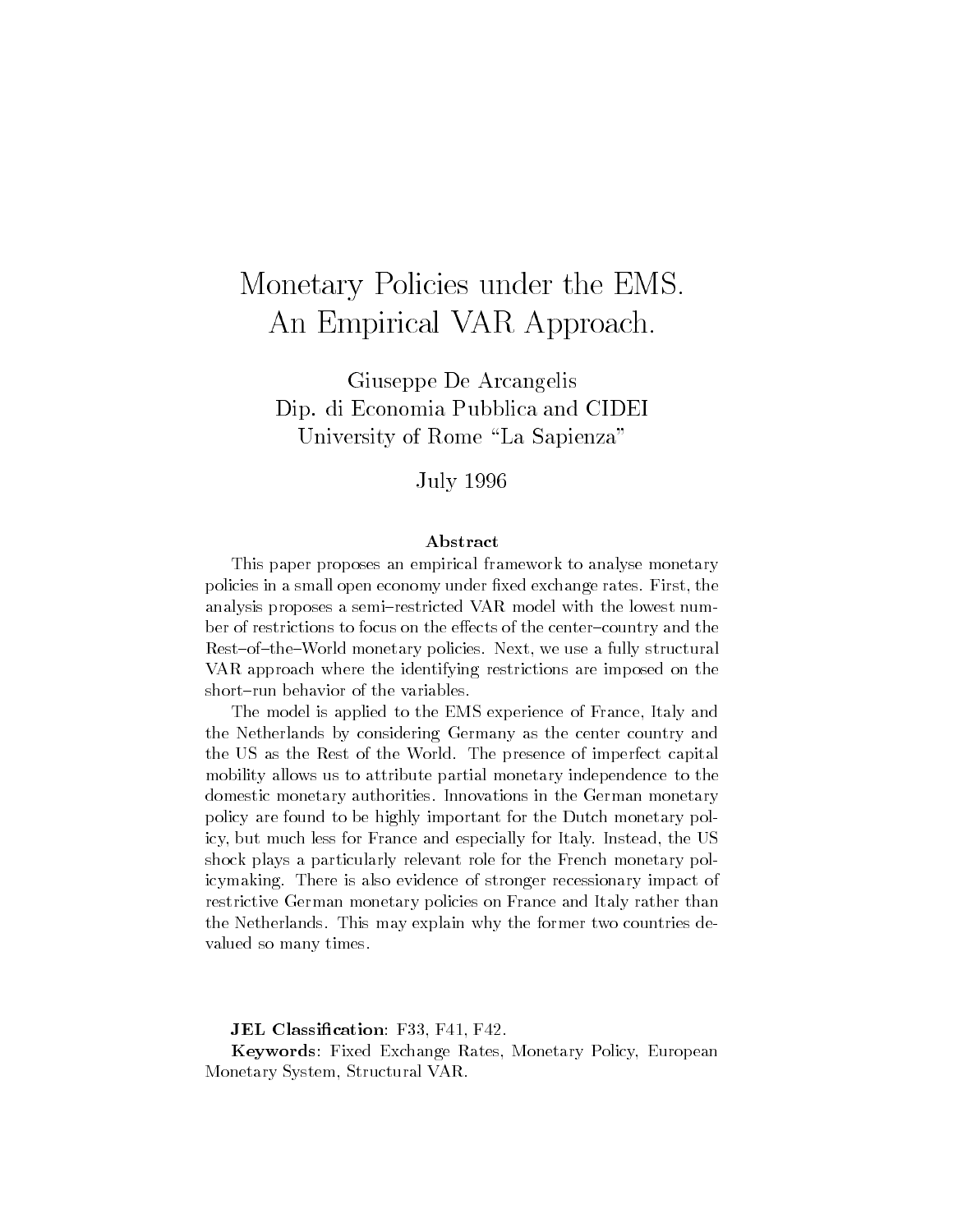# Monetary Policies under the EMS. An Empirical VAR Approach.

Giuseppe De Arcangelis Dip. di Economia Pubblica and CIDEI University of Rome "La Sapienza"

July 1996

### Abstract

This paper proposes an empirical framework to analyse monetary policies in a small open economy under fixed exchange rates. First, the analysis proposes a semi-restricted VAR model with the lowest number of restrictions to focus on the effects of the center-country and the Rest-of-the-World monetary policies. Next, we use a fully structural VAR approach where the identifying restrictions are imposed on the short-run behavior of the variables.

The model is applied to the EMS experience of France, Italy and the Netherlands by considering Germany as the center country and the US as the Rest of the World. The presence of imperfect capital mobility allows us to attribute partial monetary independence to the domestic monetary authorities. Innovations in the German monetary policy are found to be highly important for the Dutch monetary policy, but much less for France and especially for Italy. Instead, the US shock plays a particularly relevant role for the French monetary policymaking. There is also evidence of stronger recessionary impact of restrictive German monetary policies on France and Italy rather than the Netherlands. This may explain why the former two countries devalued so many times.

JEL Classification: F33, F41, F42.

Keywords: Fixed Exchange Rates, Monetary Policy, European Monetary System, Structural VAR.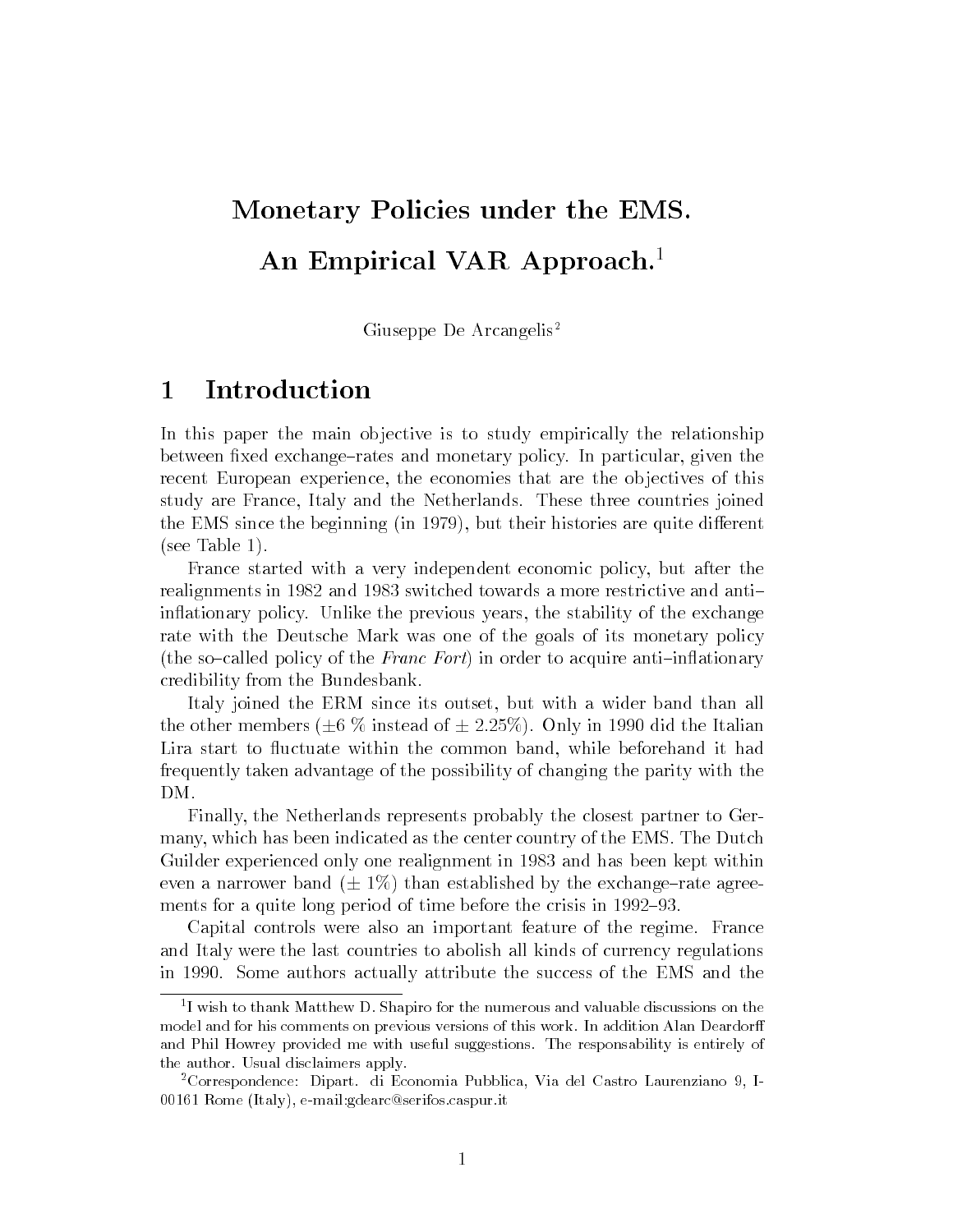# Monetary Policies under the EMS. An Empirical VAR Approach.<sup>1</sup>

Giuseppe De Arcangelis<sup>2</sup>

#### **Introduction**  $\mathbf{1}$

In this paper the main objective is to study empirically the relationship between fixed exchange-rates and monetary policy. In particular, given the recent European experience, the economies that are the objectives of this study are France, Italy and the Netherlands. These three countries joined the EMS since the beginning (in  $1979$ ), but their histories are quite different (see Table 1).

France started with a very independent economic policy, but after the realignments in 1982 and 1983 switched towards a more restrictive and antiin
ationary policy. Unlike the previous years, the stability of the exchange rate with the Deutsche Mark was one of the goals of its monetary policy (the so-called policy of the Franc Fort) in order to acquire anti-inflationary credibility from the Bundesbank.

Italy joined the ERM since its outset, but with a wider band than all the other members ( $\pm 6$  % instead of  $\pm 2.25$ %). Only in 1990 did the Italian Lira start to fluctuate within the common band, while beforehand it had frequently taken advantage of the possibility of changing the parity with the

Finally, the Netherlands represents probably the closest partner to Germany, which has been indicated as the center country of the EMS. The Dutch Guilder experienced only one realignment in 1983 and has been kept within even a narrower band  $(\pm 1\%)$  than established by the exchange-rate agreements for a quite long period of time before the crisis in 1992–93.

Capital controls were also an important feature of the regime. France and Italy were the last countries to abolish all kinds of currency regulations in 1990. Some authors actually attribute the success of the EMS and the

<sup>1</sup> I wish to thank Matthew D. Shapiro for the numerous and valuable discussions on the model and for his comments on previous versions of this work. In addition Alan Deardor and Phil Howrey provided me with useful suggestions. The responsability is entirely of the author. Usual disclaimers apply.

<sup>2</sup>Correspondence: Dipart. di Economia Pubblica, Via del Castro Laurenziano 9, I-00161 Rome (Italy), e-mail:gdearc@serifos.caspur.it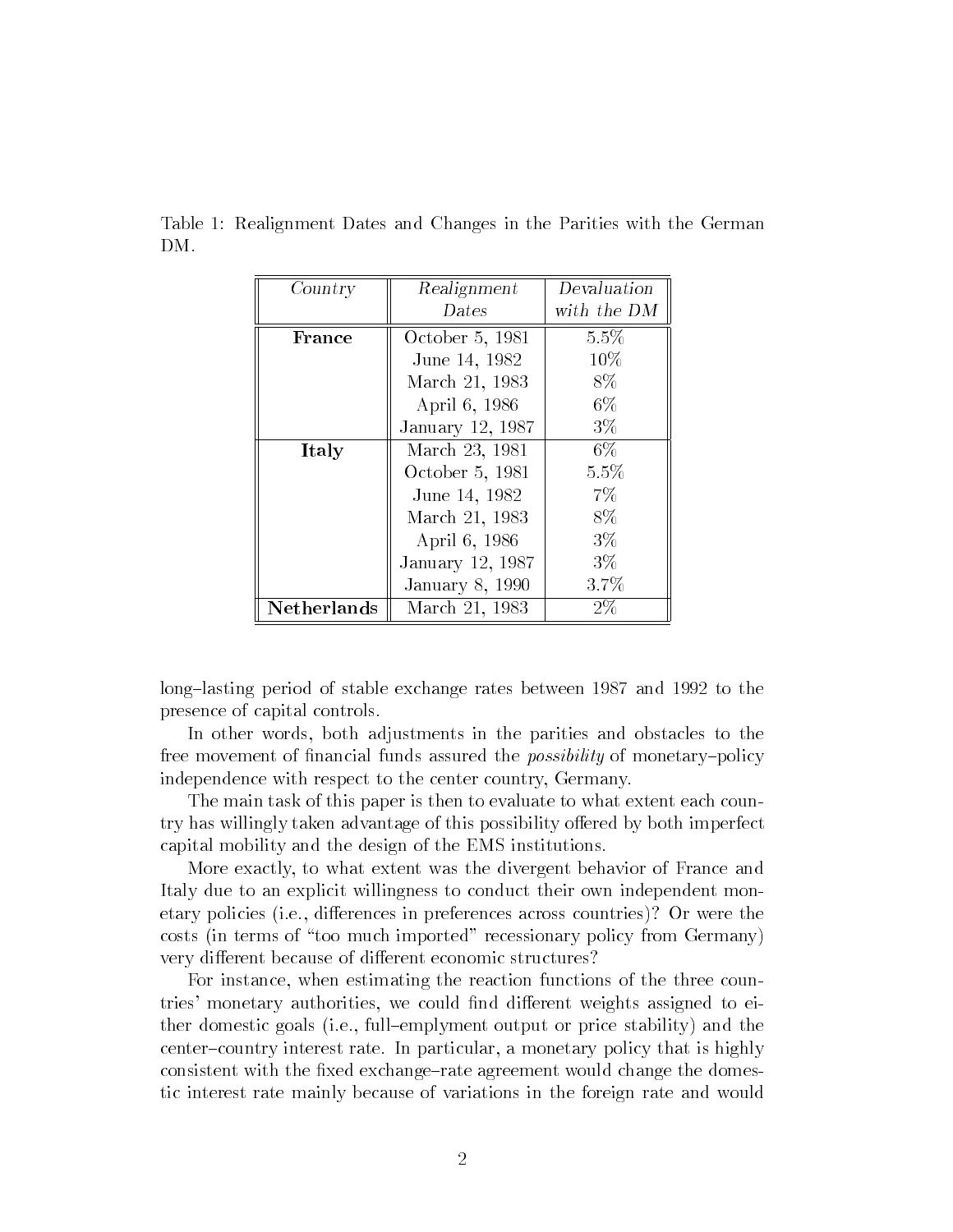| Country            | Realignment       | Devaluation |  |
|--------------------|-------------------|-------------|--|
|                    | $_{\text{Dates}}$ | with the DM |  |
| France             | October 5, 1981   | 5.5%        |  |
|                    | June 14, 1982     | $10\%$      |  |
|                    | March 21, 1983    | 8\%         |  |
|                    | April 6, 1986     | $6\%$       |  |
|                    | January 12, 1987  | $3\%$       |  |
| Italy              | March 23, 1981    | 6%          |  |
|                    | October 5, 1981   | 5.5%        |  |
|                    | June 14, 1982     | 7%          |  |
|                    | March 21, 1983    | 8%          |  |
|                    | April 6, 1986     | $3\%$       |  |
|                    | January 12, 1987  | $3\%$       |  |
|                    | January 8, 1990   | 3.7%        |  |
| <b>Netherlands</b> | March 21, 1983    | $2\%$       |  |

Table 1: Realignment Dates and Changes in the Parities with the German DM.

long-lasting period of stable exchange rates between 1987 and 1992 to the presence of capital controls.

In other words, both adjustments in the parities and obstacles to the free movement of financial funds assured the *possibility* of monetary-policy independence with respect to the center country, Germany.

The main task of this paper is then to evaluate to what extent each country has willingly taken advantage of this possibility offered by both imperfect capital mobility and the design of the EMS institutions.

More exactly, to what extent was the divergent behavior of France and Italy due to an explicit willingness to conduct their own independent monetary policies (i.e., differences in preferences across countries)? Or were the costs (in terms of \too much imported" recessionary policy from Germany) very different because of different economic structures?

For instance, when estimating the reaction functions of the three countries' monetary authorities, we could find different weights assigned to either domestic goals (i.e., full{emplyment output or price stability) and the center-country interest rate. In particular, a monetary policy that is highly consistent with the fixed exchange-rate agreement would change the domestic interest rate mainly because of variations in the foreign rate and would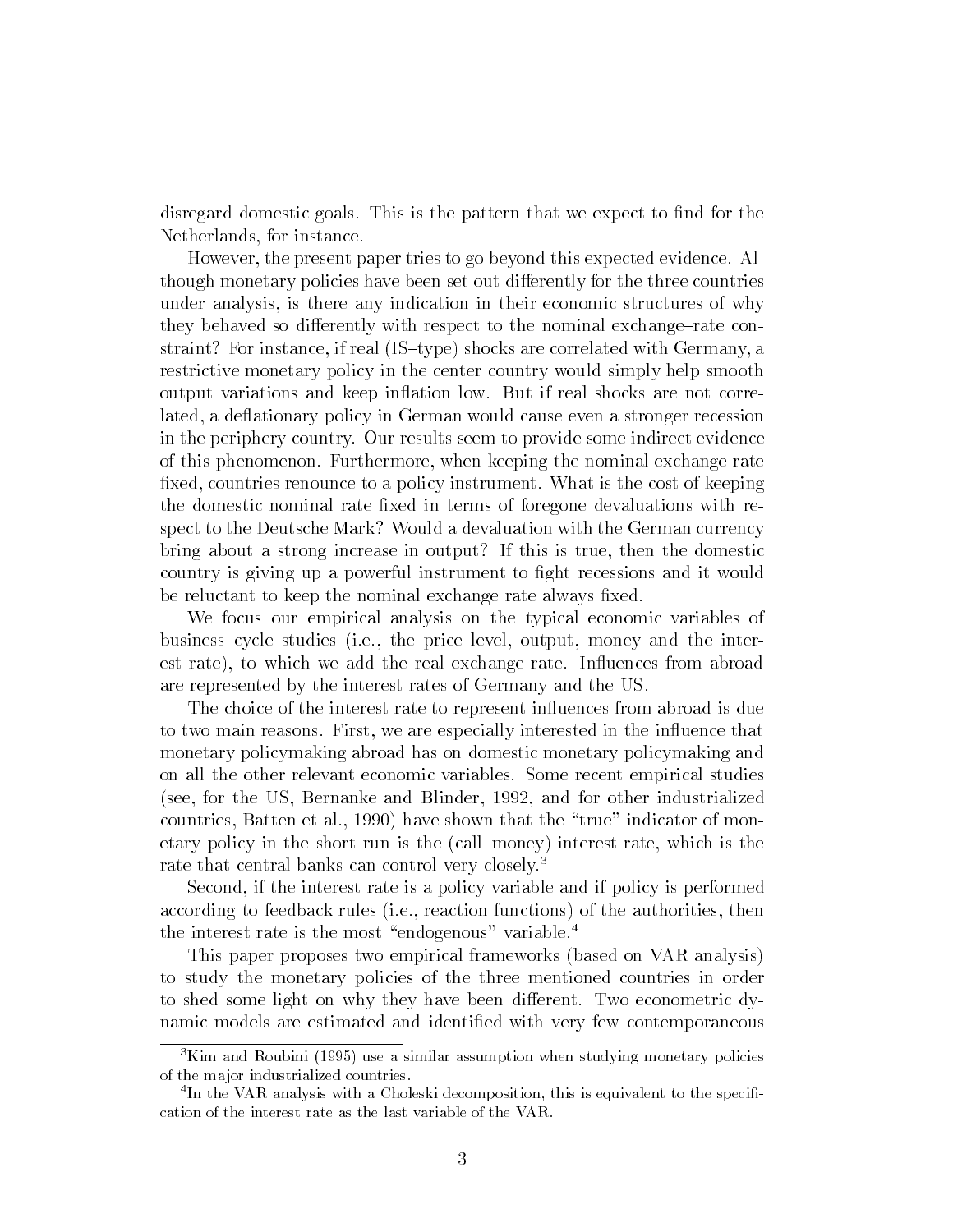disregard domestic goals. This is the pattern that we expect to find for the Netherlands, for instance.

However, the present paper tries to go beyond this expected evidence. Although monetary policies have been set out differently for the three countries under analysis, is there any indication in their economic structures of why they behaved so differently with respect to the nominal exchange-rate constraint? For instance, if real  $(IS-type)$  shocks are correlated with Germany, a restrictive monetary policy in the center country would simply help smooth output variations and keep inflation low. But if real shocks are not correlated, a deflationary policy in German would cause even a stronger recession in the periphery country. Our results seem to provide some indirect evidence of this phenomenon. Furthermore, when keeping the nominal exchange rate fixed, countries renounce to a policy instrument. What is the cost of keeping the domestic nominal rate fixed in terms of foregone devaluations with respect to the Deutsche Mark? Would a devaluation with the German currency bring about a strong increase in output? If this is true, then the domestic country is giving up a powerful instrument to fight recessions and it would be reluctant to keep the nominal exchange rate always fixed.

We focus our empirical analysis on the typical economic variables of business-cycle studies (i.e., the price level, output, money and the interest rate), to which we add the real exchange rate. Influences from abroad are represented by the interest rates of Germany and the US.

The choice of the interest rate to represent influences from abroad is due to two main reasons. First, we are especially interested in the influence that monetary policymaking abroad has on domestic monetary policymaking and on all the other relevant economic variables. Some recent empirical studies (see, for the US, Bernanke and Blinder, 1992, and for other industrialized countries, Batten et al., 1990) have shown that the "true" indicator of monetary policy in the short run is the (call{money) interest rate, which is the rate that central banks can control very closely.<sup>3</sup>

Second, if the interest rate is a policy variable and if policy is performed according to feedback rules (i.e., reaction functions) of the authorities, then the interest rate is the most "endogenous" variable.<sup>4</sup>

This paper proposes two empirical frameworks (based on VAR analysis) to study the monetary policies of the three mentioned countries in order to shed some light on why they have been different. Two econometric dynamic models are estimated and identified with very few contemporaneous

<sup>&</sup>lt;sup>3</sup>Kim and Roubini (1995) use a similar assumption when studying monetary policies of the major industrialized countries.

In the VAR analysis with a Unoleski decomposition, this is equivalent to the specifi-  $\,$ cation of the interest rate as the last variable of the VAR.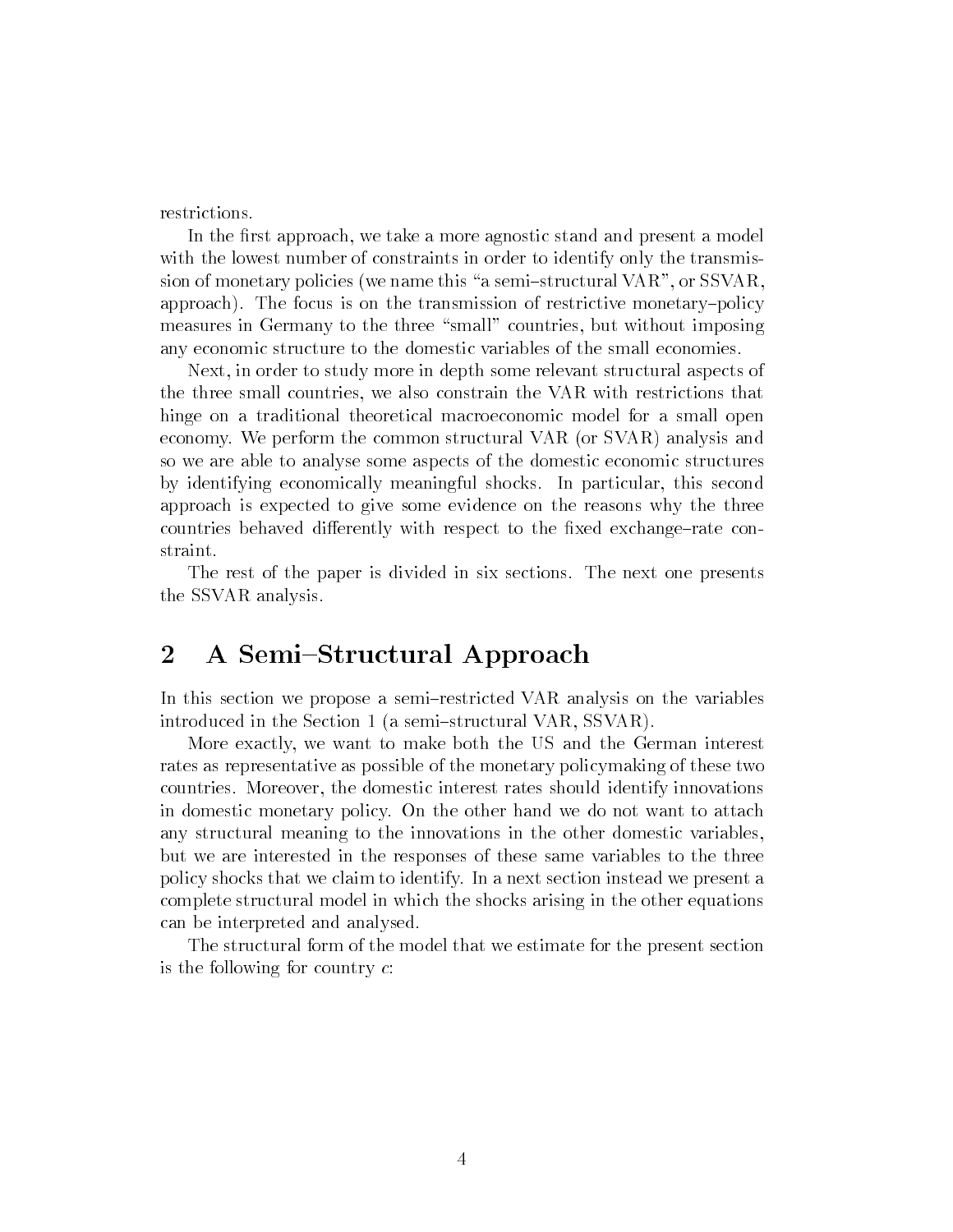In the first approach, we take a more agnostic stand and present a model with the lowest number of constraints in order to identify only the transmission of monetary policies (we name this "a semi-structural VAR", or SSVAR, approach). The focus is on the transmission of restrictive monetary-policy measures in Germany to the three "small" countries, but without imposing any economic structure to the domestic variables of the small economies.

Next, in order to study more in depth some relevant structural aspects of the three small countries, we also constrain the VAR with restrictions that hinge on a traditional theoretical macroeconomic model for a small open economy. We perform the common structural VAR (or SVAR) analysis and so we are able to analyse some aspects of the domestic economic structures by identifying economically meaningful shocks. In particular, this second approach is expected to give some evidence on the reasons why the three countries behaved differently with respect to the fixed exchange-rate constraint.

The rest of the paper is divided in six sections. The next one presents the SSVAR analysis.

# 2 A Semi-Structural Approach

In this section we propose a semi-restricted VAR analysis on the variables introduced in the Section 1 (a semi-structural VAR, SSVAR).

More exactly, we want to make both the US and the German interest rates as representative as possible of the monetary policymaking of these two countries. Moreover, the domestic interest rates should identify innovations in domestic monetary policy. On the other hand we do not want to attach any structural meaning to the innovations in the other domestic variables, but we are interested in the responses of these same variables to the three policy shocks that we claim to identify. In a next section instead we present a complete structural model in which the shocks arising in the other equations can be interpreted and analysed.

The structural form of the model that we estimate for the present section is the following for country  $c$ :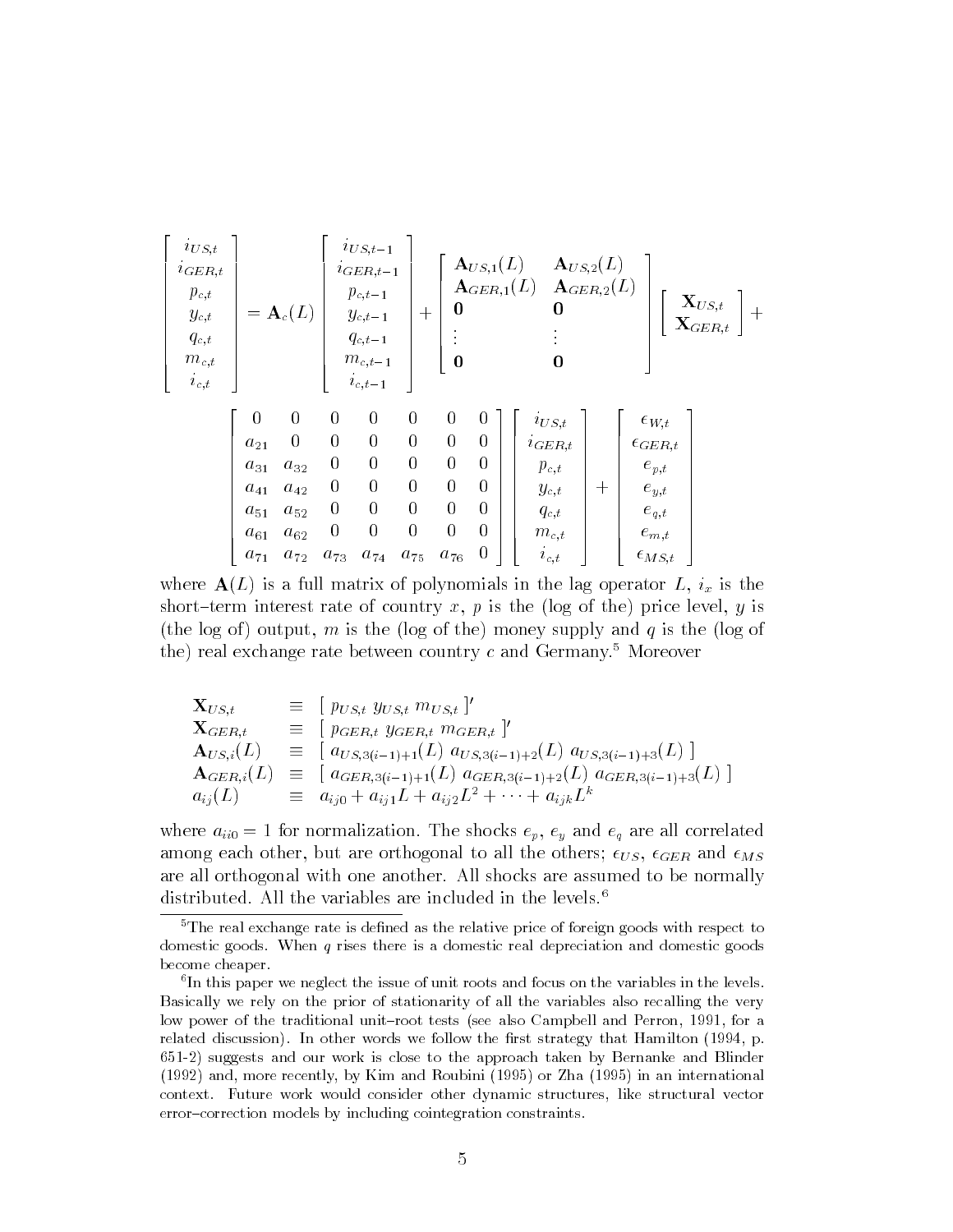| $i_{US,t}$<br>$i_{GER,t}$<br>$p_{c,t}$<br>$y_{c,t}$<br>$q_{c,t}$<br>$m_{c,t}$<br>$i_{c,t}$ |              | $= \mathbf{A}_c(L)$ |                  | $i_{US,t-1}$<br>$i_{GER, t-1}$<br>$p_{c,t-1}$<br>$y_{c,t-1}$<br>$q_{c,t-1}$<br>$m_{c,t-1}$<br>$i_{c,t-1}$ | $+$              | 0<br>0           |                  | ${\bf A}_{US,1}(L) = {\bf A}_{US,2}(L)$<br>$\mathbf{A}_{GER,1}(L)$ $\mathbf{A}_{GER,2}(L)$<br>0<br>0 |       |                    | $\mathbf{X}_{US,t} \ \mathbf{X}_{GER,t}$<br>$\vert +$ |
|--------------------------------------------------------------------------------------------|--------------|---------------------|------------------|-----------------------------------------------------------------------------------------------------------|------------------|------------------|------------------|------------------------------------------------------------------------------------------------------|-------|--------------------|-------------------------------------------------------|
|                                                                                            | $\theta$     | $\boldsymbol{0}$    | $\boldsymbol{0}$ | $\boldsymbol{0}$                                                                                          | $\boldsymbol{0}$ | $\boldsymbol{0}$ | $\bf{0}$         | $i_{US,t}$                                                                                           |       | $\epsilon_{W,t}$   |                                                       |
|                                                                                            | $a_{21}$     | $\overline{0}$      | $\boldsymbol{0}$ | $\boldsymbol{0}$                                                                                          | $\boldsymbol{0}$ | $\boldsymbol{0}$ | $\overline{0}$   | $i_{GER,t}$                                                                                          |       | $\epsilon_{GER,t}$ |                                                       |
|                                                                                            | $a_{31}$     | $a_{32}$            | $\boldsymbol{0}$ | $\boldsymbol{0}$                                                                                          | $\boldsymbol{0}$ | $\boldsymbol{0}$ | $\overline{0}$   | $p_{c,t}$                                                                                            |       | $e_{p,t}$          |                                                       |
|                                                                                            | $a_{41}$     | $a_{\,42}$          | $\boldsymbol{0}$ | $\boldsymbol{0}$                                                                                          | $\boldsymbol{0}$ | $\boldsymbol{0}$ | $\overline{0}$   | $y_{c,t}$                                                                                            | $\pm$ | $e_{y,t}$          |                                                       |
|                                                                                            | $a_{51}$     | $a_{52}$            | $\boldsymbol{0}$ | $\boldsymbol{0}$                                                                                          | $\boldsymbol{0}$ | $\boldsymbol{0}$ | $\overline{0}$   | $q_{c,t}$                                                                                            |       | $e_{q,t}$          |                                                       |
|                                                                                            | $a_{61}$     | $a_{62}$            | $\boldsymbol{0}$ | $\boldsymbol{0}$                                                                                          | $\boldsymbol{0}$ | $\boldsymbol{0}$ | $\overline{0}$   | $m_{c,t}$                                                                                            |       | $e_{m,t}$          |                                                       |
|                                                                                            | $a_{\,7\,1}$ | $a_{\,72}$          | $a_{73}$         | $a_{74}$                                                                                                  | $a_{\,75}$       | $a_{\rm 76}$     | $\boldsymbol{0}$ | $i_{c,t}$                                                                                            |       | $\epsilon_{MS,t}$  |                                                       |

where  $\mathbf{A}(L)$  is a full matrix of polynomials in the lag operator L,  $i_x$  is the short-term interest rate of country x, p is the (log of the) price level, y is (the log of) output, m is the (log of the) money supply and q is the (log of the) real exchange rate between country  $c$  and Germany.<sup>5</sup> Moreover

$$
\mathbf{X}_{US,t} \equiv [\n\mathbf{p}_{US,t} \mathbf{y}_{US,t} \mathbf{m}_{US,t}]'
$$
\n
$$
\mathbf{X}_{GER,t} \equiv [\n\mathbf{p}_{GER,t} \mathbf{y}_{GER,t} \mathbf{m}_{GER,t}]'
$$
\n
$$
\mathbf{A}_{US,i}(L) \equiv [\n\mathbf{a}_{US,3(i-1)+1}(L) \mathbf{a}_{US,3(i-1)+2}(L) \mathbf{a}_{US,3(i-1)+3}(L) ]
$$
\n
$$
\mathbf{A}_{GER,i}(L) \equiv [\n\mathbf{a}_{GER,3(i-1)+1}(L) \mathbf{a}_{GER,3(i-1)+2}(L) \mathbf{a}_{GER,3(i-1)+3}(L) ]
$$
\n
$$
\mathbf{a}_{ij}(L) \equiv \mathbf{a}_{ij0} + \mathbf{a}_{ij1}L + \mathbf{a}_{ij2}L^2 + \cdots + \mathbf{a}_{ijk}L^k
$$

where  $a_{ii0} = 1$  for normalization. The shocks  $e_p$ ,  $e_y$  and  $e_q$  are all correlated among each other, but are orthogonal to all the others;  $\epsilon_{US}, \ \epsilon_{GER}$  and  $\epsilon_{MS}$ are all orthogonal with one another. All shocks are assumed to be normally distributed. All the variables are included in the levels.<sup>6</sup>

The real exchange rate is defined as the relative price of foreign goods with respect to domestic goods. When <sup>q</sup> rises there is a domestic real depreciation and domestic goods become cheaper.

Th this paper we neglect the issue of unit roots and focus on the variables in the levels. The revels in the levels Basically we rely on the prior of stationarity of all the variables also recalling the very low power of the traditional unit-root tests (see also Campbell and Perron, 1991, for a related discussion). In other words we follow the first strategy that Hamilton  $(1994, p.$ 651-2) suggests and our work is close to the approach taken by Bernanke and Blinder (1992) and, more recently, by Kim and Roubini (1995) or Zha (1995) in an international context. Future work would consider other dynamic structures, like structural vector error-correction models by including cointegration constraints.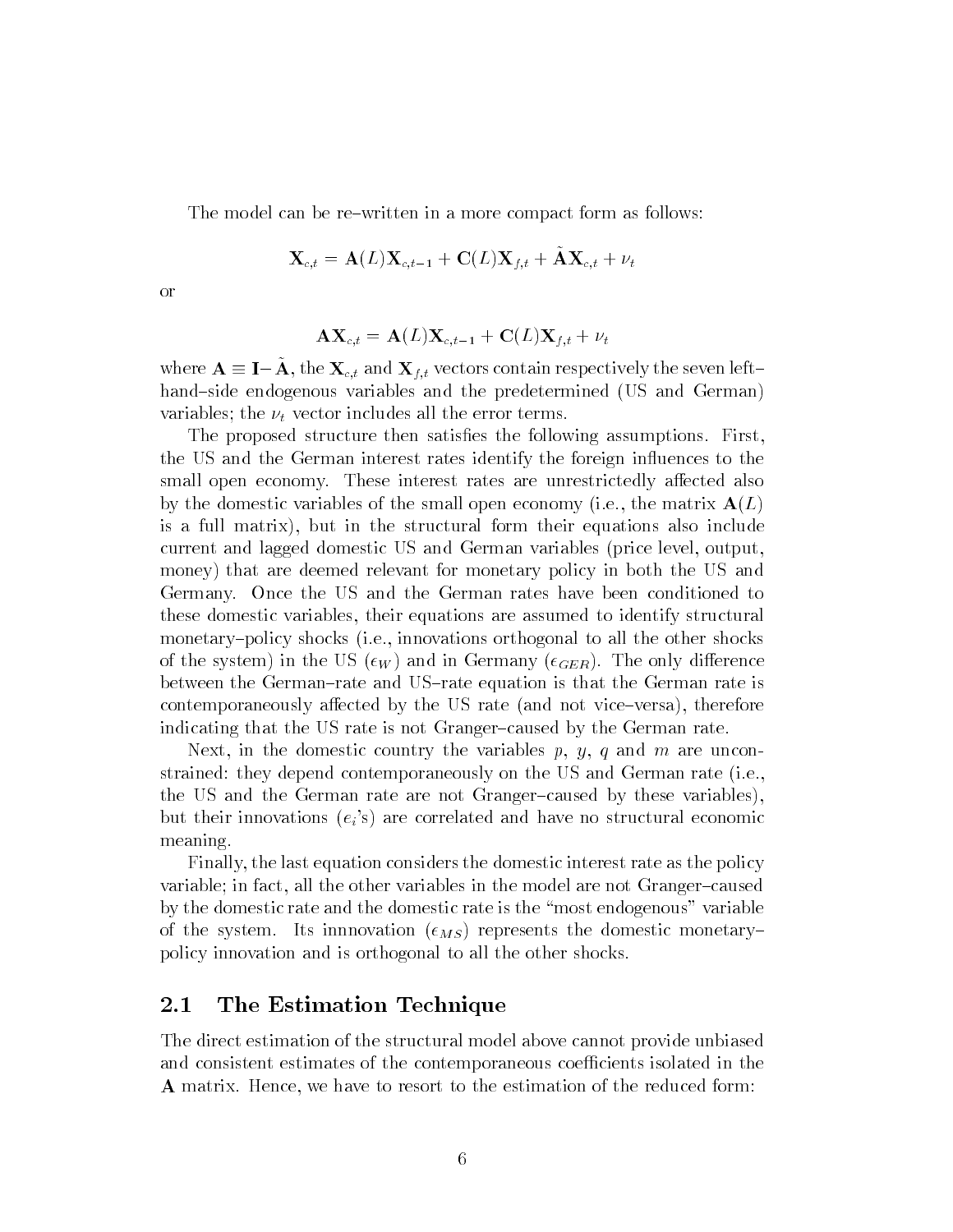The model can be re-written in a more compact form as follows:

$$
\mathbf{X}_{c,t} = \mathbf{A}(L) \mathbf{X}_{c,t-1} + \mathbf{C}(L) \mathbf{X}_{f,t} + \tilde{\mathbf{A}} \mathbf{X}_{c,t} + \nu_t
$$

or

$$
\mathbf{AX}_{c,t} = \mathbf{A}(L) \mathbf{X}_{c,t-1} + \mathbf{C}(L) \mathbf{X}_{f,t} + \nu_t
$$

where  $\mathbf{A} \equiv \mathbf{I}-\mathbf{A}$ , the  $\mathbf{\Lambda}_{c,t}$  and  $\mathbf{\Lambda}_{f,t}$  vectors contain respectively the seven lefthand-side endogenous variables and the predetermined (US and German) variables; the  $\nu_t$  vector includes all the error terms.

The proposed structure then satisfies the following assumptions. First, the US and the German interest rates identify the foreign influences to the small open economy. These interest rates are unrestrictedly affected also by the domestic variables of the small open economy (i.e., the matrix  $A(L)$ is a full matrix), but in the structural form their equations also include current and lagged domestic US and German variables (price level, output, money) that are deemed relevant for monetary policy in both the US and Germany. Once the US and the German rates have been conditioned to these domestic variables, their equations are assumed to identify structural monetary-policy shocks (i.e., innovations orthogonal to all the other shocks of the system) in the US ( $\epsilon_W$ ) and in Germany ( $\epsilon_{GER}$ ). The only difference between the German-rate and US-rate equation is that the German rate is contemporaneously affected by the US rate (and not vice–versa), therefore indicating that the US rate is not Granger-caused by the German rate.

Next, in the domestic country the variables  $p, y, q$  and m are unconstrained: they depend contemporaneously on the US and German rate (i.e., the US and the German rate are not Granger-caused by these variables), but their innovations  $(e_i)$  are correlated and have no structural economic meaning.

Finally, the last equation considers the domestic interest rate as the policy variable; in fact, all the other variables in the model are not Granger-caused by the domestic rate and the domestic rate is the \most endogenous" variable of the system. Its innnovation  $(\epsilon_{MS})$  represents the domestic monetarypolicy innovation and is orthogonal to all the other shocks.

### 2.1 The Estimation Technique

The direct estimation of the structural model above cannot provide unbiased and consistent estimates of the contemporaneous coefficients isolated in the A matrix. Hence, we have to resort to the estimation of the reduced form: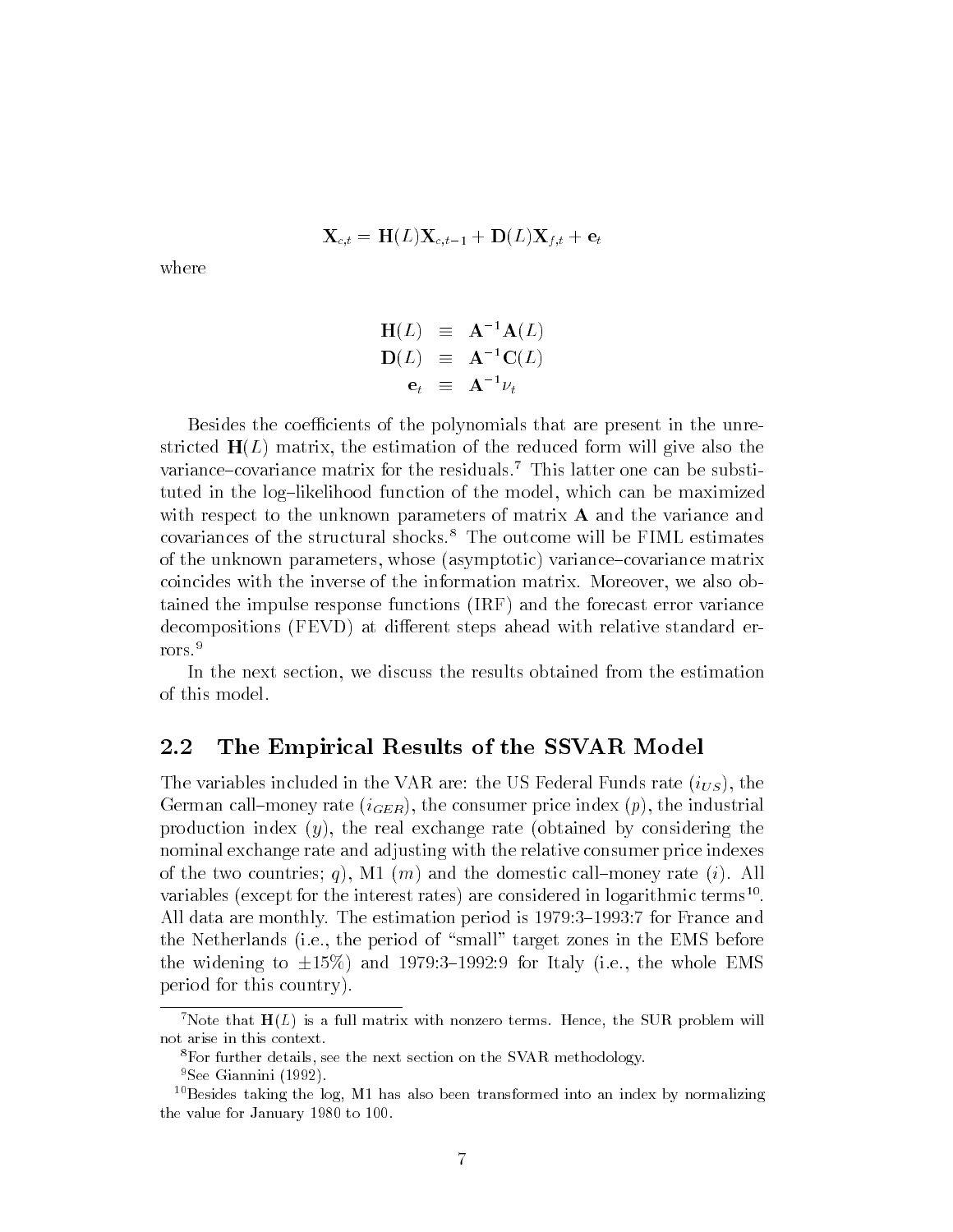$$
\mathbf{X}_{c,t} = \mathbf{H}(L)\mathbf{X}_{c,t-1} + \mathbf{D}(L)\mathbf{X}_{f,t} + \mathbf{e}_t
$$

$$
\begin{array}{rcl}\n\mathbf{H}(L) & \equiv & \mathbf{A}^{-1}\mathbf{A}(L) \\
\mathbf{D}(L) & \equiv & \mathbf{A}^{-1}\mathbf{C}(L) \\
\mathbf{e}_t & \equiv & \mathbf{A}^{-1}\nu_t\n\end{array}
$$

Besides the coefficients of the polynomials that are present in the unrestricted  $H(L)$  matrix, the estimation of the reduced form will give also the variance-covariance matrix for the residuals.<sup>7</sup> This latter one can be substituted in the log-likelihood function of the model, which can be maximized with respect to the unknown parameters of matrix **A** and the variance and covariances of the structural shocks.<sup>8</sup> The outcome will be FIML estimates of the unknown parameters, whose (asymptotic) variance-covariance matrix coincides with the inverse of the information matrix. Moreover, we also obtained the impulse response functions (IRF) and the forecast error variance decompositions (FEVD) at different steps ahead with relative standard errors.<sup>9</sup>

In the next section, we discuss the results obtained from the estimation of this model.

#### $2.2$ The Empirical Results of the SSVAR Model

The variables included in the VAR are: the US Federal Funds rate  $(i_{US})$ , the German call-money rate  $(i_{GER})$ , the consumer price index  $(p)$ , the industrial production index  $(y)$ , the real exchange rate (obtained by considering the nominal exchange rate and adjusting with the relative consumer price indexes of the two countries; q), M1 (m) and the domestic call-money rate (i). All variables (except for the interest rates) are considered in logarithmic terms  $\,$  . All data are monthly. The estimation period is 1979:3-1993:7 for France and the Netherlands (i.e., the period of "small" target zones in the EMS before the widening to  $\pm 15\%$ ) and 1979:3-1992:9 for Italy (i.e., the whole EMS period for this country).

<sup>&</sup>lt;sup>7</sup>Note that  $H(L)$  is a full matrix with nonzero terms. Hence, the SUR problem will not arise in this context.

<sup>8</sup>For further details, see the next section on the SVAR methodology.

<sup>&</sup>lt;sup>9</sup>See Giannini (1992).

 $10$  Besides taking the log, M1 has also been transformed into an index by normalizing the value for January 1980 to 100.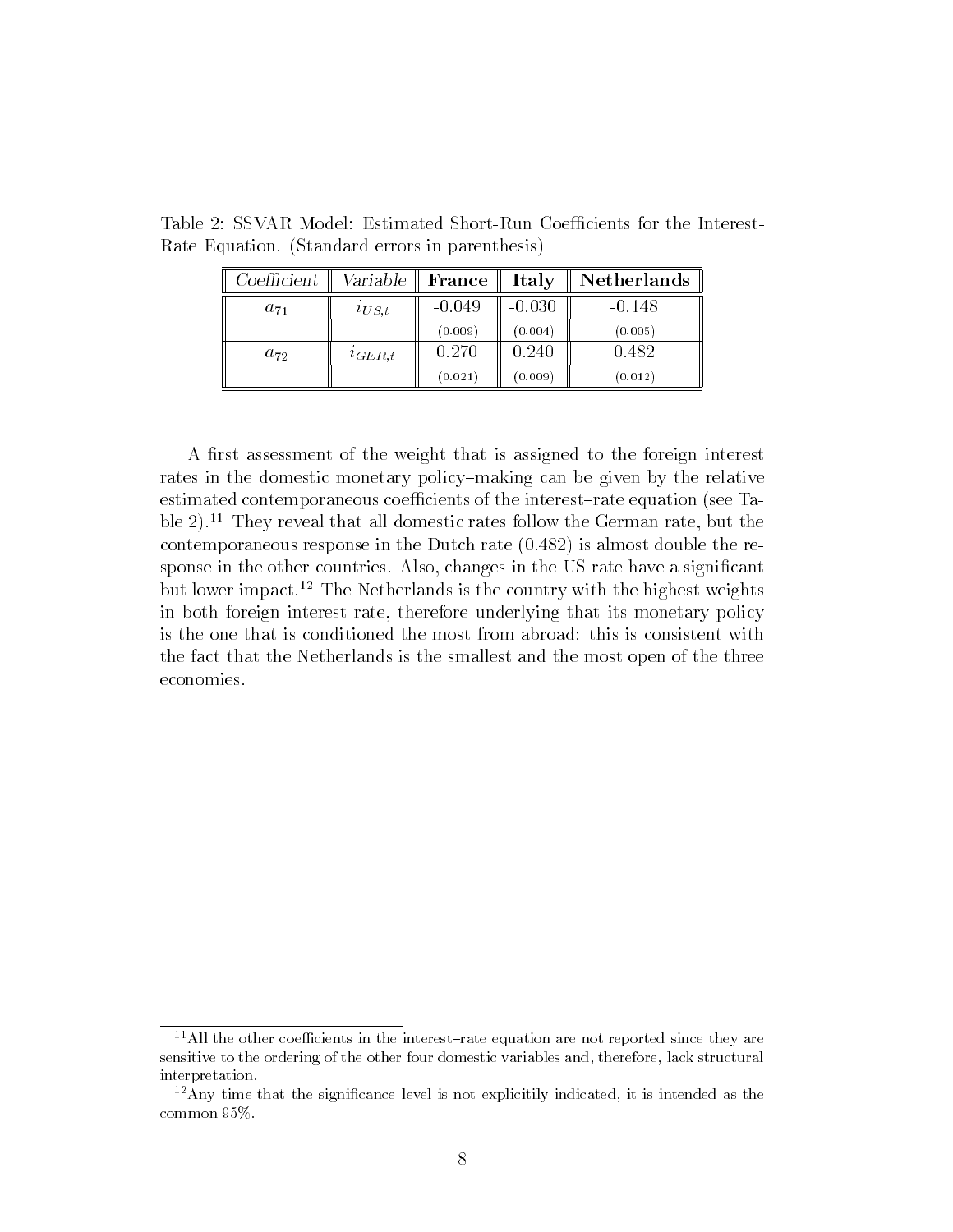| $\operatorname{Coefficient}$ | Variable $\parallel$ | France   | Italy    | Netherlands |
|------------------------------|----------------------|----------|----------|-------------|
| $a_{71}$                     | $i_{US,t}$           | $-0.049$ | $-0.030$ | $-0.148$    |
|                              |                      | (0.009)  | (0.004)  | (0.005)     |
| $a_{72}$                     | $i_{GER,t}$          | 0.270    | 0.240    | 0.482       |
|                              |                      | (0.021)  | (0.009)  | (0.012)     |

Table 2: SSVAR Model: Estimated Short-Run Coefficients for the Interest-Rate Equation. (Standard errors in parenthesis)

A first assessment of the weight that is assigned to the foreign interest rates in the domestic monetary policy-making can be given by the relative estimated contemporaneous coefficients of the interest-rate equation (see Table  $2$ ).<sup>11</sup> They reveal that all domestic rates follow the German rate, but the contemporaneous response in the Dutch rate (0.482) is almost double the response in the other countries. Also, changes in the US rate have a significant but lower impact.12 The Netherlands is the country with the highest weights in both foreign interest rate, therefore underlying that its monetary policy is the one that is conditioned the most from abroad: this is consistent with the fact that the Netherlands is the smallest and the most open of the three economies.

 $11$ All the other coefficients in the interest-rate equation are not reported since they are sensitive to the ordering of the other four domestic variables and, therefore, lack structural interpretation.

 $12$ Any time that the significance level is not explicitily indicated, it is intended as the common 95%.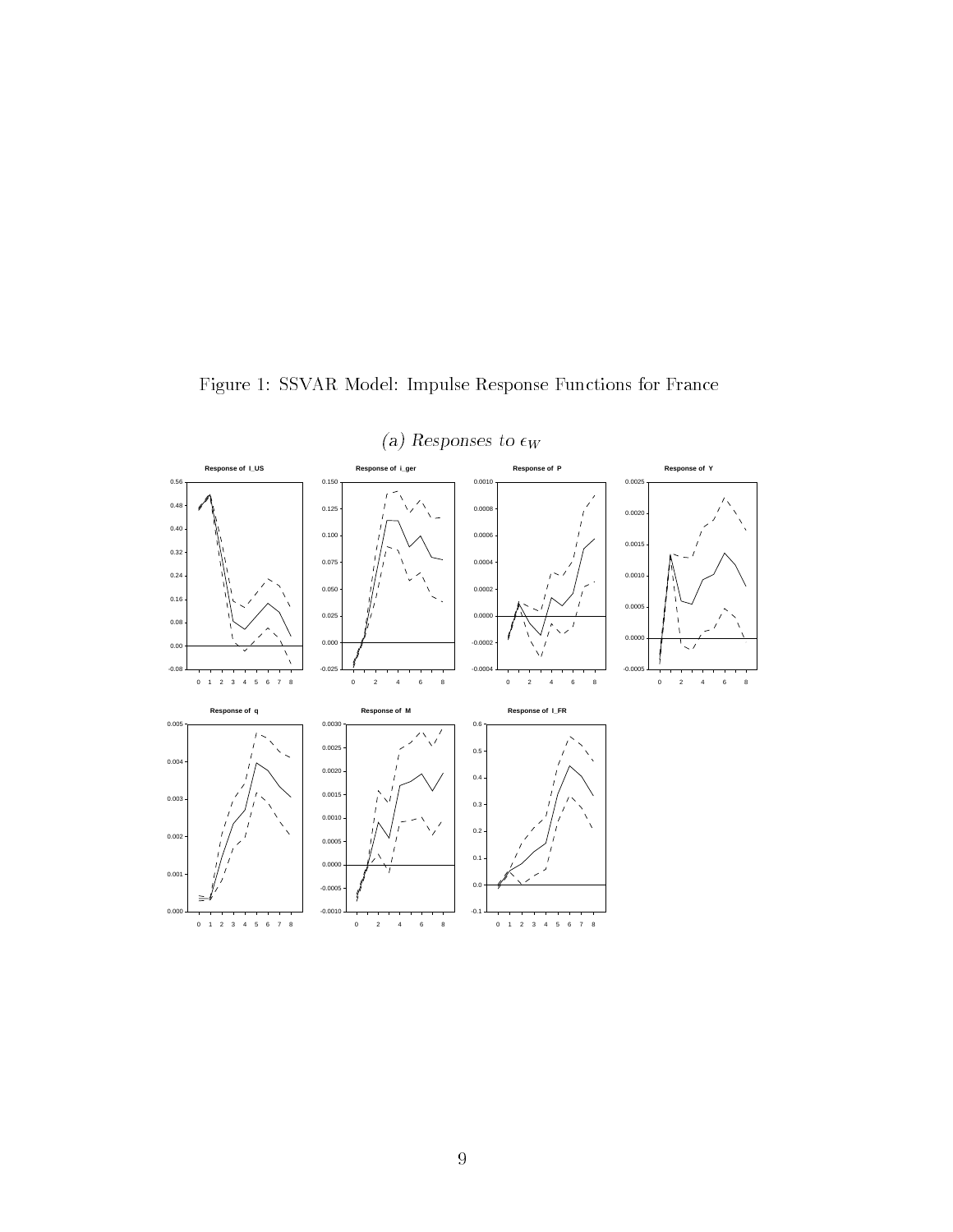

Figure 1: SSVAR Model: Impulse Response Functions for France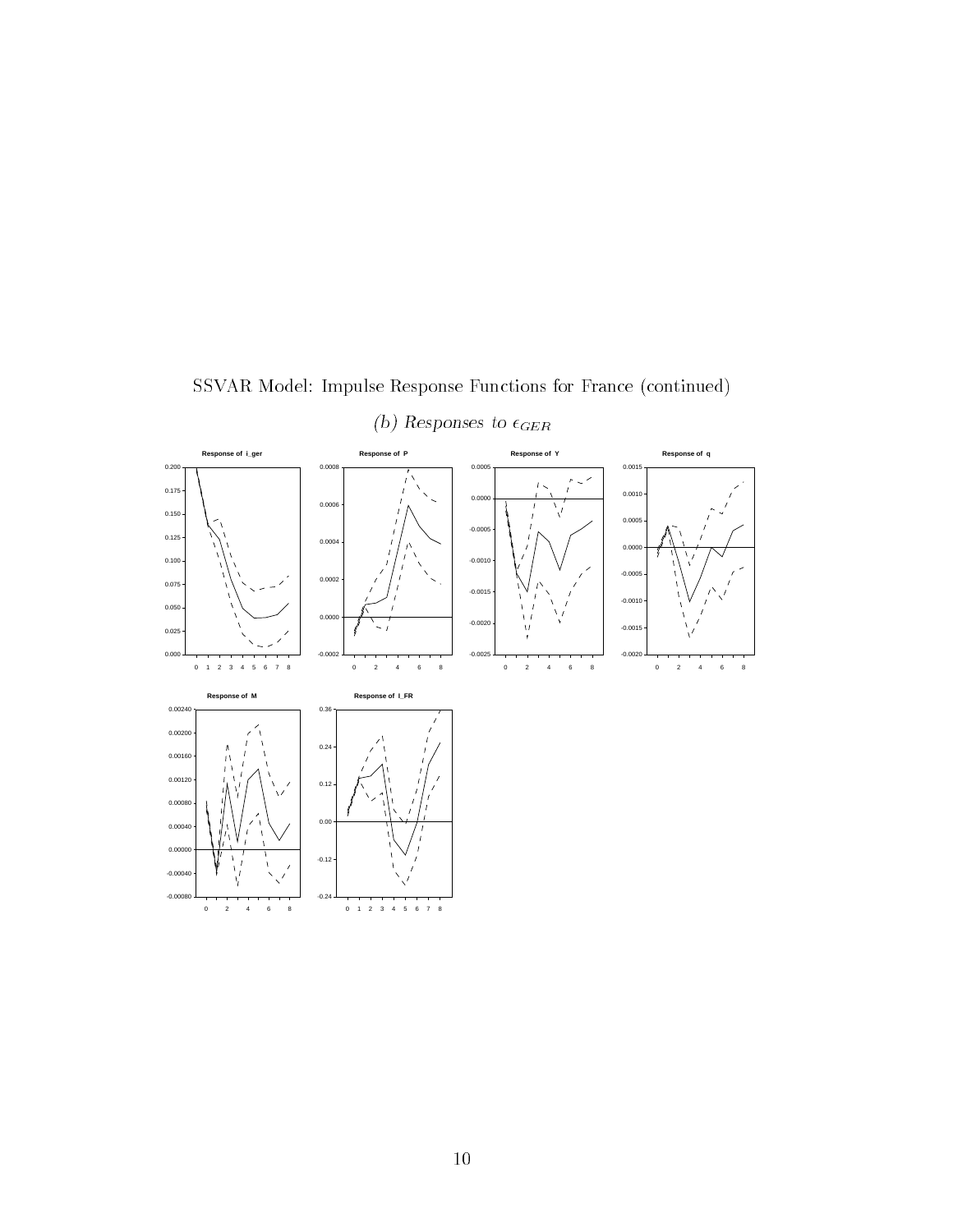

SSVAR Model: Impulse Response Functions for France (continued)

(b) Responses to  $\epsilon_{GER}$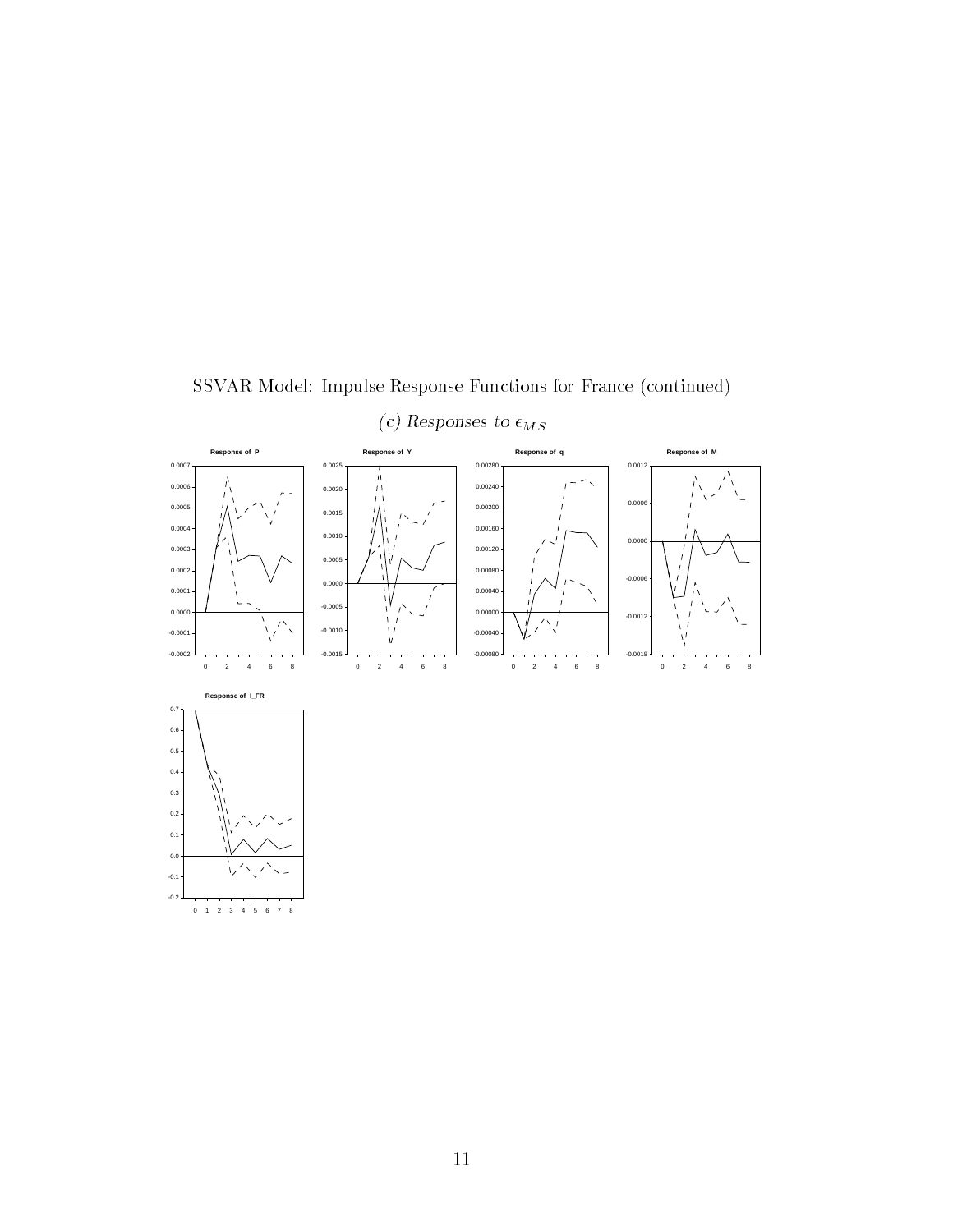

SSVAR Model: Impulse Response Functions for France (continued)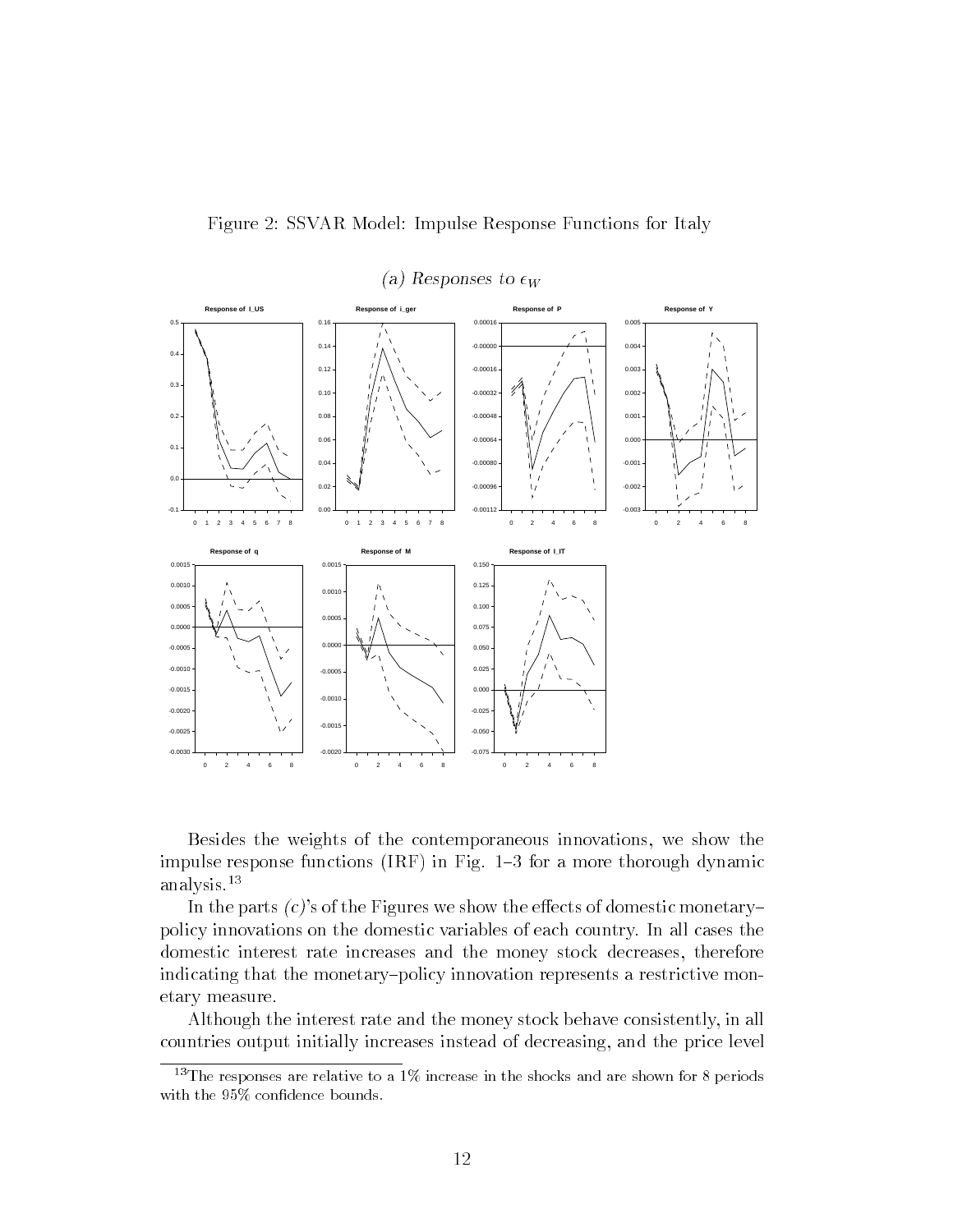

Figure 2: SSVAR Model: Impulse Response Functions for Italy

Besides the weights of the contemporaneous innovations, we show the impulse response functions  $(IRF)$  in Fig. 1-3 for a more thorough dynamic analysis.13

In the parts  $(c)$ 's of the Figures we show the effects of domestic monetarypolicy innovations on the domestic variables of each country. In all cases the domestic interest rate increases and the money stock decreases, therefore indicating that the monetary-policy innovation represents a restrictive monetary measure.

Although the interest rate and the money stock behave consistently, in all countries output initially increases instead of decreasing, and the price level

<sup>&</sup>lt;sup>13</sup>The responses are relative to a 1% increase in the shocks and are shown for 8 periods with the 95% confidence bounds.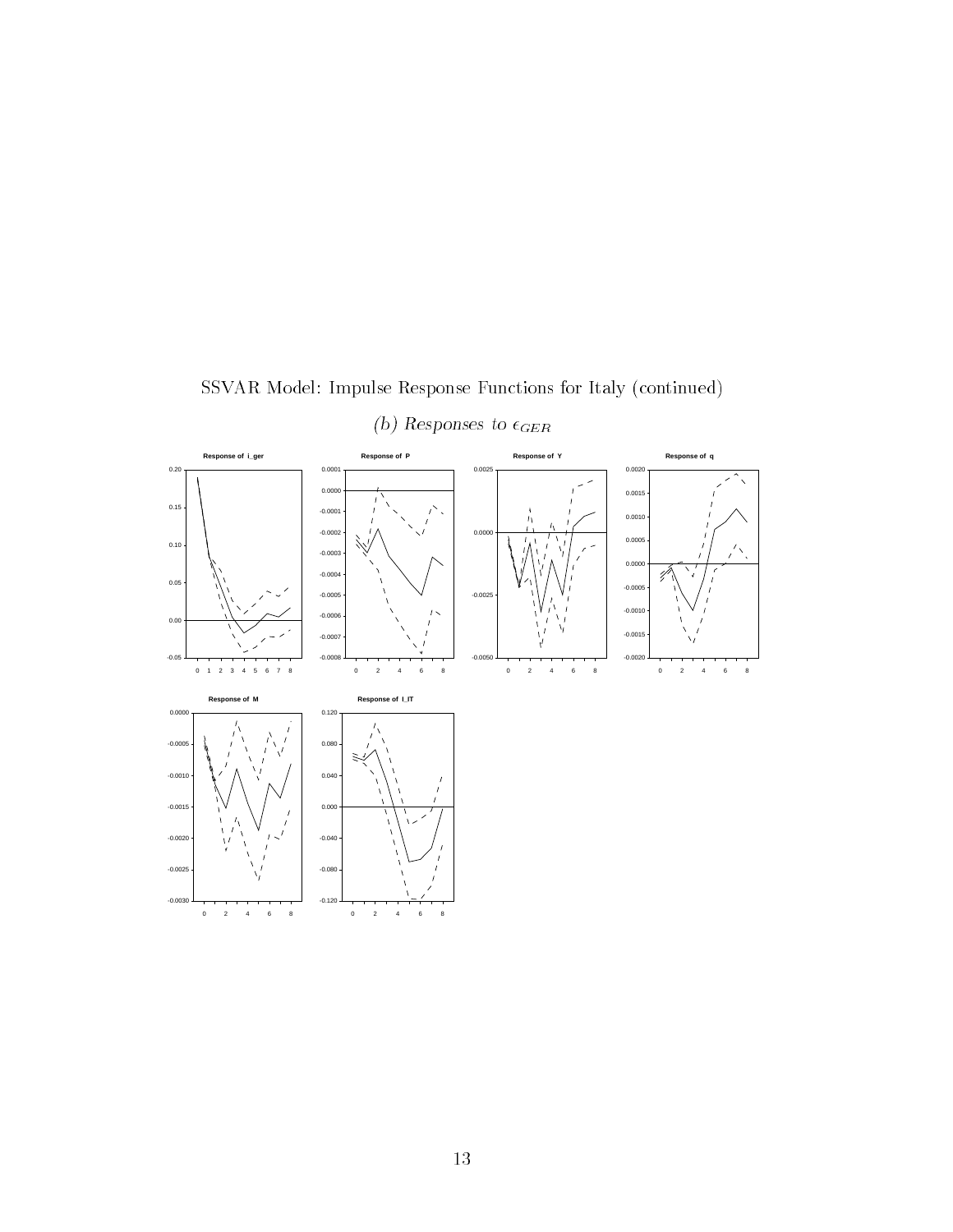

SSVAR Model: Impulse Response Functions for Italy (continued)

13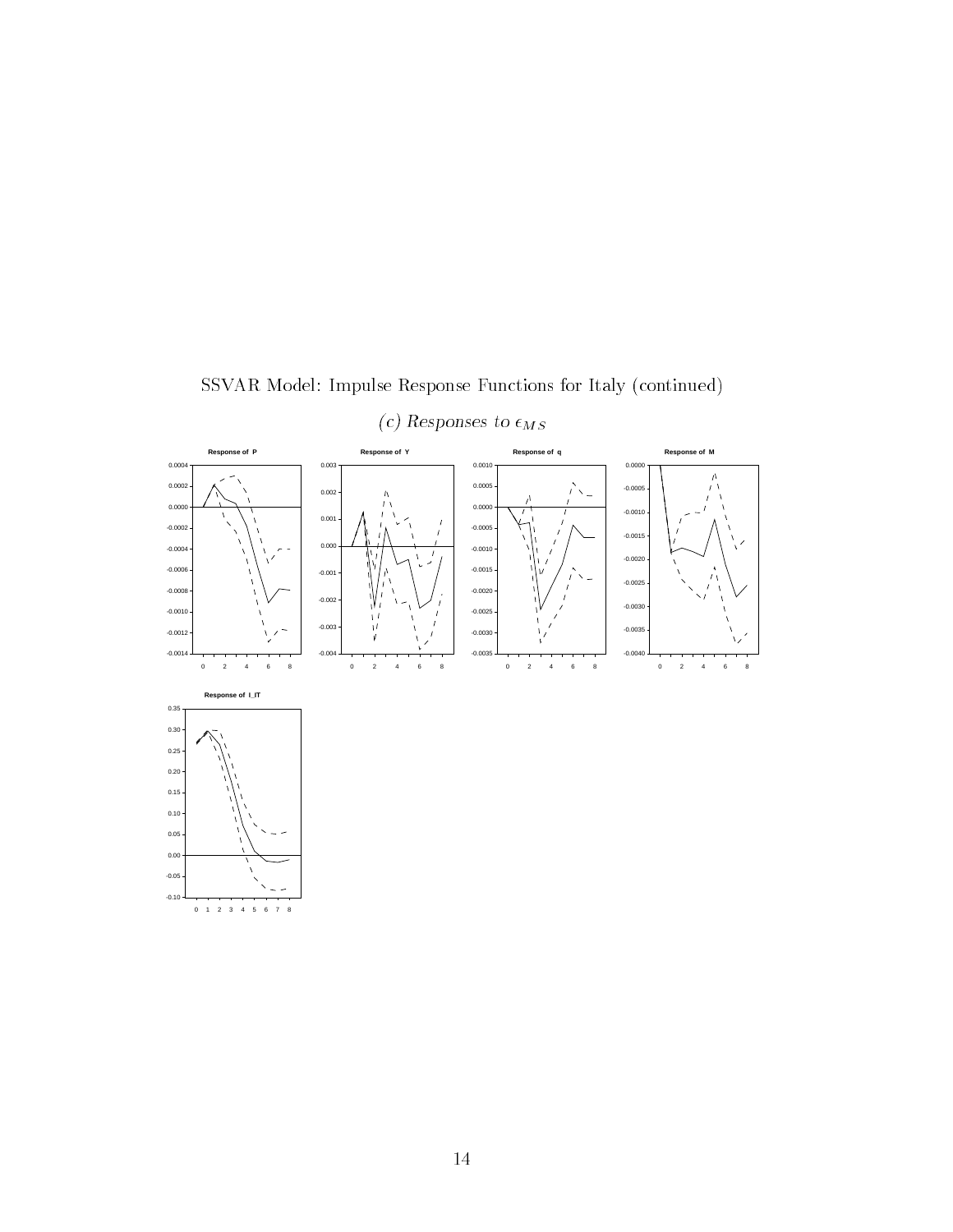

SSVAR Model: Impulse Response Functions for Italy (continued)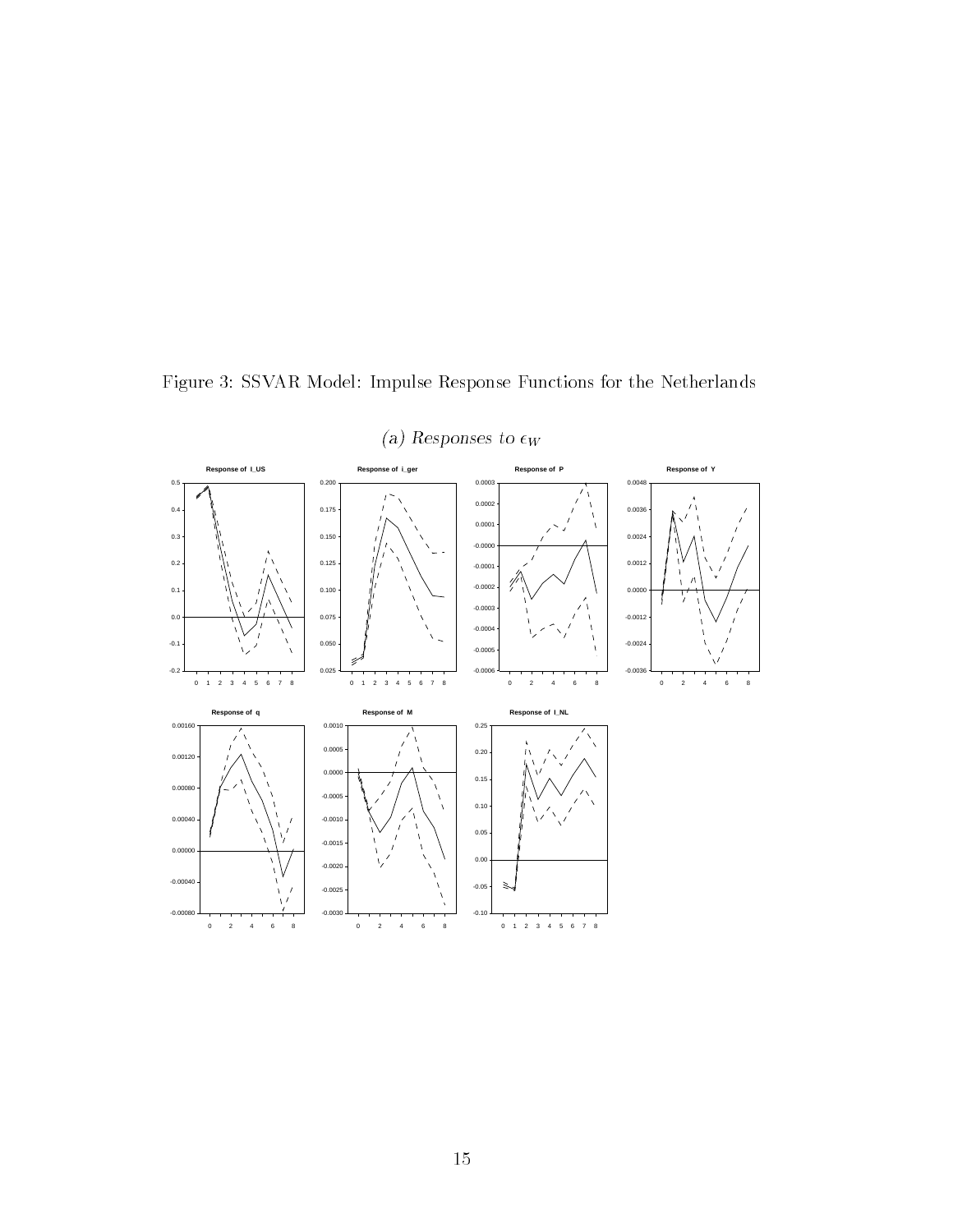Figure 3: SSVAR Model: Impulse Response Functions for the Netherlands



(a) Responses to  $\epsilon_W$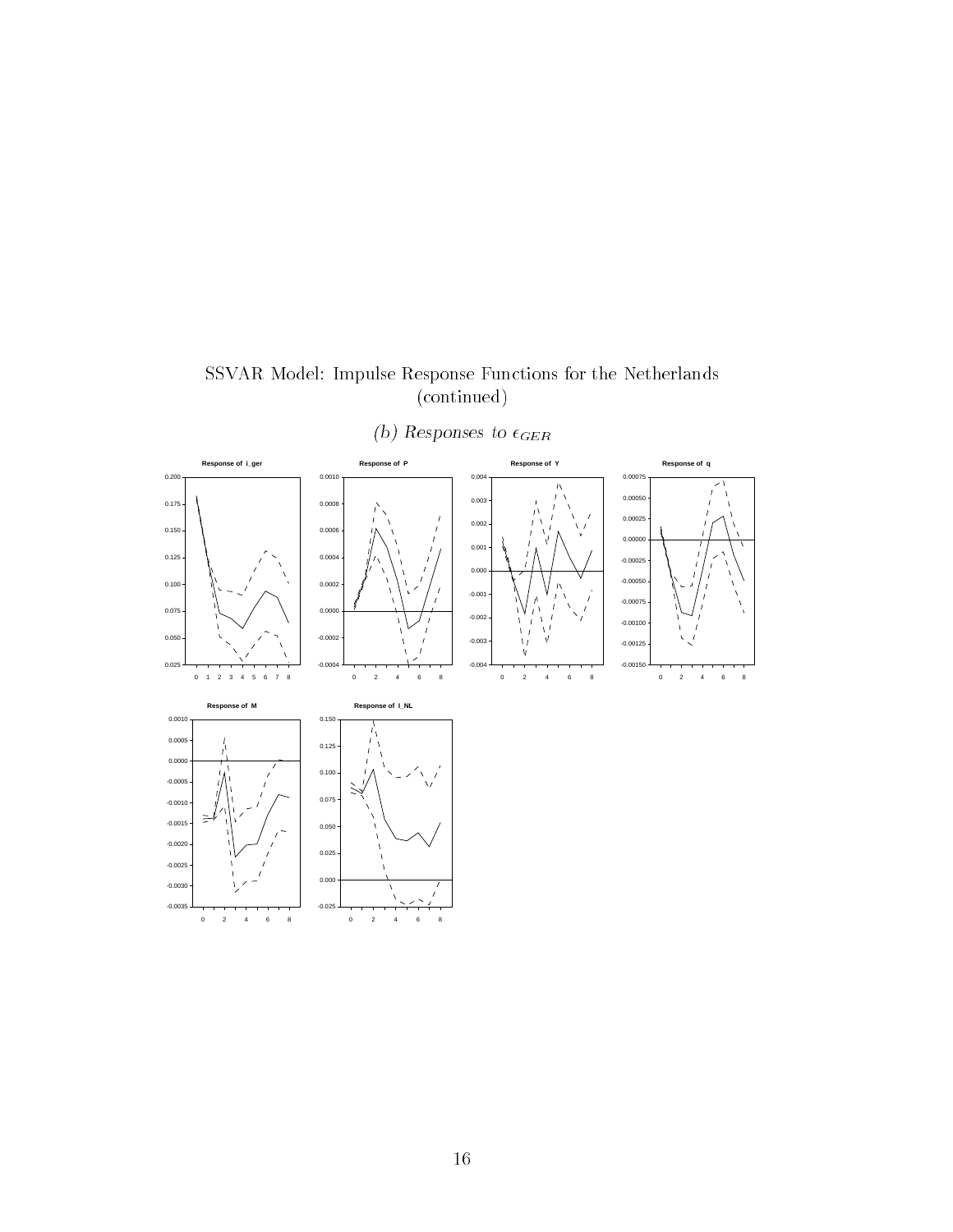SSVAR Model: Impulse Response Functions for the Netherlands (continued)



(b) Responses to  $\epsilon_{GER}$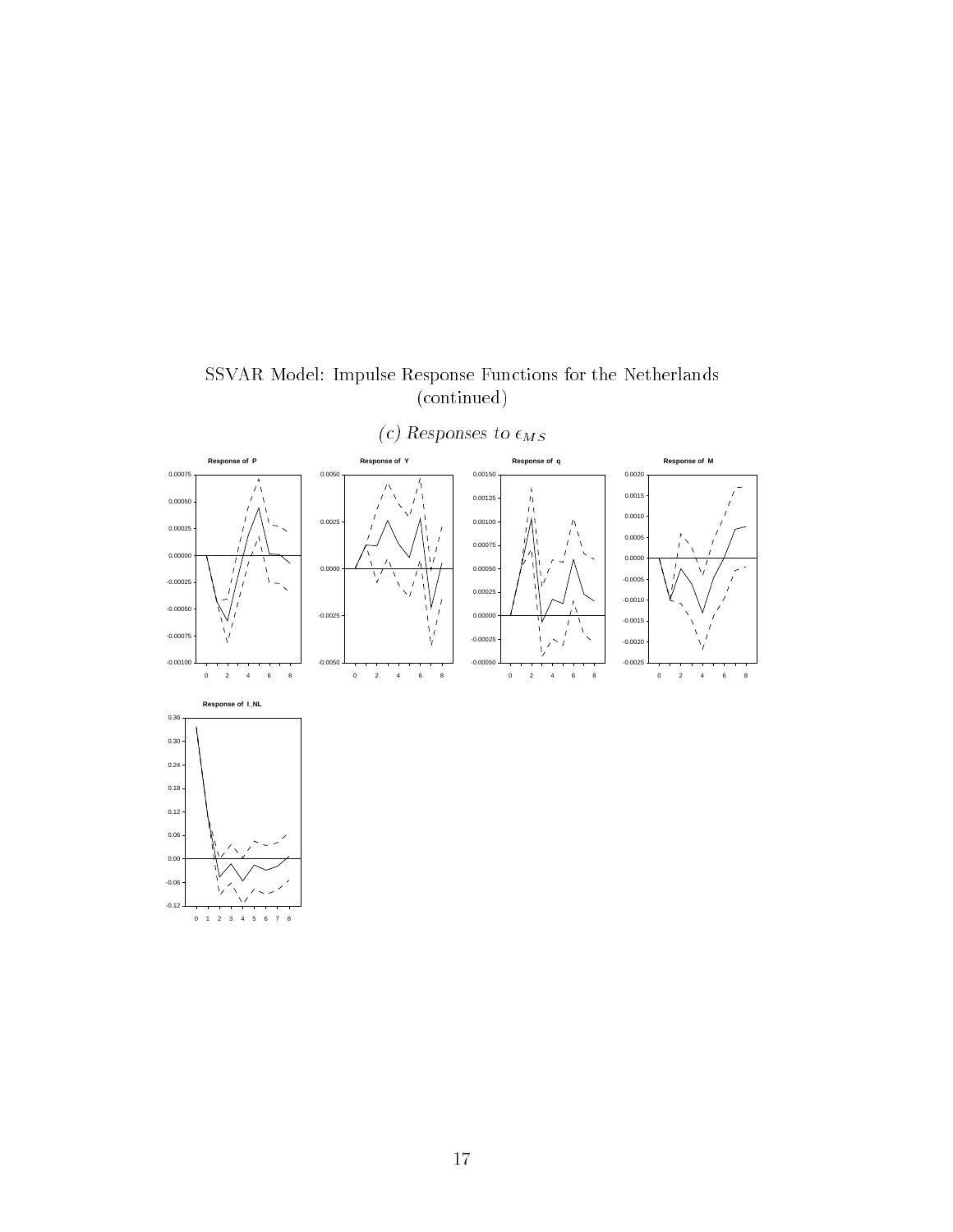



(c) Responses to  $\epsilon_{MS}$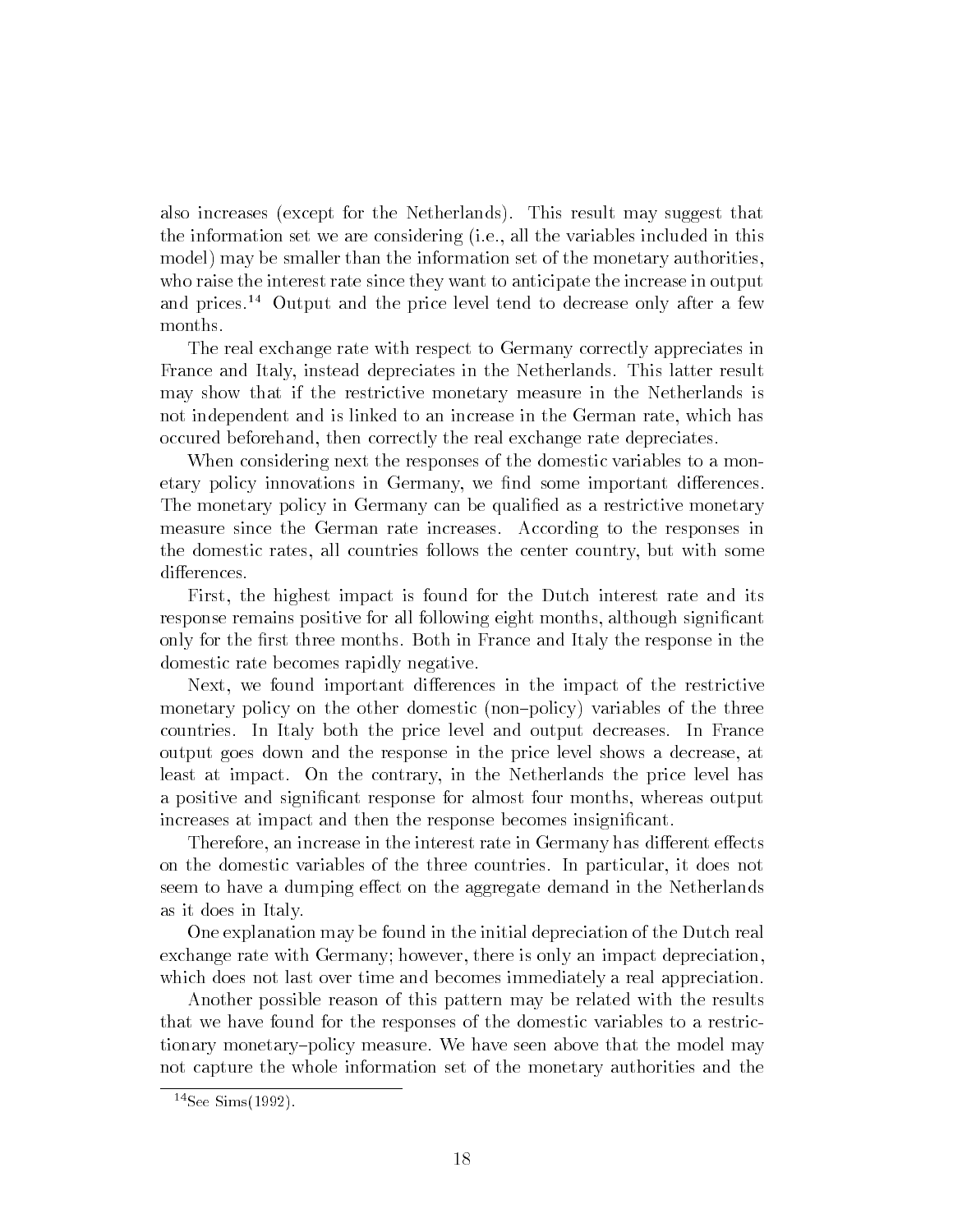also increases (except for the Netherlands). This result may suggest that the information set we are considering (i.e., all the variables included in this model) may be smaller than the information set of the monetary authorities, who raise the interest rate since they want to anticipate the increase in output and prices.<sup>14</sup> Output and the price level tend to decrease only after a few months.

The real exchange rate with respect to Germany correctly appreciates in France and Italy, instead depreciates in the Netherlands. This latter result may show that if the restrictive monetary measure in the Netherlands is not independent and is linked to an increase in the German rate, which has occured beforehand, then correctly the real exchange rate depreciates.

When considering next the responses of the domestic variables to a monetary policy innovations in Germany, we find some important differences. The monetary policy in Germany can be qualified as a restrictive monetary measure since the German rate increases. According to the responses in the domestic rates, all countries follows the center country, but with some differences.

First, the highest impact is found for the Dutch interest rate and its response remains positive for all following eight months, although signicant only for the first three months. Both in France and Italy the response in the domestic rate becomes rapidly negative.

Next, we found important differences in the impact of the restrictive monetary policy on the other domestic (non-policy) variables of the three countries. In Italy both the price level and output decreases. In France output goes down and the response in the price level shows a decrease, at least at impact. On the contrary, in the Netherlands the price level has a positive and signicant response for almost four months, whereas output increases at impact and then the response becomes insignificant.

Therefore, an increase in the interest rate in Germany has different effects on the domestic variables of the three countries. In particular, it does not seem to have a dumping effect on the aggregate demand in the Netherlands as it does in Italy.

One explanation may be found in the initial depreciation of the Dutch real exchange rate with Germany; however, there is only an impact depreciation, which does not last over time and becomes immediately a real appreciation.

Another possible reason of this pattern may be related with the results that we have found for the responses of the domestic variables to a restrictionary monetary-policy measure. We have seen above that the model may not capture the whole information set of the monetary authorities and the

 $14$ See Sims $(1992)$ .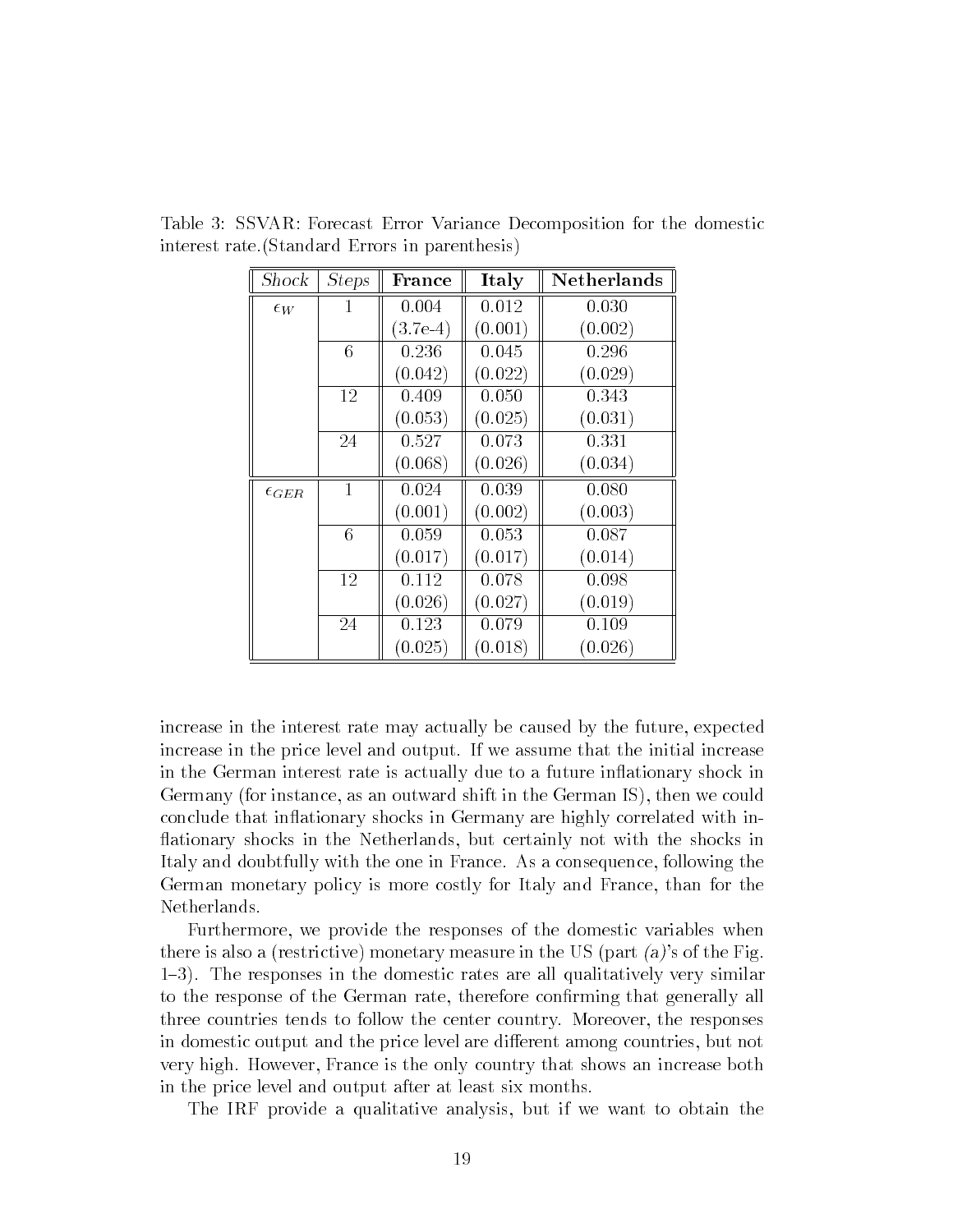| Shock            | <i>Steps</i> | France     | Italy   | Netherlands |
|------------------|--------------|------------|---------|-------------|
| $\epsilon_W$     | 1            | 0.004      | 0.012   | 0.030       |
|                  |              | $(3.7e-4)$ | (0.001) | (0.002)     |
|                  | 6            | 0.236      | 0.045   | 0.296       |
|                  |              | (0.042)    | (0.022) | (0.029)     |
|                  | 12           | 0.409      | 0.050   | 0.343       |
|                  |              | (0.053)    | (0.025) | (0.031)     |
|                  | 24           | 0.527      | 0.073   | 0.331       |
|                  |              | (0.068)    | (0.026) | (0.034)     |
| $\epsilon_{GER}$ | $\mathbf{1}$ | 0.024      | 0.039   | 0.080       |
|                  |              | (0.001)    | (0.002) | (0.003)     |
|                  | 6            | 0.059      | 0.053   | 0.087       |
|                  |              | (0.017)    | (0.017) | (0.014)     |
|                  | 12           | 0.112      | 0.078   | 0.098       |
|                  |              | (0.026)    | (0.027) | (0.019)     |
|                  | 24           | 0.123      | 0.079   | 0.109       |
|                  |              | (0.025)    | (0.018) | (0.026)     |

Table 3: SSVAR: Forecast Error Variance Decomposition for the domestic interest rate.(Standard Errors in parenthesis)

increase in the interest rate may actually be caused by the future, expected increase in the price level and output. If we assume that the initial increase in the German interest rate is actually due to a future inflationary shock in Germany (for instance, as an outward shift in the German IS), then we could conclude that inflationary shocks in Germany are highly correlated with inationary shocks in the Netherlands, but certainly not with the shocks in Italy and doubtfully with the one in France. As a consequence, following the German monetary policy is more costly for Italy and France, than for the Netherlands.

Furthermore, we provide the responses of the domestic variables when there is also a (restrictive) monetary measure in the US (part  $(a)$ 's of the Fig. 1{3). The responses in the domestic rates are all qualitatively very similar to the response of the German rate, therefore conrming that generally all three countries tends to follow the center country. Moreover, the responses in domestic output and the price level are different among countries, but not very high. However, France is the only country that shows an increase both in the price level and output after at least six months.

The IRF provide a qualitative analysis, but if we want to obtain the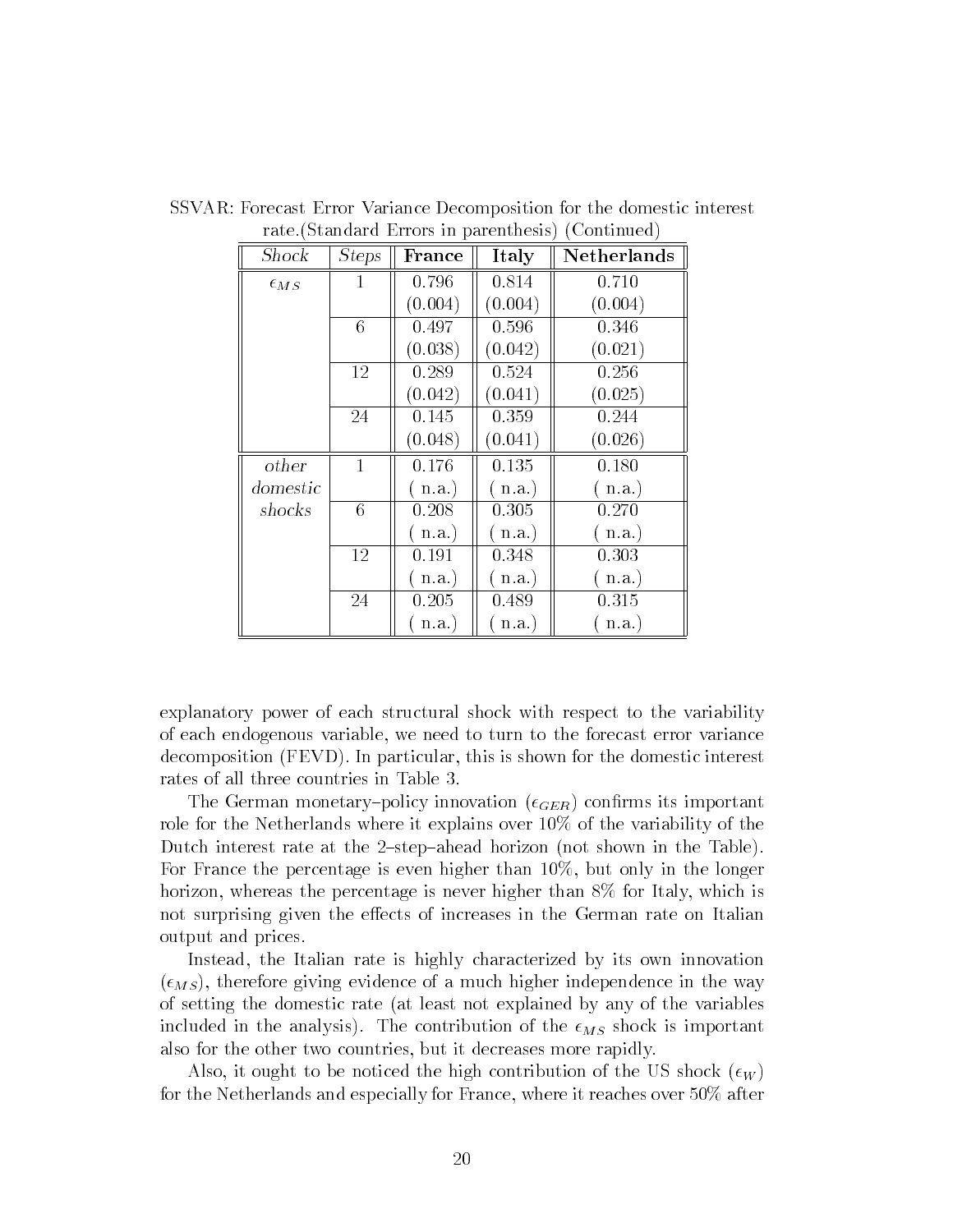| Shock           | <i>Steps</i> | France   | Italy   | Netherlands |
|-----------------|--------------|----------|---------|-------------|
| $\epsilon_{MS}$ | 1            | 0.796    | 0.814   | 0.710       |
|                 |              | (0.004)  | (0.004) | (0.004)     |
|                 | 6            | 0.497    | 0.596   | 0.346       |
|                 |              | (0.038)  | (0.042) | (0.021)     |
|                 | 12           | 0.289    | 0.524   | 0.256       |
|                 |              | (0.042)  | (0.041) | (0.025)     |
|                 | 24           | 0.145    | 0.359   | 0.244       |
|                 |              | (0.048)  | (0.041) | (0.026)     |
| other           | $\mathbf{1}$ | 0.176    | 0.135   | 0.180       |
| domestic        |              | $n.a.$ ) | n.a.    | (n.a.)      |
| shocks          | 6            | 0.208    | 0.305   | 0.270       |
|                 |              | n.a.     | n.a.    | (n.a.)      |
|                 | 12           | 0.191    | 0.348   | 0.303       |
|                 |              | n.a.     | n.a.    | n.a.        |
|                 | 24           | 0.205    | 0.489   | 0.315       |
|                 |              | (n.a.)   | n.a.    | n.a.        |

SSVAR: Forecast Error Variance Decomposition for the domestic interest rate.(Standard Errors in parenthesis) (Continued)

explanatory power of each structural shock with respect to the variability of each endogenous variable, we need to turn to the forecast error variance decomposition (FEVD). In particular, this is shown for the domestic interest rates of all three countries in Table 3.

The German monetary-policy innovation  $(\epsilon_{GER})$  confirms its important role for the Netherlands where it explains over 10% of the variability of the Dutch interest rate at the 2-step-ahead horizon (not shown in the Table). For France the percentage is even higher than 10%, but only in the longer horizon, whereas the percentage is never higher than  $8\%$  for Italy, which is not surprising given the effects of increases in the German rate on Italian output and prices.

Instead, the Italian rate is highly characterized by its own innovation  $(\epsilon_{MS})$ , therefore giving evidence of a much higher independence in the way of setting the domestic rate (at least not explained by any of the variables included in the analysis). The contribution of the  $\epsilon_{MS}$  shock is important also for the other two countries, but it decreases more rapidly.

Also, it ought to be noticed the high contribution of the US shock  $(\epsilon_W)$ for the Netherlands and especially for France, where it reaches over 50% after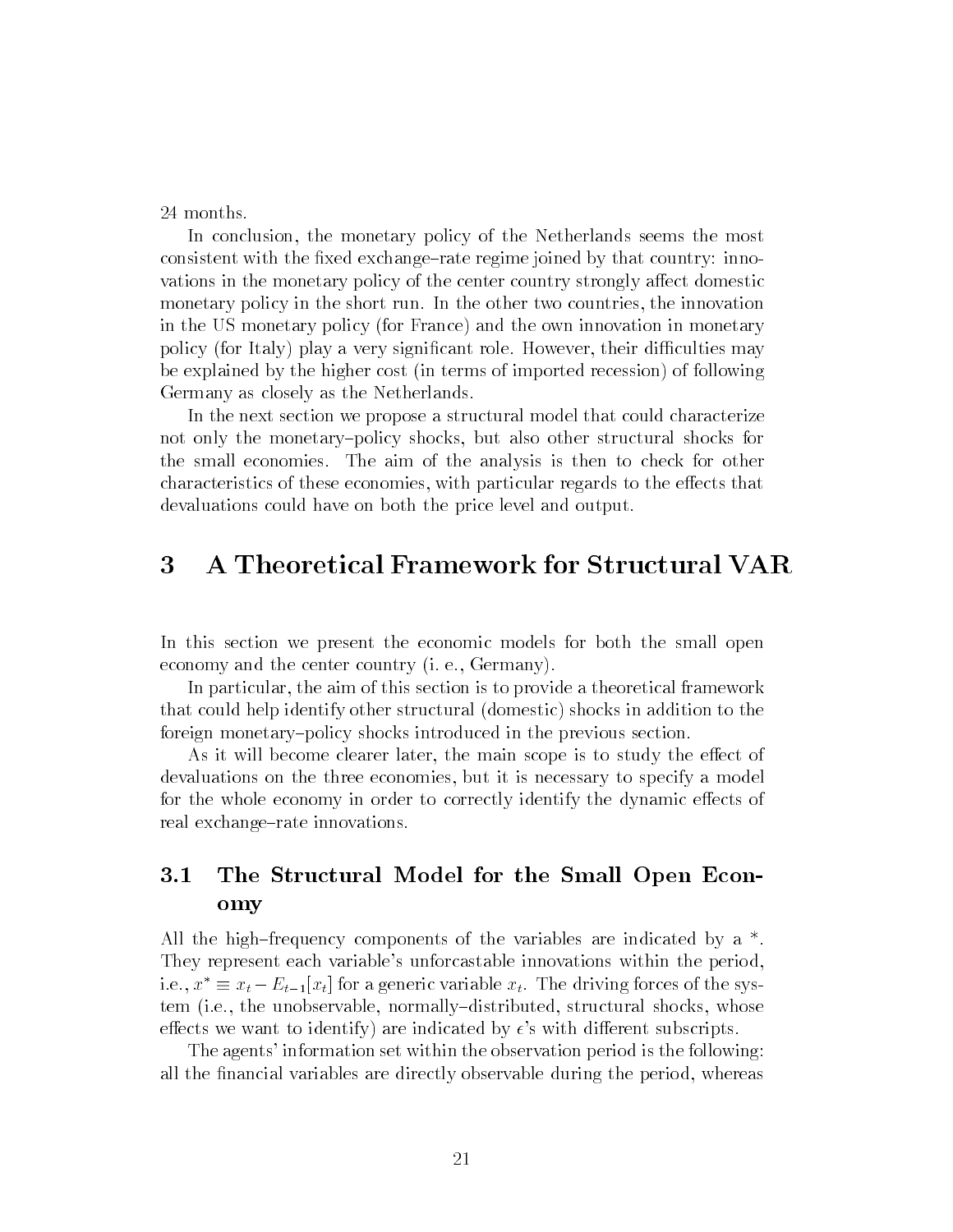In conclusion, the monetary policy of the Netherlands seems the most consistent with the fixed exchange-rate regime joined by that country: innovations in the monetary policy of the center country strongly affect domestic monetary policy in the short run. In the other two countries, the innovation in the US monetary policy (for France) and the own innovation in monetary policy (for Italy) play a very significant role. However, their difficulties may be explained by the higher cost (in terms of imported recession) of following Germany as closely as the Netherlands.

In the next section we propose a structural model that could characterize not only the monetary-policy shocks, but also other structural shocks for the small economies. The aim of the analysis is then to check for other characteristics of these economies, with particular regards to the effects that devaluations could have on both the price level and output.

#### 3 A Theoretical Framework for Structural VAR

In this section we present the economic models for both the small open economy and the center country (i. e., Germany).

In particular, the aim of this section is to provide a theoretical framework that could help identify other structural (domestic) shocks in addition to the foreign monetary-policy shocks introduced in the previous section.

As it will become clearer later, the main scope is to study the effect of devaluations on the three economies, but it is necessary to specify a model for the whole economy in order to correctly identify the dynamic effects of real exchange-rate innovations.

### The Structural Model for the Small Open Econ- $3.1$ omy

All the high-frequency components of the variables are indicated by a  $*$ . They represent each variable's unforcastable innovations within the period, 1.e.,  $x^{\scriptscriptstyle +} \equiv x_t - E_{t-1}|x_t|$  for a generic variable  $x_t$ . The driving forces of the system (i.e., the unobservable, normally-distributed, structural shocks, whose effects we want to identify) are indicated by  $\epsilon$ 's with different subscripts.

The agents' information set within the observation period is the following: all the financial variables are directly observable during the period, whereas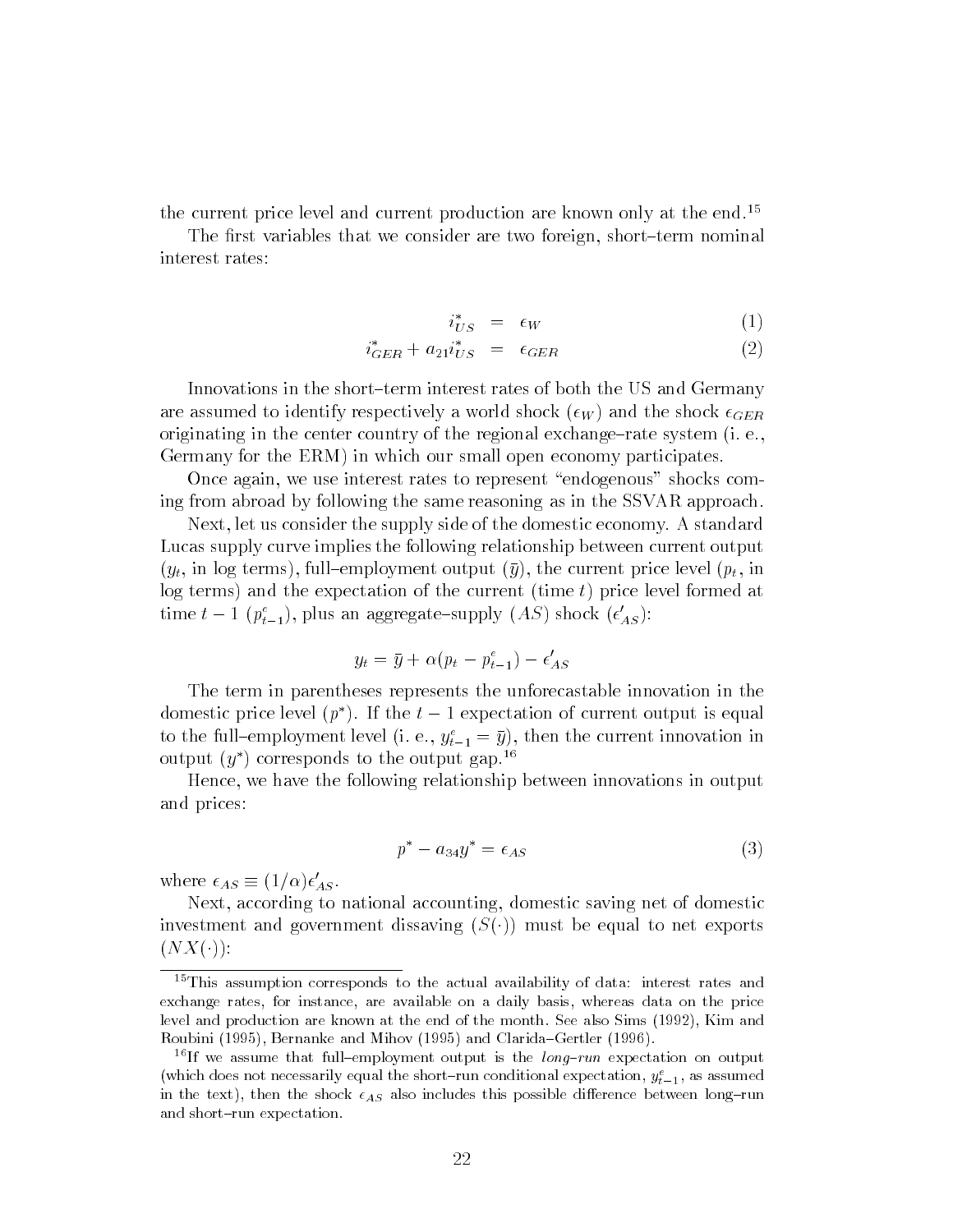the current price level and current production are known only at the end.<sup>15</sup>

The first variables that we consider are two foreign, short-term nominal interest rates:

$$
i_{US}^* = \epsilon_W \tag{1}
$$

$$
i_{GER}^* + a_{21}i_{US}^* = \epsilon_{GER} \tag{2}
$$

Innovations in the short-term interest rates of both the US and Germany are assumed to identify respectively a world shock  $(\epsilon_W)$  and the shock  $\epsilon_{GER}$ originating in the center country of the regional exchange-rate system  $(i, e,$ Germany for the ERM) in which our small open economy participates.

Once again, we use interest rates to represent "endogenous" shocks coming from abroad by following the same reasoning as in the SSVAR approach.

Next, let us consider the supply side of the domestic economy. A standard Lucas supply curve implies the following relationship between current output  $(y_t, \text{ in log terms})$ , full-employment output  $(\bar{y})$ , the current price level  $(p_t, \text{ in }$ log terms) and the expectation of the current (time  $t$ ) price level formed at time  $t = 1$  ( $p_{t-1}$ ), plus an aggregate-supply (AS) shock ( $\epsilon_{AS}$ ):

$$
y_t = \bar{y} + \alpha (p_t - p_{t-1}^e) - \epsilon_{AS}'
$$

The term in parentheses represents the unforecastable innovation in the domestic price level  $(p^*)$ . If the  $t-1$  expectation of current output is equal to the full-employment level  $(i, e, y_{t-1} = y)$ , then the current innovation in output  $(y^*)$  corresponds to the output gap.<sup>16</sup>

Hence, we have the following relationship between innovations in output and prices:

$$
p^* - a_{34}y^* = \epsilon_{AS} \tag{3}
$$

where  $\epsilon_{AS} = (1/\alpha)\epsilon_{AS}$ .

Next, according to national accounting, domestic saving net of domestic investment and government dissaving  $(S(\cdot))$  must be equal to net exports  $(XX(\cdot))$ :

<sup>&</sup>lt;sup>15</sup>This assumption corresponds to the actual availability of data: interest rates and exchange rates, for instance, are available on a daily basis, whereas data on the price level and production are known at the end of the month. See also Sims (1992), Kim and Roubini (1995), Bernanke and Mihov (1995) and Clarida-Gertler (1996).

<sup>&</sup>lt;sup>16</sup>If we assume that full-employment output is the *long-run* expectation on output (which does not necessarily equal the short-run conditional expectation,  $y_{t-1}^e$ , as assumed in the text), then the shock  $\epsilon_{AS}$  also includes this possible difference between long-run and short-run expectation.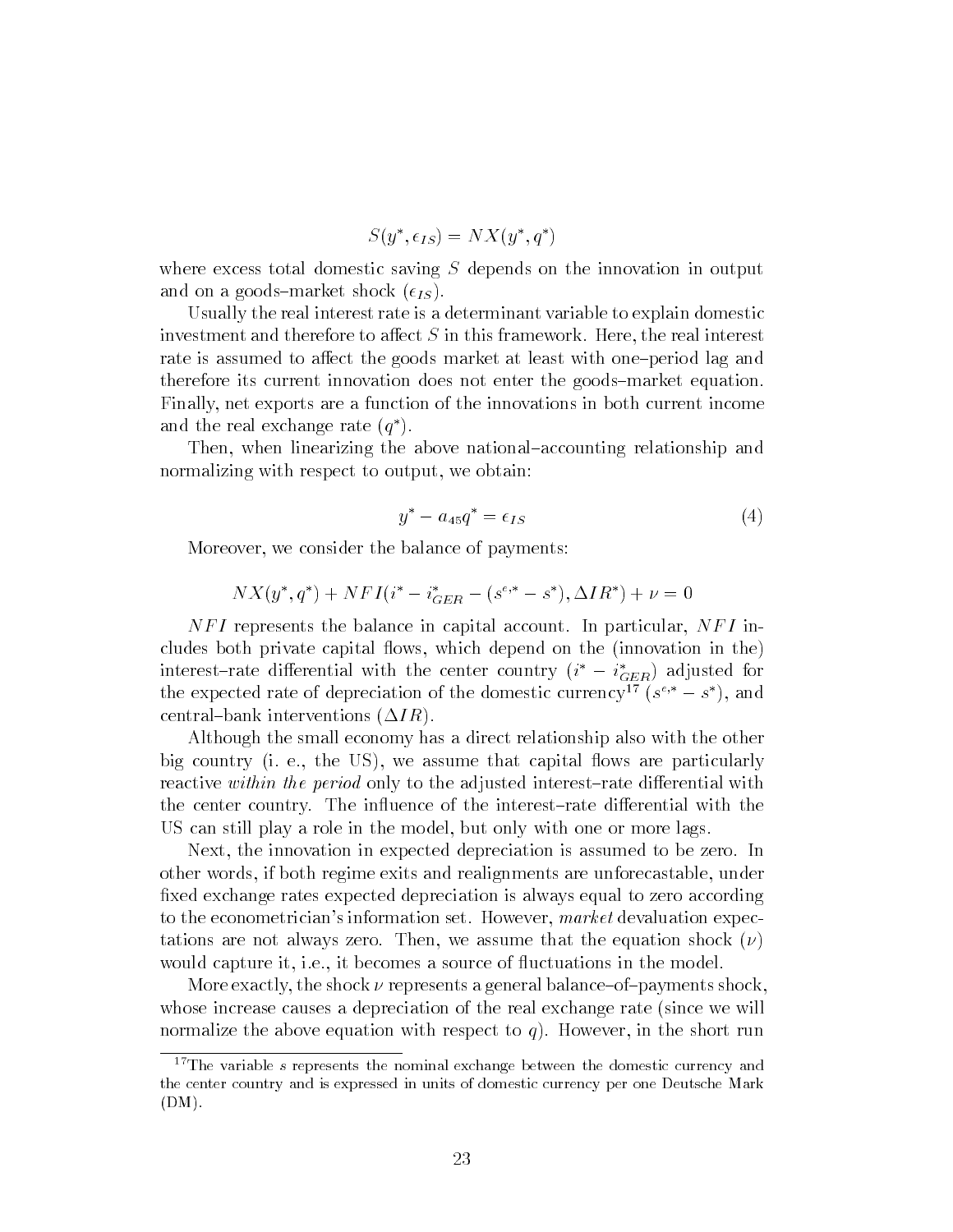$$
S(y^*, \epsilon_{IS}) = N X(y^*, q^*)
$$

where excess total domestic saving  $S$  depends on the innovation in output and on a goods-market shock  $(\epsilon_{IS})$ .

Usually the real interest rate is a determinant variable to explain domestic investment and therefore to affect  $S$  in this framework. Here, the real interest rate is assumed to affect the goods market at least with one-period lag and therefore its current innovation does not enter the goods-market equation. Finally, net exports are a function of the innovations in both current income and the real exchange rate (q ).

Then, when linearizing the above national-accounting relationship and normalizing with respect to output, we obtain:

$$
y^* - a_{45}q^* = \epsilon_{IS} \tag{4}
$$

Moreover, we consider the balance of payments:

$$
NX(y^*, q^*) + NFI(i^* - i_{GER}^* - (s^{e,*} - s^*), \Delta IR^*) + \nu = 0
$$

NFI represents the balance in capital account. In particular, NFI includes both private capital flows, which depend on the (innovation in the) interest-rate differential with the center country  $(i^* - i_{GER}^*)$  adjusted for the expected rate of depreciation of the domestic currency<sup>11</sup> (s<sup>2)</sup>  $-s$  ), and central-bank interventions  $(\Delta IR)$ .

Although the small economy has a direct relationship also with the other big country (i. e., the US), we assume that capital flows are particularly reactive within the period only to the adjusted interest-rate differential with the center country. The influence of the interest-rate differential with the US can still play a role in the model, but only with one or more lags.

Next, the innovation in expected depreciation is assumed to be zero. In other words, if both regime exits and realignments are unforecastable, under fixed exchange rates expected depreciation is always equal to zero according to the econometrician's information set. However, market devaluation expectations are not always zero. Then, we assume that the equation shock  $(\nu)$ would capture it, i.e., it becomes a source of fluctuations in the model.

More exactly, the shock  $\nu$  represents a general balance-of-payments shock. whose increase causes a depreciation of the real exchange rate (since we will normalize the above equation with respect to  $q$ ). However, in the short run

<sup>&</sup>lt;sup>17</sup>The variable s represents the nominal exchange between the domestic currency and the center country and is expressed in units of domestic currency per one Deutsche Mark  $(DM)$ .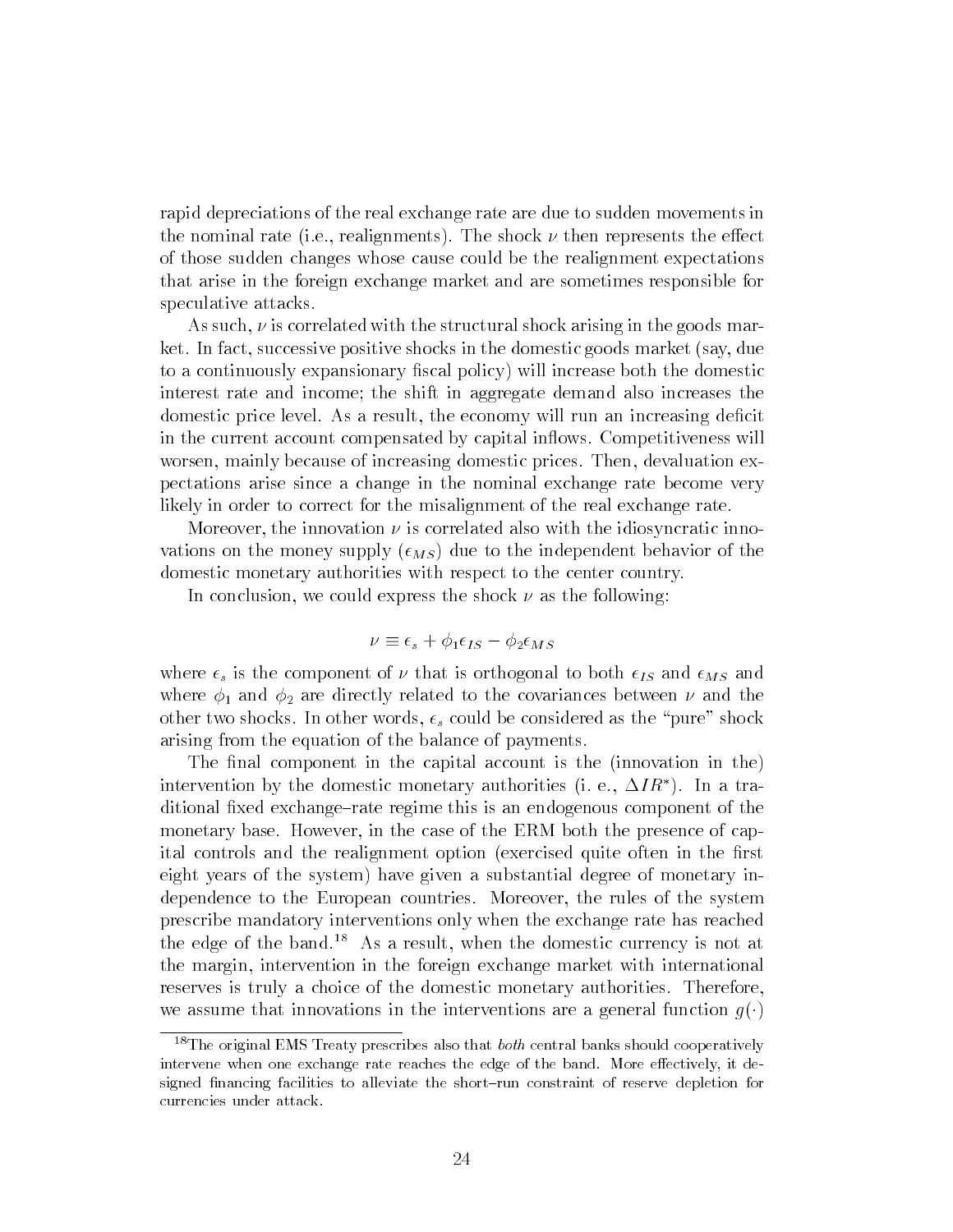rapid depreciations of the real exchange rate are due to sudden movements in the nominal rate (i.e., realignments). The shock  $\nu$  then represents the effect of those sudden changes whose cause could be the realignment expectations that arise in the foreign exchange market and are sometimes responsible for speculative attacks.

As such,  $\nu$  is correlated with the structural shock arising in the goods market. In fact, successive positive shocks in the domestic goods market (say, due to a continuously expansionary fiscal policy) will increase both the domestic interest rate and income; the shift in aggregate demand also increases the domestic price level. As a result, the economy will run an increasing deficit in the current account compensated by capital inflows. Competitiveness will worsen, mainly because of increasing domestic prices. Then, devaluation expectations arise since a change in the nominal exchange rate become very likely in order to correct for the misalignment of the real exchange rate.

Moreover, the innovation  $\nu$  is correlated also with the idiosyncratic innovations on the money supply  $(\epsilon_{MS})$  due to the independent behavior of the domestic monetary authorities with respect to the center country.

In conclusion, we could express the shock  $\nu$  as the following:

$$
\nu \equiv \epsilon_s + \phi_1 \epsilon_{IS} - \phi_2 \epsilon_{MS}
$$

where  $\epsilon_s$  is the component of  $\nu$  that is orthogonal to both  $\epsilon_{IS}$  and  $\epsilon_{MS}$  and where  $\phi_1$  and  $\phi_2$  are directly related to the covariances between  $\nu$  and the other two shocks. In other words,  $\epsilon_s$  could be considered as the "pure" shock arising from the equation of the balance of payments.

The final component in the capital account is the (innovation in the) intervention by the domestic monetary authorities (i. e.,  $\Delta IR^*$ ). In a traditional fixed exchange-rate regime this is an endogenous component of the monetary base. However, in the case of the ERM both the presence of capital controls and the realignment option (exercised quite often in the first eight years of the system) have given a substantial degree of monetary independence to the European countries. Moreover, the rules of the system prescribe mandatory interventions only when the exchange rate has reached the edge of the band.18 As a result, when the domestic currency is not at the margin, intervention in the foreign exchange market with international reserves is truly a choice of the domestic monetary authorities. Therefore, we assume that innovations in the interventions are a general function  $g(\cdot)$ 

 $18$ The original EMS Treaty prescribes also that *both* central banks should cooperatively intervene when one exchange rate reaches the edge of the band. More effectively, it designed financing facilities to alleviate the short-run constraint of reserve depletion for currencies under attack.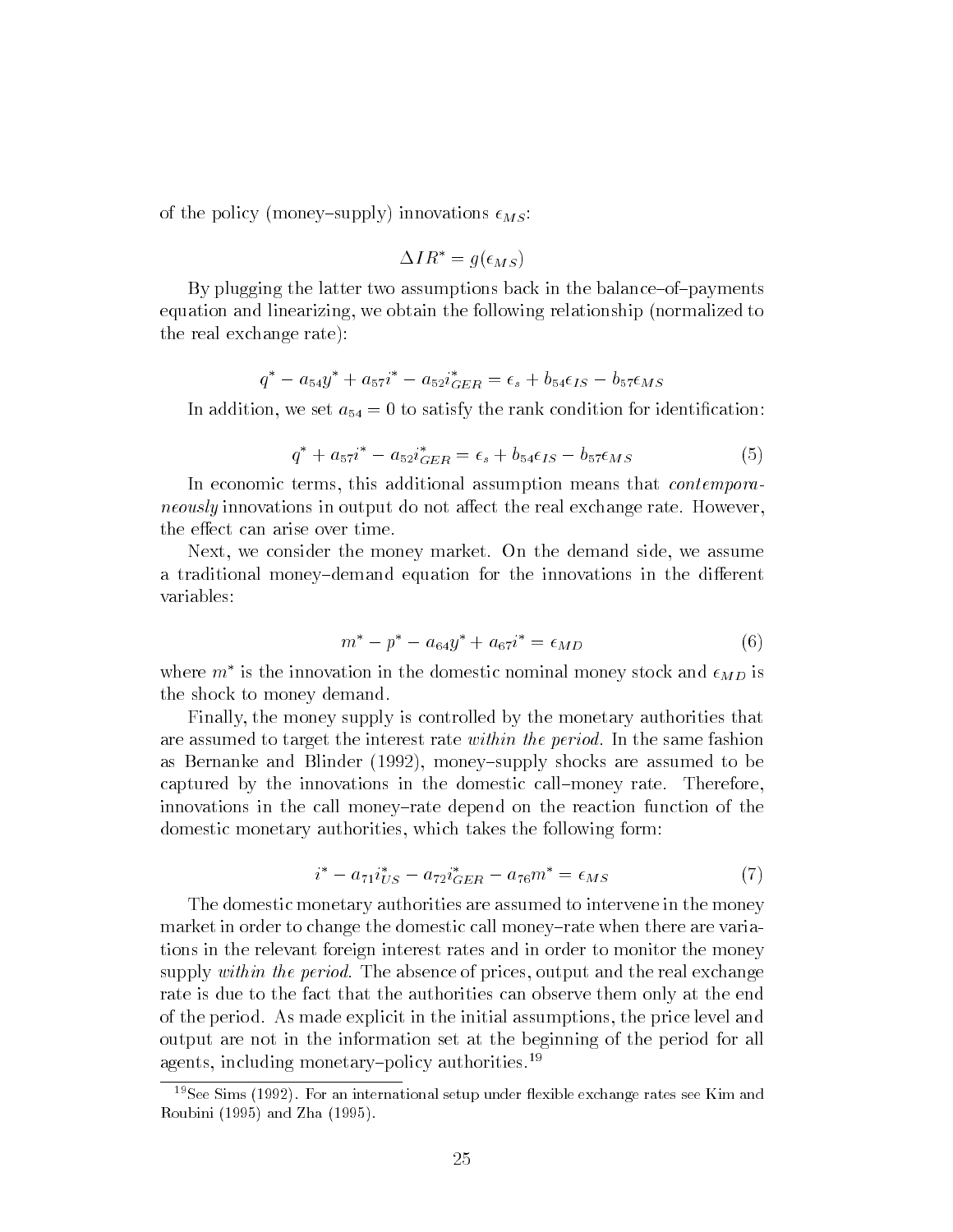of the policy (money-supply) innovations  $\epsilon_{MS}$ :

$$
\Delta IR^* = g(\epsilon_{MS})
$$

By plugging the latter two assumptions back in the balance-of-payments equation and linearizing, we obtain the following relationship (normalized to the real exchange rate):

$$
q^* - a_{54}y^* + a_{57}i^* - a_{52}i_{GER}^* = \epsilon_s + b_{54}\epsilon_{IS} - b_{57}\epsilon_{MS}
$$

In addition, we set  $a_{54} = 0$  to satisfy the rank condition for identification:

$$
q^* + a_{57}i^* - a_{52}i_{GER}^* = \epsilon_s + b_{54}\epsilon_{IS} - b_{57}\epsilon_{MS}
$$
 (5)

In economic terms, this additional assumption means that *contempora*neously innovations in output do not affect the real exchange rate. However, the effect can arise over time.

Next, we consider the money market. On the demand side, we assume a traditional money-demand equation for the innovations in the different variables:

$$
m^* - p^* - a_{64}y^* + a_{67}i^* = \epsilon_{MD} \tag{6}
$$

where  $m$  is the innovation in the domestic nominal money stock and  $\epsilon_{MD}$  is the shock to money demand.

Finally, the money supply is controlled by the monetary authorities that are assumed to target the interest rate *within the period*. In the same fashion as Bernanke and Blinder  $(1992)$ , money-supply shocks are assumed to be captured by the innovations in the domestic call-money rate. Therefore, innovations in the call money-rate depend on the reaction function of the domestic monetary authorities, which takes the following form:

$$
i^* - a_{71}i_{US}^* - a_{72}i_{GER}^* - a_{76}m^* = \epsilon_{MS}
$$
 (7)

The domestic monetary authorities are assumed to intervene in the money market in order to change the domestic call money-rate when there are variations in the relevant foreign interest rates and in order to monitor the money supply within the period. The absence of prices, output and the real exchange rate is due to the fact that the authorities can observe them only at the end of the period. As made explicit in the initial assumptions, the price level and output are not in the information set at the beginning of the period for all agents, including monetary-policy authorities.<sup>19</sup>

 $19$ See Sims (1992). For an international setup under flexible exchange rates see Kim and Roubini (1995) and Zha (1995).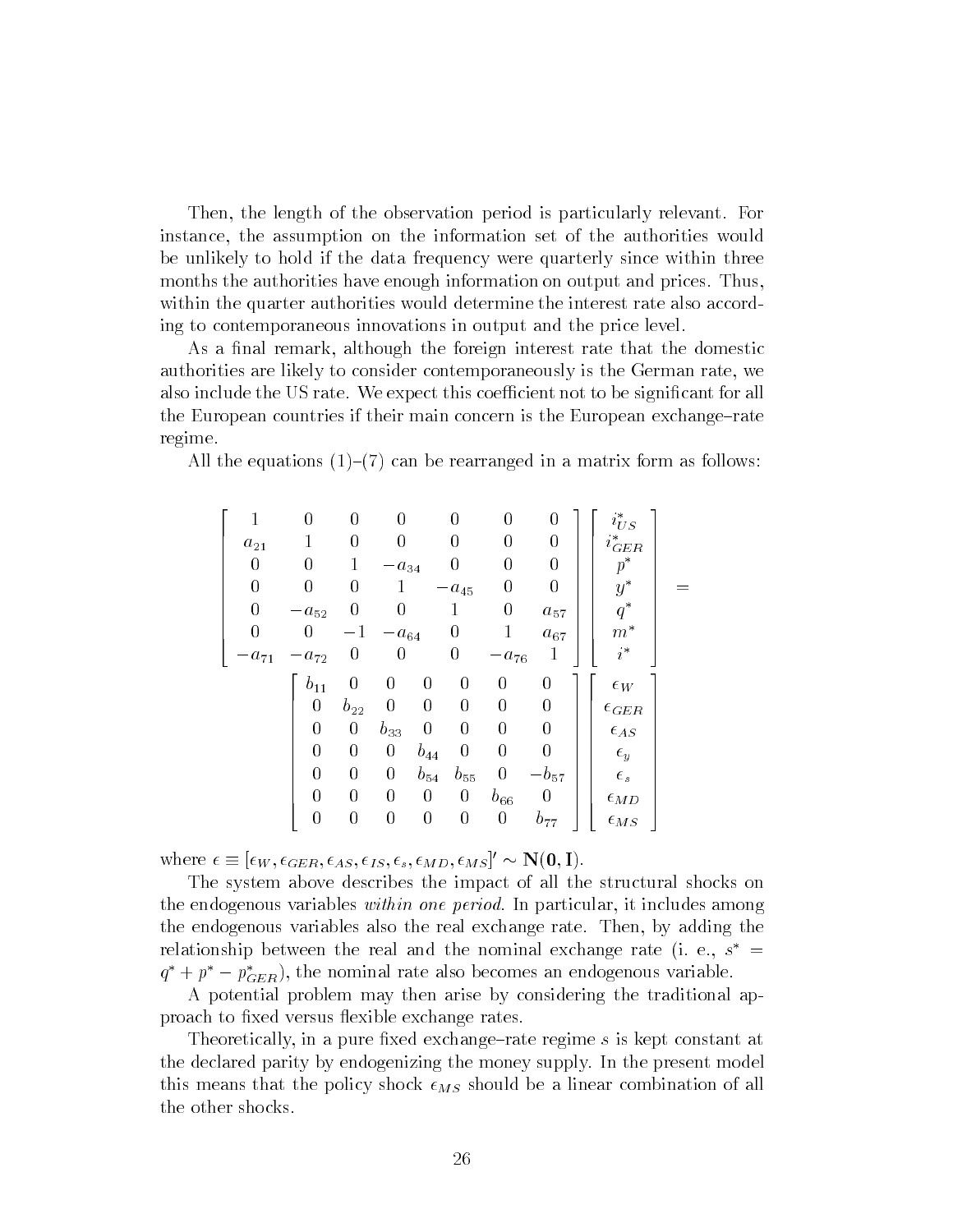Then, the length of the observation period is particularly relevant. For instance, the assumption on the information set of the authorities would be unlikely to hold if the data frequency were quarterly since within three months the authorities have enough information on output and prices. Thus, within the quarter authorities would determine the interest rate also according to contemporaneous innovations in output and the price level.

As a final remark, although the foreign interest rate that the domestic authorities are likely to consider contemporaneously is the German rate, we also include the US rate. We expect this coefficient not to be significant for all the European countries if their main concern is the European exchange-rate regime.

All the equations  $(1)-(7)$  can be rearranged in a matrix form as follows:

$$
\begin{bmatrix}\n1 & 0 & 0 & 0 & 0 & 0 & 0 \\
a_{21} & 1 & 0 & 0 & 0 & 0 & 0 \\
0 & 0 & 1 & -a_{34} & 0 & 0 & 0 \\
0 & 0 & 0 & 1 & -a_{45} & 0 & 0 \\
0 & -a_{52} & 0 & 0 & 1 & 0 & a_{57} \\
-a_{71} & -a_{72} & 0 & 0 & 0 & -a_{76} & 1\n\end{bmatrix}\n\begin{bmatrix}\ni_{US}^* \\
i_{GER}^* \\
p^* \\
p^* \\
q^* \\
q^* \\
m^*\n\end{bmatrix} = \n\begin{bmatrix}\nb_{11} & 0 & 0 & 0 & 0 & 0 & 0 \\
0 & b_{22} & 0 & 0 & 0 & 0 & 0 \\
0 & 0 & b_{33} & 0 & 0 & 0 & 0 \\
0 & 0 & 0 & b_{44} & 0 & 0 & 0 \\
0 & 0 & 0 & 0 & 0 & 0 & 0 \\
0 & 0 & 0 & 0 & 0 & 0 & 0 \\
0 & 0 & 0 & 0 & 0 & 0 & b_{57}\n\end{bmatrix}\n\begin{bmatrix}\n\epsilon_W \\
\epsilon_{0} \\
\epsilon_{0} \\
\epsilon_{1} \\
\epsilon_{1} \\
\epsilon_{2} \\
\epsilon_{3} \\
\epsilon_{3} \\
\epsilon_{4} \\
\epsilon_{5} \\
\epsilon_{5} \\
\epsilon_{6} \\
\epsilon_{7} \\
\epsilon_{8} \\
\epsilon_{9} \\
\epsilon_{9} \\
\epsilon_{1} \\
\epsilon_{1} \\
\epsilon_{2} \\
\epsilon_{3} \\
\epsilon_{3} \\
\epsilon_{4} \\
\epsilon_{4} \\
\epsilon_{5} \\
\epsilon_{5} \\
\epsilon_{6} \\
\epsilon_{6} \\
\epsilon_{7} \\
\epsilon_{8} \\
\epsilon_{9} \\
\epsilon_{9} \\
\epsilon_{1} \\
\epsilon_{1} \\
\epsilon_{2} \\
\epsilon_{3} \\
\epsilon_{3} \\
\epsilon_{4} \\
\epsilon_{5} \\
\epsilon_{6} \\
\epsilon_{7} \\
\epsilon_{8} \\
\epsilon_{9} \\
\epsilon_{1} \\
\epsilon_{1} \\
\epsilon_{2} \\
\epsilon_{3} \\
\epsilon_{3} \\
\epsilon_{4} \\
\epsilon_{5} \\
\epsilon_{6} \\
\epsilon_{7} \\
\epsilon_{8} \\
\epsilon_{8} \\
\epsilon_{9} \\
\epsilon_{1} \\
\epsilon_{1} \\
\epsilon_{2} \\
\epsilon_{3} \\
\epsilon_{3} \\
\epsilon_{4} \\
\epsilon_{5} \\
\epsilon_{6}
$$

where  $\epsilon = |\epsilon_W, \epsilon_{GER}, \epsilon_{AS}, \epsilon_{IS}, \epsilon_s, \epsilon_{MD}, \epsilon_{MS}| \sim N(U, I).$ 

The system above describes the impact of all the structural shocks on the endogenous variables within one period. In particular, it includes among the endogenous variables also the real exchange rate. Then, by adding the relationship between the real and the nominal exchange rate (i. e.,  $s$   $\,$   $=$   $\,$  $q^+ + p^- - p_{GER}$ ), the nominal rate also becomes an endogenous variable.

A potential problem may then arise by considering the traditional approach to fixed versus flexible exchange rates.

Theoretically, in a pure fixed exchange–rate regime s is kept constant at the declared parity by endogenizing the money supply. In the present model this means that the policy shock  $\epsilon_{MS}$  should be a linear combination of all the other shocks.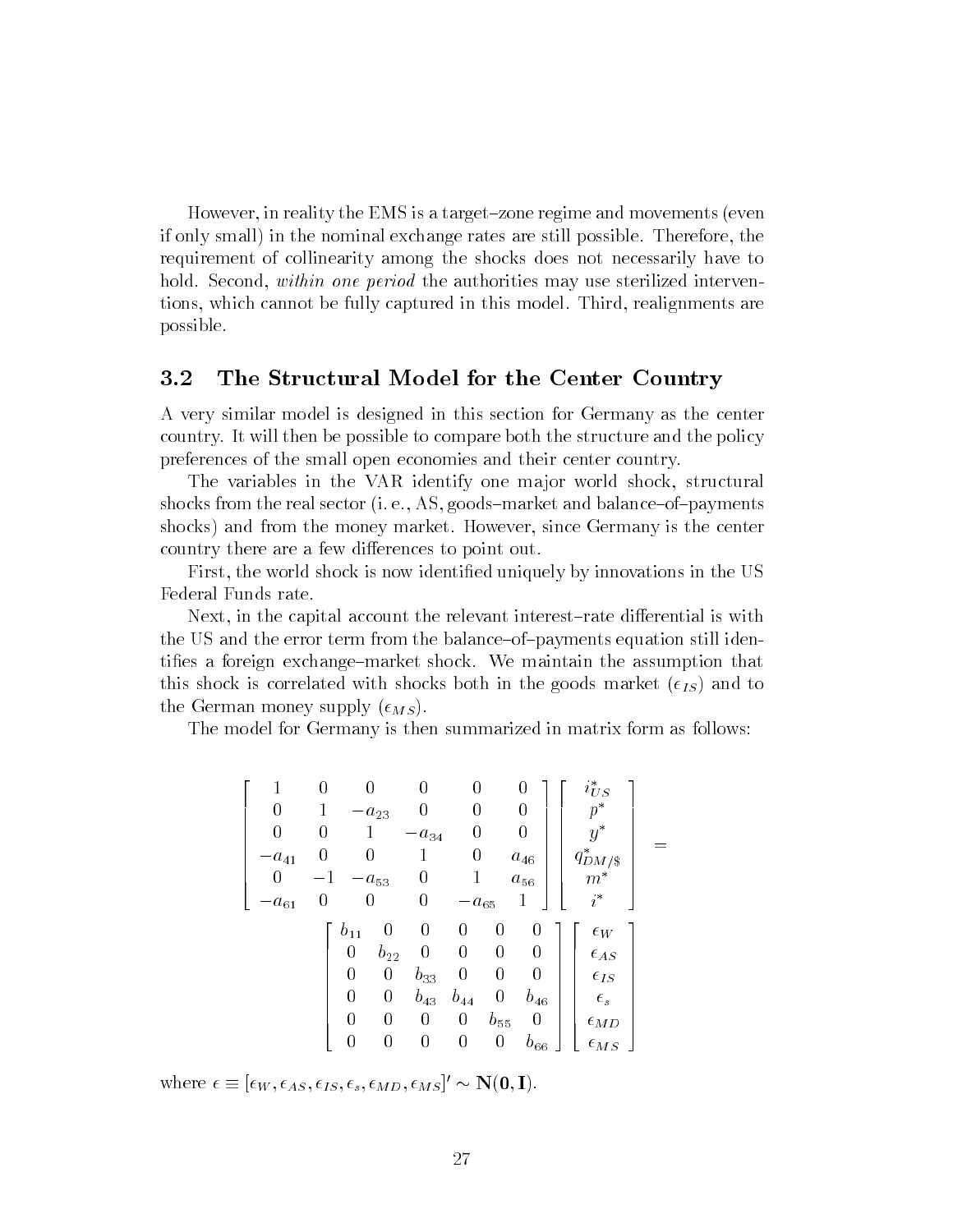However, in reality the EMS is a target-zone regime and movements (even if only small) in the nominal exchange rates are still possible. Therefore, the requirement of collinearity among the shocks does not necessarily have to hold. Second, within one period the authorities may use sterilized interventions, which cannot be fully captured in this model. Third, realignments are possible.

#### $3.2$ The Structural Model for the Center Country

A very similar model is designed in this section for Germany as the center country. It will then be possible to compare both the structure and the policy preferences of the small open economies and their center country.

The variables in the VAR identify one major world shock, structural shocks from the real sector (i. e., AS, goods–market and balance–of–payments shocks) and from the money market. However, since Germany is the center country there are a few differences to point out.

First, the world shock is now identied uniquely by innovations in the US Federal Funds rate.

Next, in the capital account the relevant interest-rate differential is with the US and the error term from the balance-of-payments equation still identifies a foreign exchange–market shock. We maintain the assumption that this shock is correlated with shocks both in the goods market  $(\epsilon_{IS})$  and to the German money supply  $(\epsilon_{MS})$ .

The model for Germany is then summarized in matrix form as follows:

$$
\begin{bmatrix}\n1 & 0 & 0 & 0 & 0 & 0 \\
0 & 1 & -a_{23} & 0 & 0 & 0 \\
0 & 0 & 1 & -a_{34} & 0 & 0 \\
-a_{41} & 0 & 0 & 1 & 0 & a_{46} \\
0 & -1 & -a_{53} & 0 & 1 & a_{56} \\
-a_{61} & 0 & 0 & 0 & -a_{65} & 1\n\end{bmatrix}\n\begin{bmatrix}\ni_{US}^* \\
p^* \\
g^*_{DM/\$} \\
m^* \\
i^*\n\end{bmatrix} = \n\begin{bmatrix}\nb_{11} & 0 & 0 & 0 & 0 & 0 \\
0 & b_{22} & 0 & 0 & 0 & 0 \\
0 & 0 & b_{33} & 0 & 0 & 0 \\
0 & 0 & b_{43} & b_{44} & 0 & b_{46} \\
0 & 0 & 0 & 0 & 0 & b_{55} & 0 \\
0 & 0 & 0 & 0 & 0 & 0 & b_{66}\n\end{bmatrix}\n\begin{bmatrix}\n\epsilon_W \\
\epsilon_{AS} \\
\epsilon_S \\
\epsilon_S \\
\epsilon_M_D\n\end{bmatrix}
$$

where  $\epsilon = [\epsilon_W, \epsilon_{AS}, \epsilon_{IS}, \epsilon_s, \epsilon_{MD}, \epsilon_{MS}] \sim \text{IN}(\mathbf{U}, \mathbf{I}).$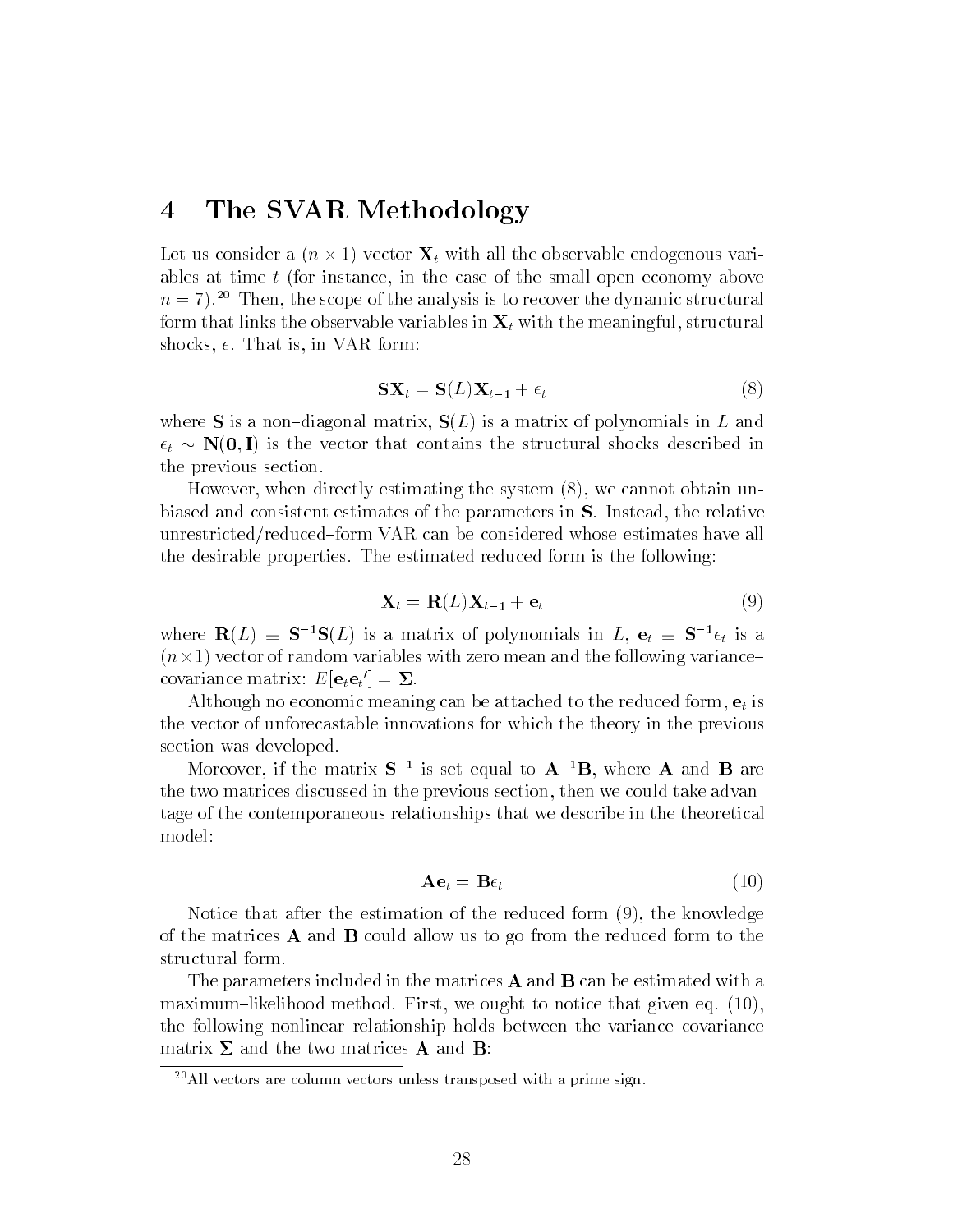## 4 The SVAR Methodology

 $\Lambda$  and  $\mu$  with all the observable endogenous variables at time t (for instance, in the case of the small open economy above  $n = 7$ .<sup>20</sup> Then, the scope of the analysis is to recover the dynamic structural form that links the observable variables in  $X_t$  with the meaningful, structural shocks,  $\epsilon$ . That is, in VAR form:

$$
SX_t = S(L)X_{t-1} + \epsilon_t \tag{8}
$$

where S is a non-diagonal matrix,  $S(L)$  is a matrix of polynomials in L and  $\epsilon_t \sim \mathbf{N}(\mathbf{0}, \mathbf{I})$  is the vector that contains the structural shocks described in the previous section.

However, when directly estimating the system (8), we cannot obtain unbiased and consistent estimates of the parameters in S. Instead, the relative unrestricted/reduced{form VAR can be considered whose estimates have all the desirable properties. The estimated reduced form is the following:

$$
\mathbf{X}_t = \mathbf{R}(L)\mathbf{X}_{t-1} + \mathbf{e}_t \tag{9}
$$

where  $\mathbf{R}(L) = \mathbf{S}^{-1}\mathbf{S}(L)$  is a matrix of polynomials in  $L, e_t = \mathbf{S}^{-1}\epsilon_t$  is a  $\mathbf{1}$  vector of random variables with zero mean and the following variance following variance  $\mathbf{1}$ covariance matrix:  $E[\mathbf{e}_t \mathbf{e}_t] = \boldsymbol{\Sigma}$ .

Although no economic meaning can be attached to the reduced form,  $e_t$  is the vector of unforecastable innovations for which the theory in the previous section was developed.

Moreover, if the matrix  $S$  is set equal to  $A$  ib, where  $A$  and  $B$  are the two matrices discussed in the previous section, then we could take advantage of the contemporaneous relationships that we describe in the theoretical model:

$$
\mathbf{A}\mathbf{e}_t = \mathbf{B}\epsilon_t \tag{10}
$$

Notice that after the estimation of the reduced form (9), the knowledge of the matrices  $\bf{A}$  and  $\bf{B}$  could allow us to go from the reduced form to the structural form.

The parameters included in the matrices  $A$  and  $B$  can be estimated with a maximum-likelihood method. First, we ought to notice that given eq.  $(10)$ , the following nonlinear relationship holds between the variance-covariance matrix  $\Sigma$  and the two matrices **A** and **B**:

 $^{20}$ All vectors are column vectors unless transposed with a prime sign.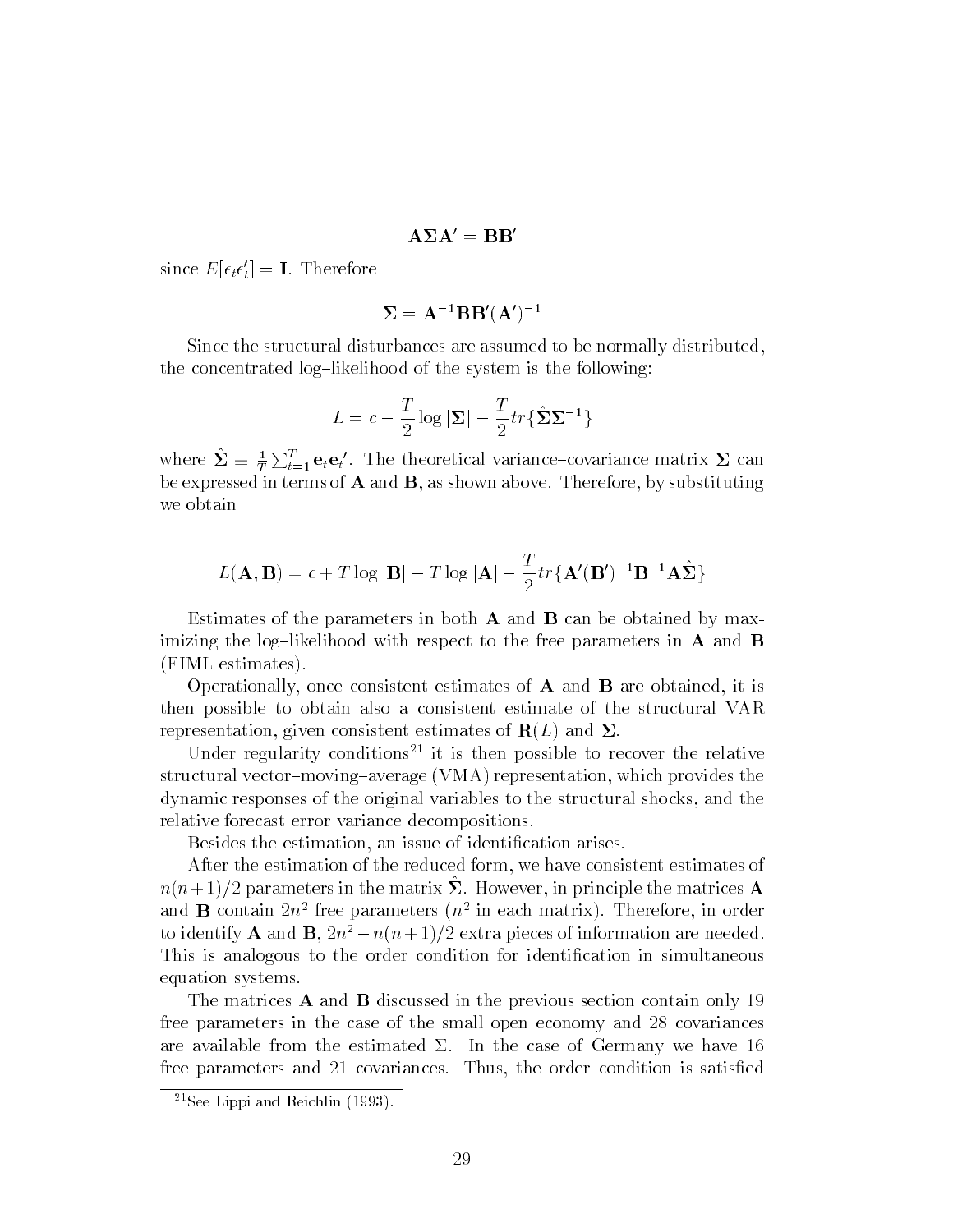### $A\Sigma A' = BB'$

since  $E[\epsilon_t \epsilon_t] = \mathbf{I}$ . Therefore

$$
\boldsymbol{\Sigma} = \mathbf{A}^{-1} \mathbf{B} \mathbf{B}' (\mathbf{A}')^{-1}
$$

Since the structural disturbances are assumed to be normally distributed, the concentrated log-likelihood of the system is the following:

$$
L = c - \frac{T}{2} \log |\mathbf{\Sigma}| - \frac{T}{2} tr \{ \hat{\mathbf{\Sigma}} \mathbf{\Sigma}^{-1} \}
$$

where  $\Sigma \equiv \frac{1}{T} \sum_{t=1}^{T} \mathbf{e}_t \mathbf{e}_t'$ . The theoretical variance-covariance matrix  $\Sigma$  can be expressed in terms of A and B, as shown above. Therefore, by substituting we obtain

$$
L(\mathbf{A}, \mathbf{B}) = c + T \log |\mathbf{B}| - T \log |\mathbf{A}| - \frac{T}{2} tr{\{\mathbf{A}'(\mathbf{B}')^{-1}\mathbf{B}^{-1}\mathbf{A}\hat{\mathbf{\Sigma}}\}}
$$

Estimates of the parameters in both  $A$  and  $B$  can be obtained by maximizing the log-likelihood with respect to the free parameters in  $\bf{A}$  and  $\bf{B}$ (FIML estimates).

Operationally, once consistent estimates of  $A$  and  $B$  are obtained, it is then possible to obtain also a consistent estimate of the structural VAR representation, given consistent estimates of  $\mathbf{R}(L)$  and  $\Sigma$ .

Under regularity conditions<sup>21</sup> it is then possible to recover the relative structural vector-moving-average (VMA) representation, which provides the dynamic responses of the original variables to the structural shocks, and the relative forecast error variance decompositions.

Besides the estimation, an issue of identication arises.

After the estimation of the reduced form, we have consistent estimates of  $n(n+1)/2$  parameters in the matrix  $\Delta$ . However, in principle the matrices  $\bf{A}$ and  $\bf{D}$  contain  $2n^2$  free parameters ( $n^2$  in each matrix). Therefore, in order to identify **A** and **B**,  $2n^2 - n(n+1)/2$  extra pieces of information are needed. This is analogous to the order condition for identication in simultaneous equation systems.

The matrices  $\bf{A}$  and  $\bf{B}$  discussed in the previous section contain only 19 free parameters in the case of the small open economy and 28 covariances are available from the estimated  $\Sigma$ . In the case of Germany we have 16 free parameters and 21 covariances. Thus, the order condition is satisfied

<sup>21</sup>See Lippi and Reichlin (1993).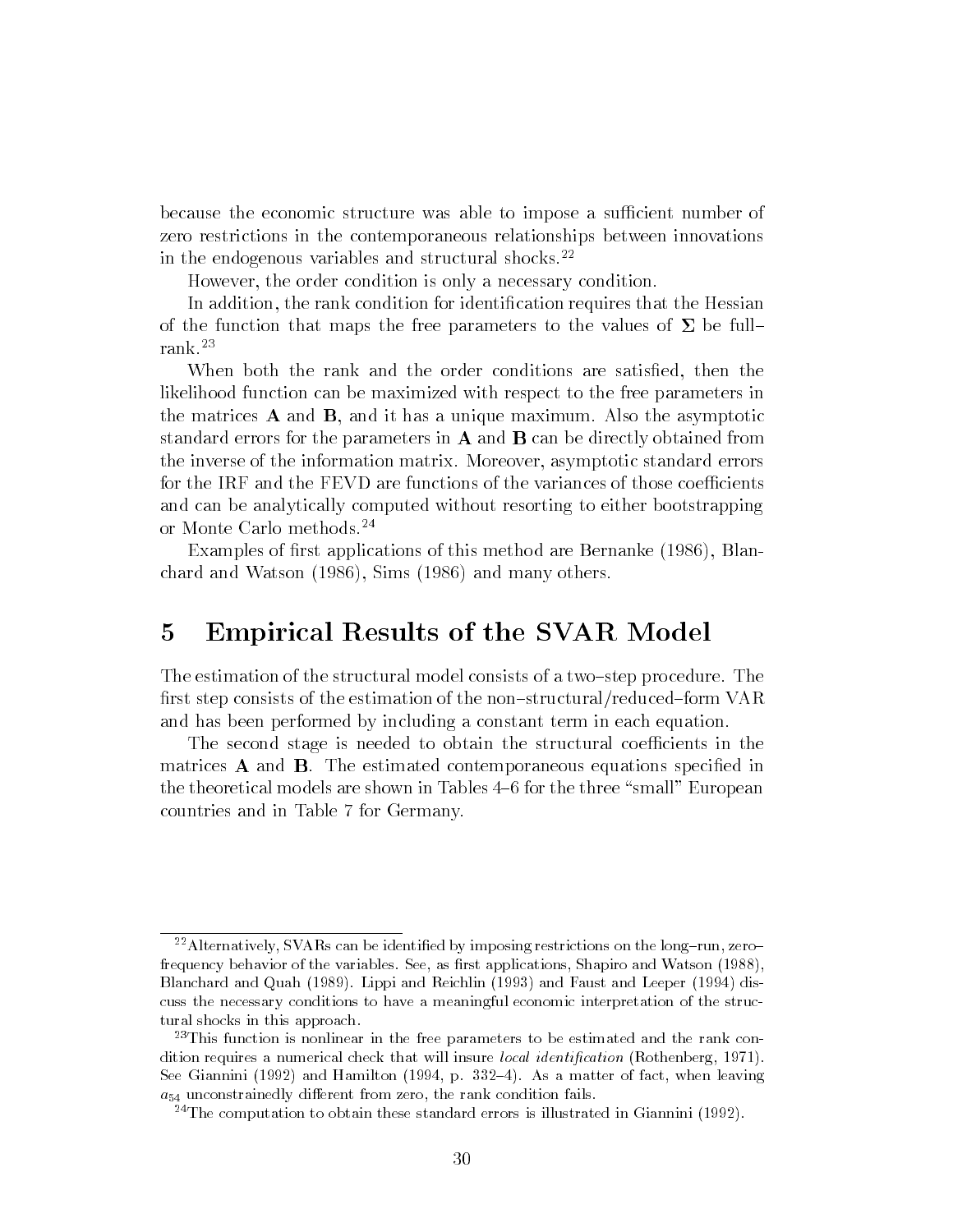because the economic structure was able to impose a sufficient number of zero restrictions in the contemporaneous relationships between innovations in the endogenous variables and structural shocks.<sup>22</sup>

However, the order condition is only a necessary condition.

In addition, the rank condition for identication requires that the Hessian of the function that maps the free parameters to the values of  $\Sigma$  be fullrank.23

When both the rank and the order conditions are satisfied, then the likelihood function can be maximized with respect to the free parameters in the matrices  $\bf{A}$  and  $\bf{B}$ , and it has a unique maximum. Also the asymptotic standard errors for the parameters in  $A$  and  $B$  can be directly obtained from the inverse of the information matrix. Moreover, asymptotic standard errors for the IRF and the FEVD are functions of the variances of those coefficients and can be analytically computed without resorting to either bootstrapping or Monte Carlo methods.<sup>24</sup>

Examples of first applications of this method are Bernanke (1986), Blanchard and Watson (1986), Sims (1986) and many others.

# 5 Empirical Results of the SVAR Model

The estimation of the structural model consists of a two-step procedure. The first step consists of the estimation of the non-structural/reduced-form VAR and has been performed by including a constant term in each equation.

The second stage is needed to obtain the structural coefficients in the matrices  $\bf{A}$  and  $\bf{B}$ . The estimated contemporaneous equations specified in the theoretical models are shown in Tables 4–6 for the three "small" European countries and in Table 7 for Germany.

<sup>&</sup>lt;sup>22</sup> Alternatively, SVARs can be identified by imposing restrictions on the long-run, zerofrequency behavior of the variables. See, as first applications, Shapiro and Watson (1988), Blanchard and Quah (1989). Lippi and Reichlin (1993) and Faust and Leeper (1994) discuss the necessary conditions to have a meaningful economic interpretation of the structural shocks in this approach.

<sup>&</sup>lt;sup>23</sup>This function is nonlinear in the free parameters to be estimated and the rank condition requires a numerical check that will insure *local identification* (Rothenberg, 1971). See Giannini (1992) and Hamilton (1994, p. 332–4). As a matter of fact, when leaving  $a_{54}$  unconstrainedly different from zero, the rank condition fails.

<sup>&</sup>lt;sup>24</sup>The computation to obtain these standard errors is illustrated in Giannini (1992).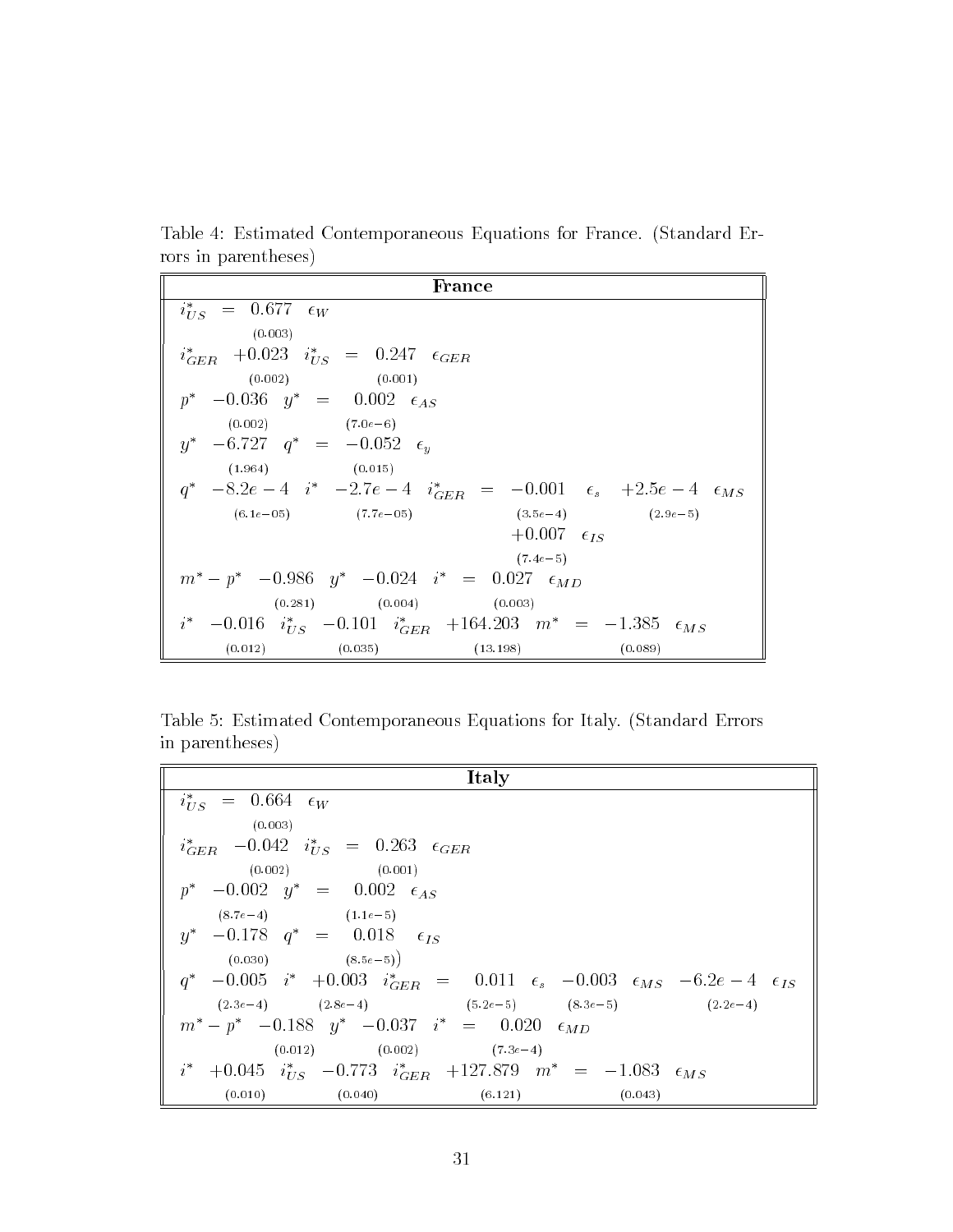Table 4: Estimated Contemporaneous Equations for France. (Standard Errors in parentheses)

| France                                                                                         |
|------------------------------------------------------------------------------------------------|
| $i_{US}^* = 0.677 \epsilon_W$                                                                  |
| (0.003)                                                                                        |
| $i_{GER}^*$ +0.023 $i_{US}^*$ = 0.247 $\epsilon_{GER}$                                         |
| $(0.002)$ $(0.001)$                                                                            |
| $p^*$ -0.036 $y^*$ = 0.002 $\epsilon_{AS}$                                                     |
| $(0.002)$ $(7.0e-6)$                                                                           |
| $y^*$ -6.727 $q^*$ = -0.052 $\epsilon_u$                                                       |
| $(1.964)$ $(0.015)$                                                                            |
| $q^*$ -8.2 $e-4$ $i^*$ -2.7 $e-4$ $i_{GER}^*$ = -0.001 $\epsilon_s$ +2.5 $e-4$ $\epsilon_{MS}$ |
| $(6.1e-05)$ $(7.7e-05)$ $(3.5e-4)$ $(2.9e-5)$                                                  |
| $+0.007$ $\epsilon_{IS}$                                                                       |
| $(7.4e-5)$                                                                                     |
| $m^* - p^* - 0.986 y^* - 0.024 i^* = 0.027 \epsilon_{MD}$                                      |
| $(0.281)$ $(0.004)$ $(0.003)$                                                                  |
| $i^*$ -0.016 $i^*_{US}$ -0.101 $i^*_{GER}$ +164.203 $m^*$ = -1.385 $\epsilon_{MS}$             |
| (0.035)<br>(0.012)<br>$(13.198)$ $(0.089)$                                                     |

Table 5: Estimated Contemporaneous Equations for Italy. (Standard Errors in parentheses)

| Italy                                                                                                                                 |
|---------------------------------------------------------------------------------------------------------------------------------------|
| $i_{IIS}^* = 0.664 \epsilon_W$                                                                                                        |
| (0.003)                                                                                                                               |
| $i_{GER}^*$ -0.042 $i_{US}^*$ = 0.263 $\epsilon_{GER}$                                                                                |
| $(0.002)$ $(0.001)$                                                                                                                   |
| $p^*$ -0.002 $y^*$ = 0.002 $\epsilon_{AS}$                                                                                            |
| $(8.7e-4)$ $(1.1e-5)$                                                                                                                 |
| $y^*$ -0.178 $q^*$ = 0.018 $\epsilon_{IS}$                                                                                            |
| $(0.030)$ $(8.5e-5)$                                                                                                                  |
| $q^*$ -0.005 i <sup>*</sup> +0.003 i <sup>*</sup> <sub>GER</sub> = 0.011 $\epsilon_s$ -0.003 $\epsilon_{MS}$ -6.2e -4 $\epsilon_{IS}$ |
| $(2.3e-4)$ $(2.8e-4)$ $(5.2e-5)$ $(8.3e-5)$ $(2.2e-4)$                                                                                |
| $m^* - p^* - 0.188$ $y^* - 0.037$ $i^* = 0.020$ $\epsilon_{MD}$                                                                       |
| $(0.012)$ $(0.002)$ $(7.3e-4)$                                                                                                        |
| $i^*$ +0.045 $i^*_{US}$ -0.773 $i^*_{GER}$ +127.879 $m^*$ = -1.083 $\epsilon_{MS}$                                                    |
| $(0.010)$ $(0.040)$<br>(6.121)<br>(0.043)                                                                                             |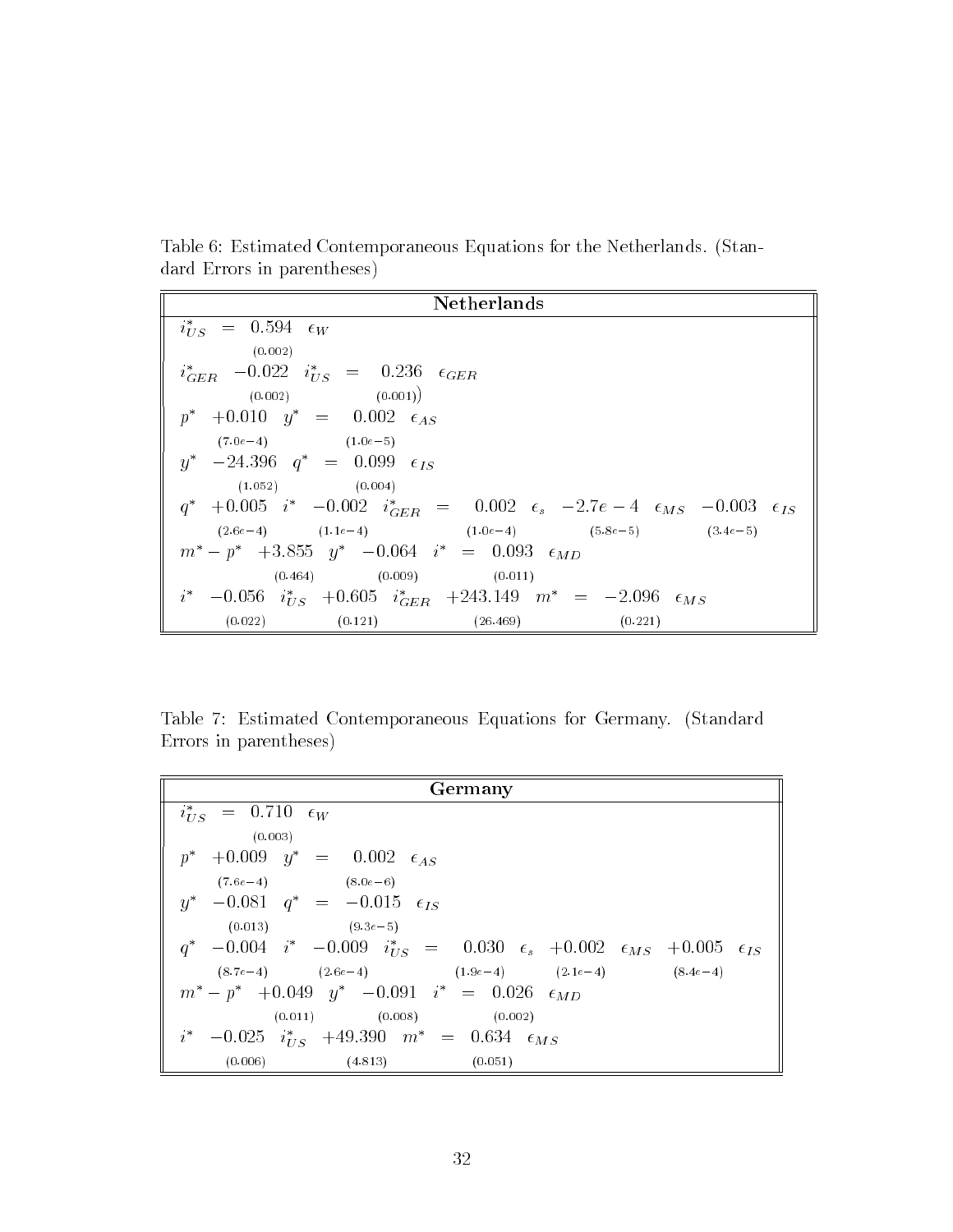Table 6: Estimated Contemporaneous Equations for the Netherlands. (Standard Errors in parentheses)

| Netherlands                                                                                                                           |
|---------------------------------------------------------------------------------------------------------------------------------------|
| $i_{US}^* = 0.594 \epsilon_W$                                                                                                         |
| (0.002)                                                                                                                               |
| $i_{GER}^*$ -0.022 $i_{US}^*$ = 0.236 $\epsilon_{GER}$                                                                                |
| $(0.002)$ $(0.001)$                                                                                                                   |
| $p^*$ +0.010 $y^*$ = 0.002 $\epsilon_{AS}$                                                                                            |
| $(7.0e-4)$ $(1.0e-5)$                                                                                                                 |
| $y^*$ -24.396 $q^*$ = 0.099 $\epsilon_{IS}$                                                                                           |
| $(1.052)$ $(0.004)$                                                                                                                   |
| $q^*$ +0.005 i <sup>*</sup> -0.002 i <sup>*</sup> <sub>GER</sub> = 0.002 $\epsilon_s$ -2.7e -4 $\epsilon_{MS}$ -0.003 $\epsilon_{IS}$ |
| $(2.6e-4)$ $(1.1e-4)$ $(1.0e-4)$ $(5.8e-5)$ $(3.4e-5)$                                                                                |
| $m^* - p^* + 3.855 y^* - 0.064 i^* = 0.093 \epsilon_{MD}$                                                                             |
| $(0.464)$ $(0.009)$ $(0.011)$                                                                                                         |
| $i^*$ -0.056 $i^*_{iIS}$ +0.605 $i^*_{GER}$ +243.149 $m^*$ = -2.096 $\epsilon_{MS}$                                                   |
| $(0.022)$ $(0.121)$ $(26.469)$ $(0.221)$                                                                                              |

Table 7: Estimated Contemporaneous Equations for Germany. (Standard Errors in parentheses)

| Germany                                                                                                                                   |
|-------------------------------------------------------------------------------------------------------------------------------------------|
| $i_{IIS}^* = 0.710 \epsilon_W$                                                                                                            |
| (0.003)                                                                                                                                   |
| $p^*$ +0.009 $y^*$ = 0.002 $\epsilon_{AS}$                                                                                                |
| $(7.6e-4)$ $(8.0e-6)$                                                                                                                     |
| $y^*$ -0.081 $q^*$ = -0.015 $\epsilon_{IS}$                                                                                               |
| $(0.013)$ $(9.3e-5)$                                                                                                                      |
| $q^*$ -0.004 i <sup>*</sup> -0.009 i <sup>*</sup> <sub><i>US</i></sub> = 0.030 $\epsilon_s$ +0.002 $\epsilon_{MS}$ +0.005 $\epsilon_{IS}$ |
| $(8.7e-4)$ $(2.6e-4)$ $(1.9e-4)$ $(2.1e-4)$ $(8.4e-4)$                                                                                    |
| $m^* - p^* + 0.049$ $y^* - 0.091$ $i^* = 0.026$ $\epsilon_{MD}$                                                                           |
| $(0.011)$ $(0.008)$ $(0.002)$                                                                                                             |
| $i^*$ -0.025 $i^*_{US}$ +49.390 $m^*$ = 0.634 $\epsilon_{MS}$                                                                             |
| (0.006)<br>$(4.813)$ $(0.051)$                                                                                                            |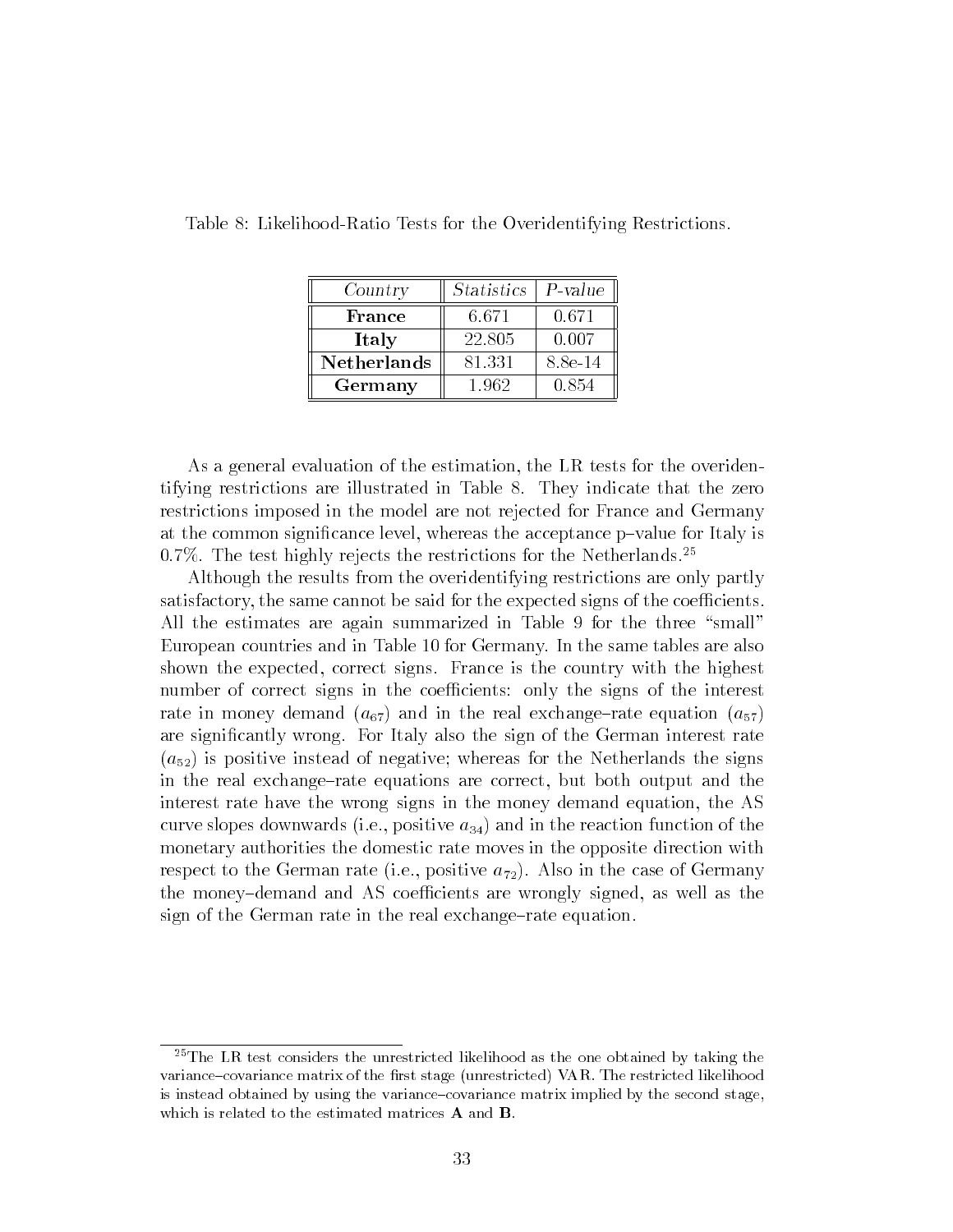| Country     | <i>Statistics</i> | $P-value$ |
|-------------|-------------------|-----------|
| France      | 6.671             | 0.671     |
| Italy       | 22.805            | 0.007     |
| Netherlands | 81.331            | 8.8e-14   |
| Germany     | 1.962             | 0.854     |

Table 8: Likelihood-Ratio Tests for the Overidentifying Restrictions.

As a general evaluation of the estimation, the LR tests for the overidentifying restrictions are illustrated in Table 8. They indicate that the zero restrictions imposed in the model are not rejected for France and Germany at the common significance level, whereas the acceptance p-value for Italy is 0.7%. The test highly rejects the restrictions for the Netherlands.<sup>25</sup>

Although the results from the overidentifying restrictions are only partly satisfactory, the same cannot be said for the expected signs of the coefficients. All the estimates are again summarized in Table 9 for the three "small" European countries and in Table 10 for Germany. In the same tables are also shown the expected, correct signs. France is the country with the highest number of correct signs in the coefficients: only the signs of the interest rate in money demand  $(a_{67})$  and in the real exchange-rate equation  $(a_{57})$ are signicantly wrong. For Italy also the sign of the German interest rate  $(a_{52})$  is positive instead of negative; whereas for the Netherlands the signs in the real exchange-rate equations are correct, but both output and the interest rate have the wrong signs in the money demand equation, the AS curve slopes downwards (i.e., positive  $a_{34}$ ) and in the reaction function of the monetary authorities the domestic rate moves in the opposite direction with respect to the German rate (i.e., positive  $a_{72}$ ). Also in the case of Germany the money-demand and AS coefficients are wrongly signed, as well as the sign of the German rate in the real exchange-rate equation.

<sup>&</sup>lt;sup>25</sup>The LR test considers the unrestricted likelihood as the one obtained by taking the variance-covariance matrix of the first stage (unrestricted) VAR. The restricted likelihood is instead obtained by using the variance-covariance matrix implied by the second stage, which is related to the estimated matrices **A** and **B**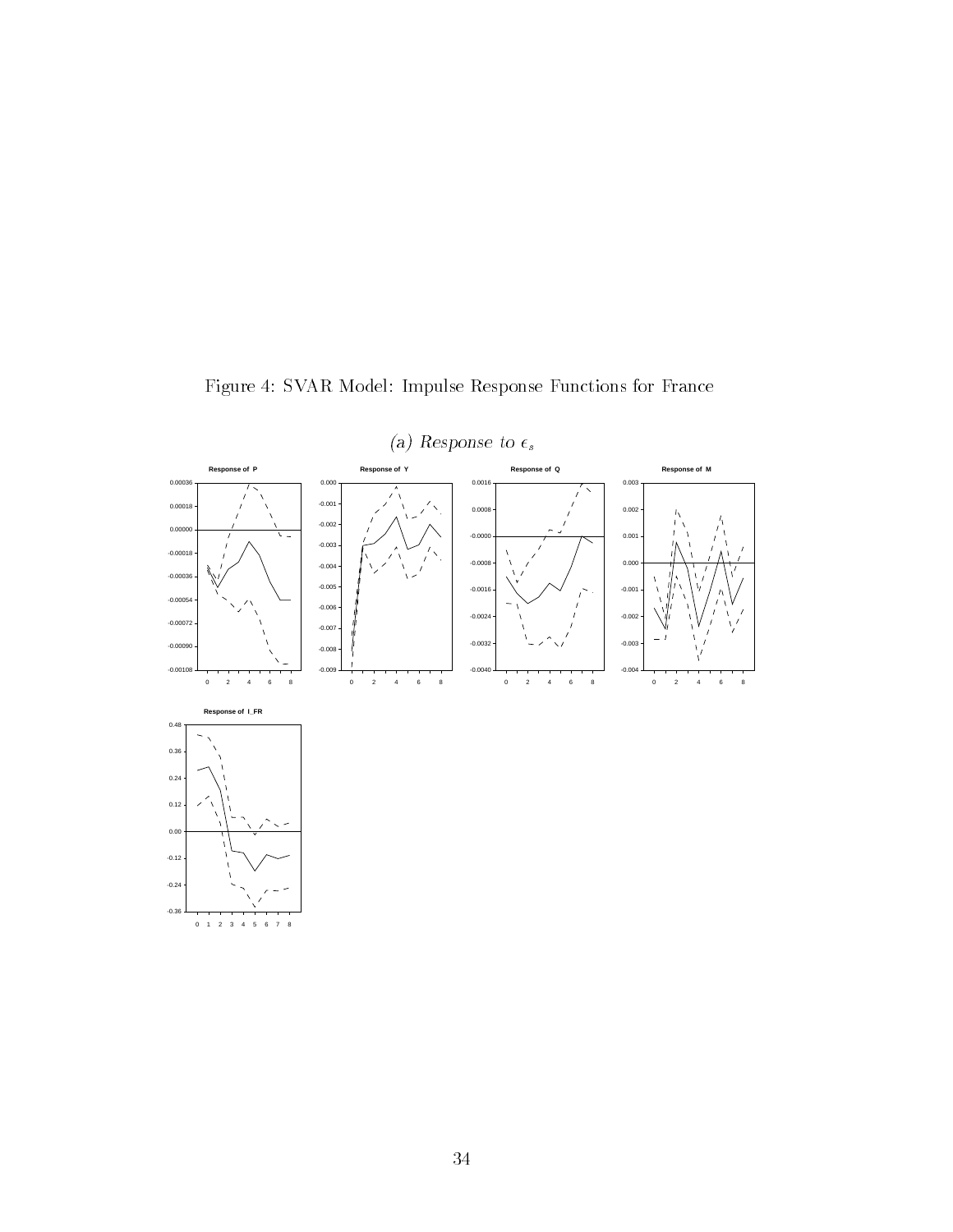

Figure 4: SVAR Model: Impulse Response Functions for France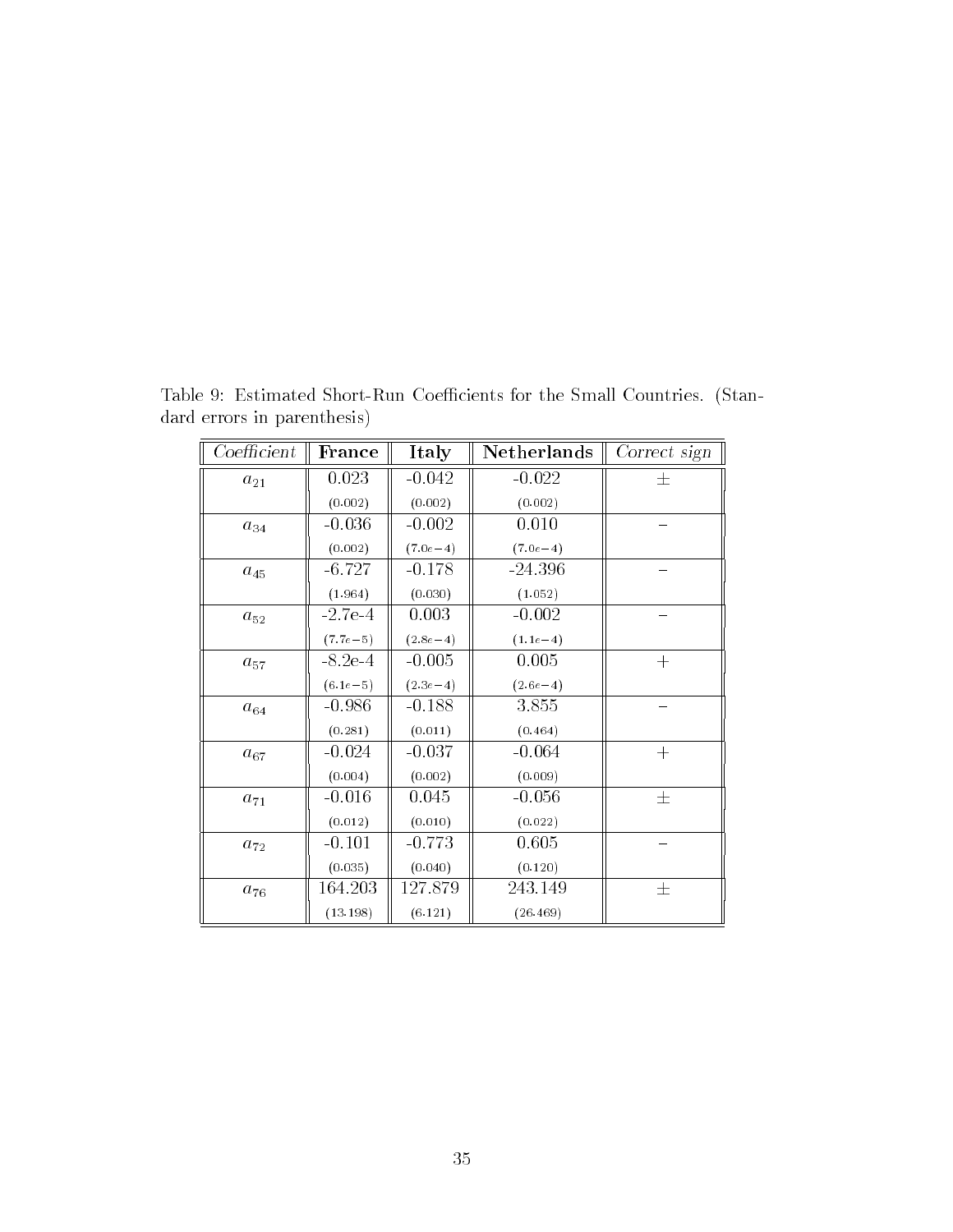| Coefficient | France       | Italy      | <b>Netherlands</b> | Correct sign |
|-------------|--------------|------------|--------------------|--------------|
| $a_{21}$    | 0.023        | $-0.042$   | $-0.022$           | 土            |
|             | (0.002)      | (0.002)    | (0.002)            |              |
| $a_{34}$    | $-0.036$     | $-0.002$   | 0.010              |              |
|             | (0.002)      | $(7.0e-4)$ | $(7.0e-4)$         |              |
| $a_{45}$    | $-6.727$     | $-0.178$   | $-24.396$          |              |
|             | (1.964)      | (0.030)    | (1.052)            |              |
| $a_{52}$    | $-2.7e-4$    | 0.003      | $-0.002$           |              |
|             | $(7.7e - 5)$ | $(2.8e-4)$ | $(1.1e-4)$         |              |
| $a_{57}$    | $-8.2e-4$    | $-0.005$   | 0.005              | $+$          |
|             | $(6.1e-5)$   | $(2.3e-4)$ | $(2.6e-4)$         |              |
| $a_{64}$    | $-0.986$     | $-0.188$   | 3.855              |              |
|             | (0.281)      | (0.011)    | (0.464)            |              |
| $a_{67}$    | $-0.024$     | $-0.037$   | $-0.064$           | $+$          |
|             | (0.004)      | (0.002)    | (0.009)            |              |
| $a_{\,71}$  | $-0.016$     | 0.045      | $-0.056$           | 士            |
|             | (0.012)      | (0.010)    | (0.022)            |              |
| $a_{72}$    | $-0.101$     | $-0.773$   | 0.605              |              |
|             | (0.035)      | (0.040)    | (0.120)            |              |
| $a_{76}$    | 164.203      | 127.879    | 243.149            | 士            |
|             | (13.198)     | (6.121)    | (26.469)           |              |

Table 9: Estimated Short-Run Coefficients for the Small Countries. (Standard errors in parenthesis)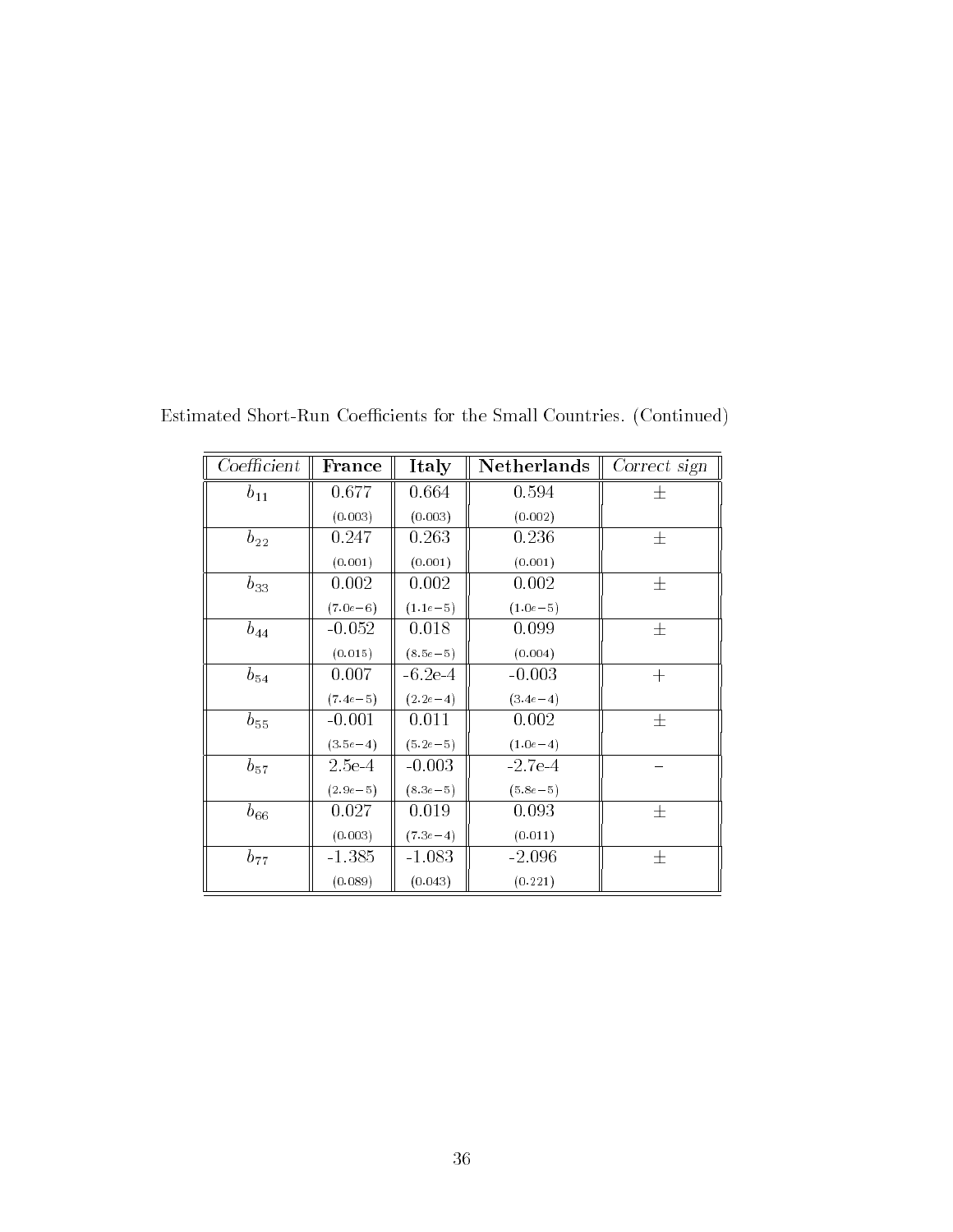| Coefficient | France       | Italy        | Netherlands  | Correct sign |
|-------------|--------------|--------------|--------------|--------------|
| $b_{11}$    | 0.677        | 0.664        | 0.594        | 士            |
|             | (0.003)      | (0.003)      | (0.002)      |              |
| $b_{22}$    | 0.247        | 0.263        | 0.236        | $\pm$        |
|             | (0.001)      | (0.001)      | (0.001)      |              |
| $b_{33}$    | 0.002        | 0.002        | 0.002        | $\pm$        |
|             | $(7.0e - 6)$ | $(1.1e-5)$   | $(1.0e-5)$   |              |
| $b_{44}$    | $-0.052$     | 0.018        | 0.099        | 士            |
|             | (0.015)      | $(8.5e - 5)$ | (0.004)      |              |
| $b_{54}$    | 0.007        | $-6.2e-4$    | $-0.003$     | $+$          |
|             | $(7.4e - 5)$ | $(2.2e-4)$   | $(3.4e-4)$   |              |
| $b_{55}$    | $-0.001$     | 0.011        | 0.002        | 士            |
|             | $(3.5e-4)$   | $(5.2e - 5)$ | $(1.0e-4)$   |              |
| $b_{57}$    | $2.5e-4$     | $-0.003$     | $-2.7e-4$    |              |
|             | $(2.9e-5)$   | $(8.3e - 5)$ | $(5.8e - 5)$ |              |
| $b_{66}$    | 0.027        | 0.019        | 0.093        | 士            |
|             | (0.003)      | $(7.3e-4)$   | (0.011)      |              |
| $b_{77}$    | $-1.385$     | $-1.083$     | $-2.096$     | 士            |
|             | (0.089)      | (0.043)      | (0.221)      |              |

Estimated Short-Run Coefficients for the Small Countries. (Continued)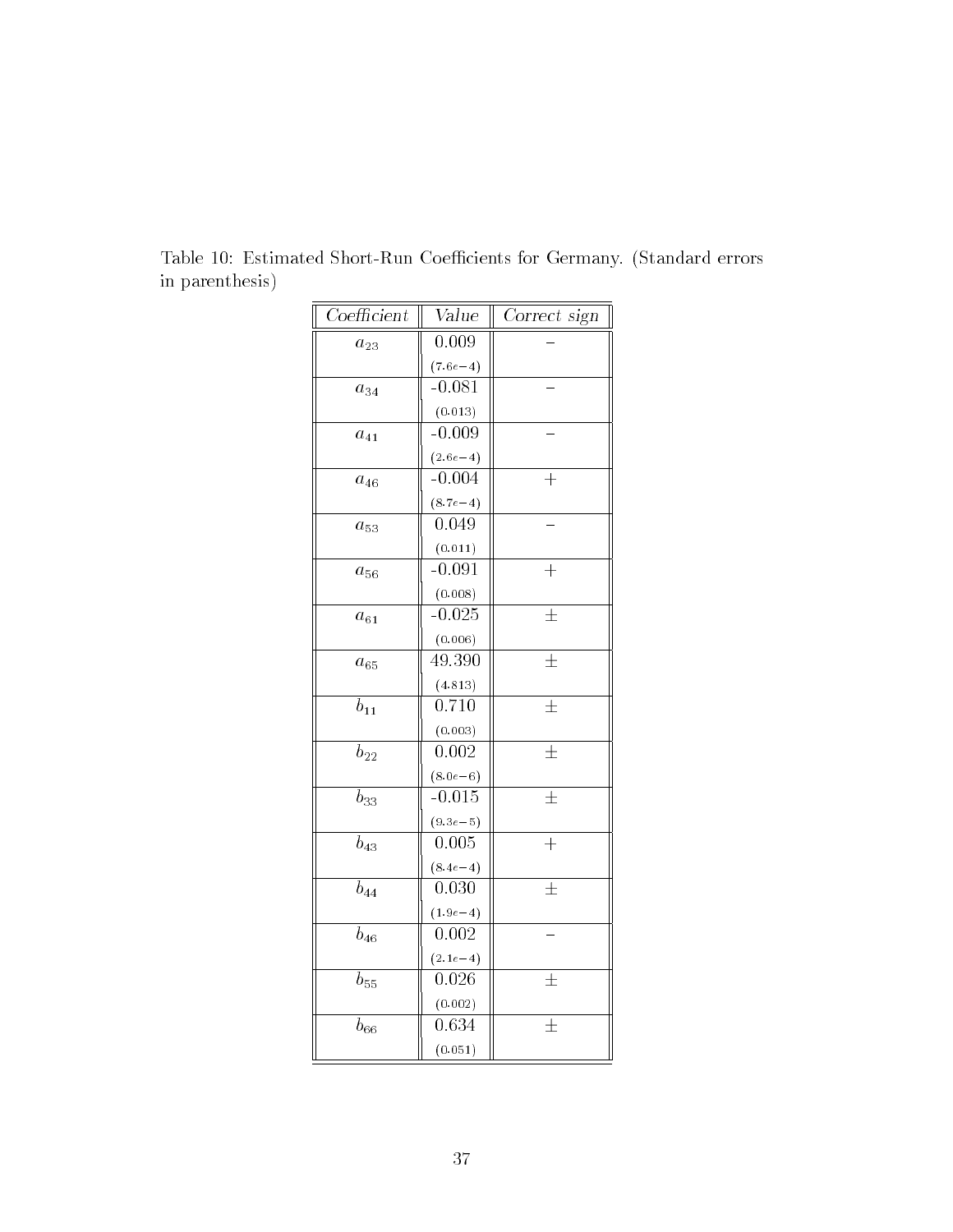| Coefficient    | $\overline{\text{Value}}$ | Correct sign     |
|----------------|---------------------------|------------------|
| $a_{23}$       | $\overline{0.009}$        |                  |
|                | $(7.6e - 4)$              |                  |
| $a_{34}$       | $-0.081$                  |                  |
|                | (0.013)                   |                  |
| $a_{41}$       | $-0.009$                  |                  |
|                | $(2.6e-4)$                |                  |
| $a_{46}$       | $-0.004$                  | $\!+\!$          |
|                | $(8.7e-4)$                |                  |
| $a_{53}$       | 0.049                     |                  |
|                | (0.011)                   |                  |
| $a_{56}$       | $-0.091$                  | $\overline{+}$   |
|                | (0.008)                   |                  |
| $a_{61}$       | $-0.025$                  | $\pm$            |
|                | (0.006)                   |                  |
| $a_{65}$       | 49.390                    | $\pm$            |
|                | (4.813)                   |                  |
| $b_{11}$       | 0.710                     | $\overline{\pm}$ |
|                | (0.003)                   |                  |
| $b_{22}$       | 0.002                     | $\pm$            |
|                | $(8.0e - 6)$              |                  |
| $b_{33}$       | $-0.015$                  | $\overline{\pm}$ |
|                | $(9.3e - 5)$              |                  |
| $b_{43}$       | 0.005                     | $\ddot{}$        |
|                | $(8.4e-4)$                |                  |
| $\bar{b}_{44}$ | 0.030                     | $\overline{\pm}$ |
|                | $(1.9e - 4)$              |                  |
| $b_{46}$       | 0.002                     |                  |
|                | $(2.1e-4)$                |                  |
| $b_{55}$       | 0.026                     | $\pm$            |
|                | (0.002)                   |                  |
| $b_{66}$       | 0.634                     | $\pm$            |
|                | (0.051)                   |                  |

Table 10: Estimated Short-Run Coefficients for Germany. (Standard errors in parenthesis)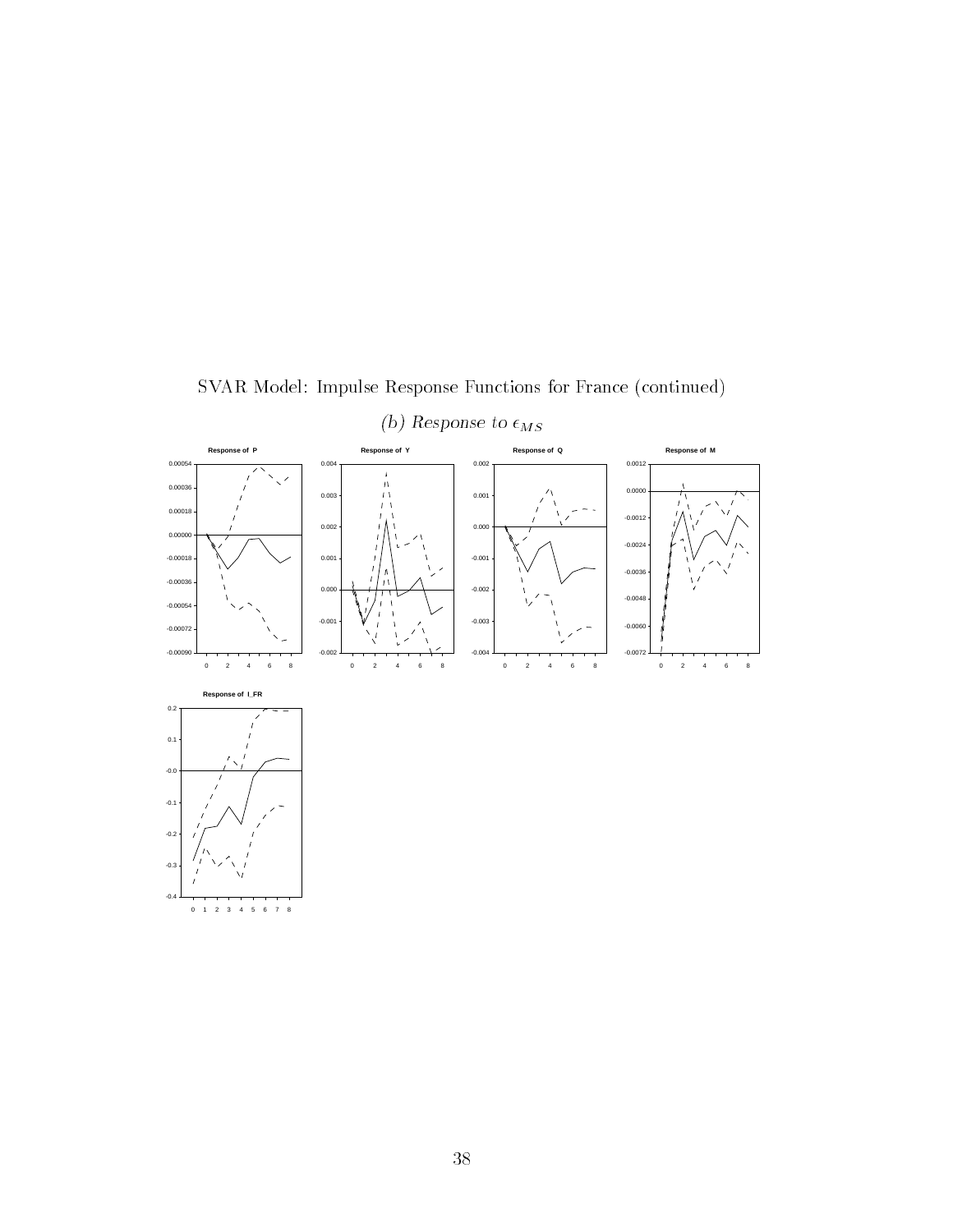

SVAR Model: Impulse Response Functions for France (continued)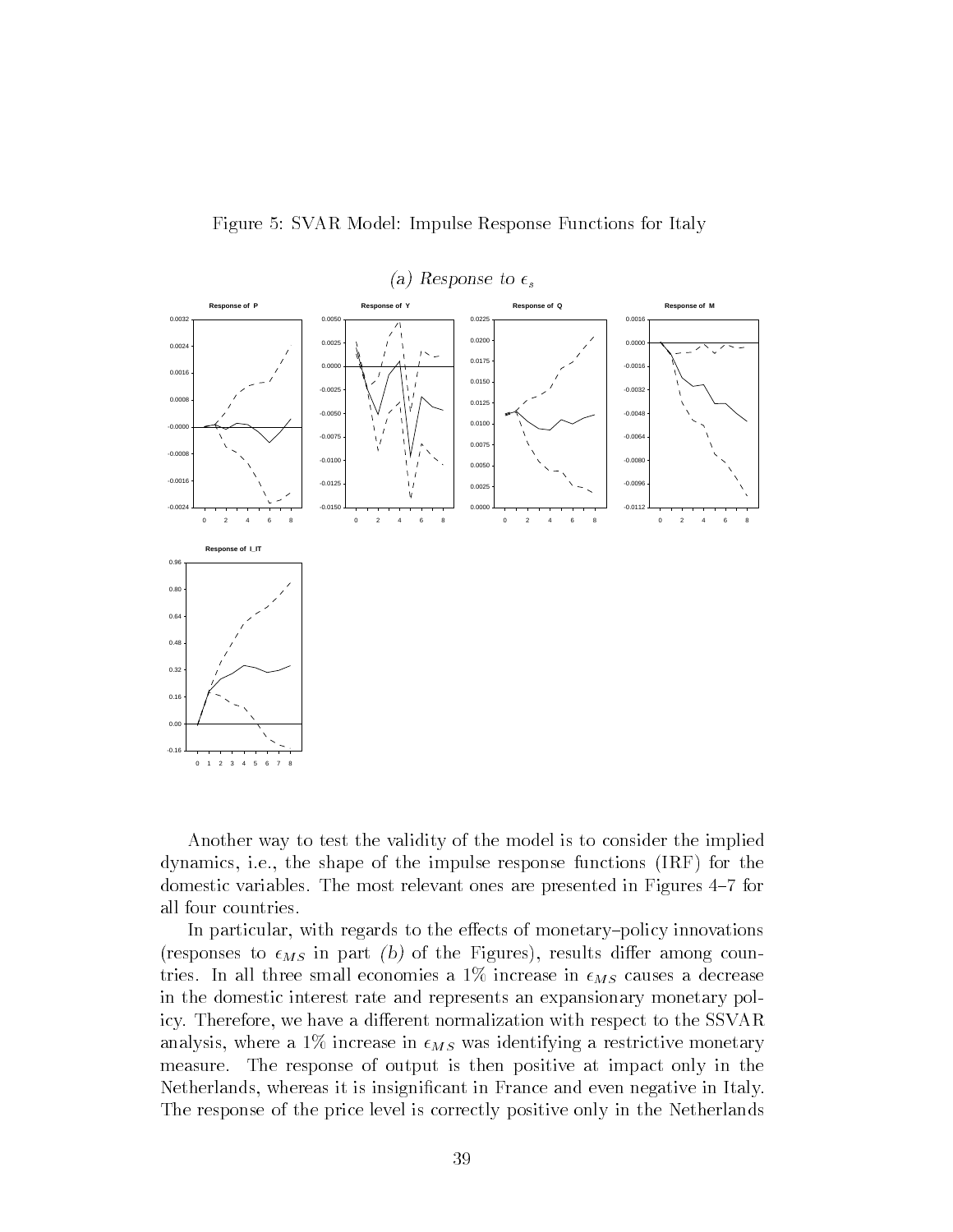

Figure 5: SVAR Model: Impulse Response Functions for Italy

Another way to test the validity of the model is to consider the implied dynamics, i.e., the shape of the impulse response functions (IRF) for the domestic variables. The most relevant ones are presented in Figures 4-7 for all four countries.

In particular, with regards to the effects of monetary-policy innovations (responses to  $\epsilon_{MS}$  in part (b) of the Figures), results differ among countries. In all three small economies a  $1\%$  increase in  $\epsilon_{MS}$  causes a decrease in the domestic interest rate and represents an expansionary monetary policy. Therefore, we have a different normalization with respect to the SSVAR analysis, where a 1% increase in  $\epsilon_{MS}$  was identifying a restrictive monetary measure. The response of output is then positive at impact only in the Netherlands, whereas it is insignificant in France and even negative in Italy. The response of the price level is correctly positive only in the Netherlands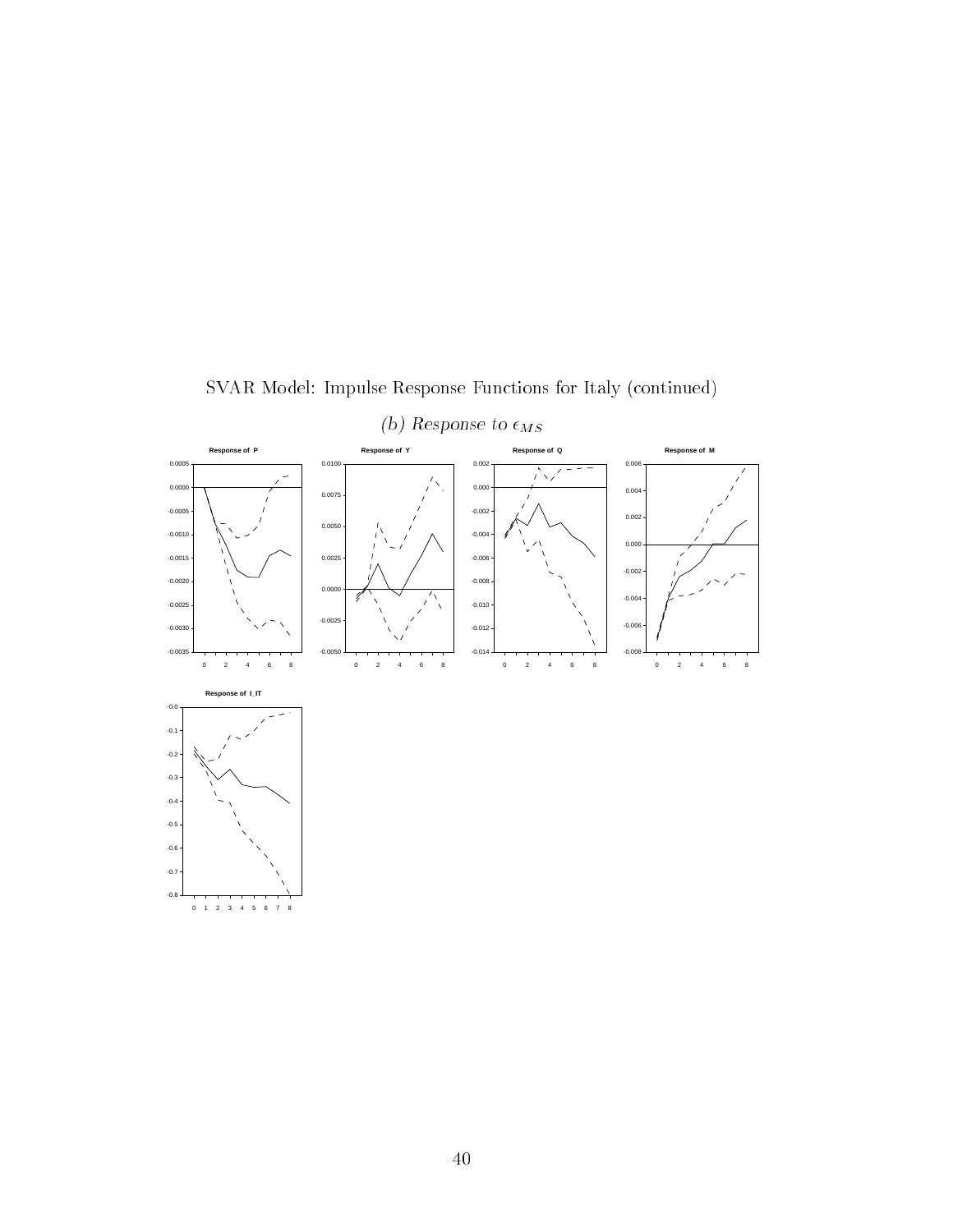

SVAR Model: Impulse Response Functions for Italy (continued)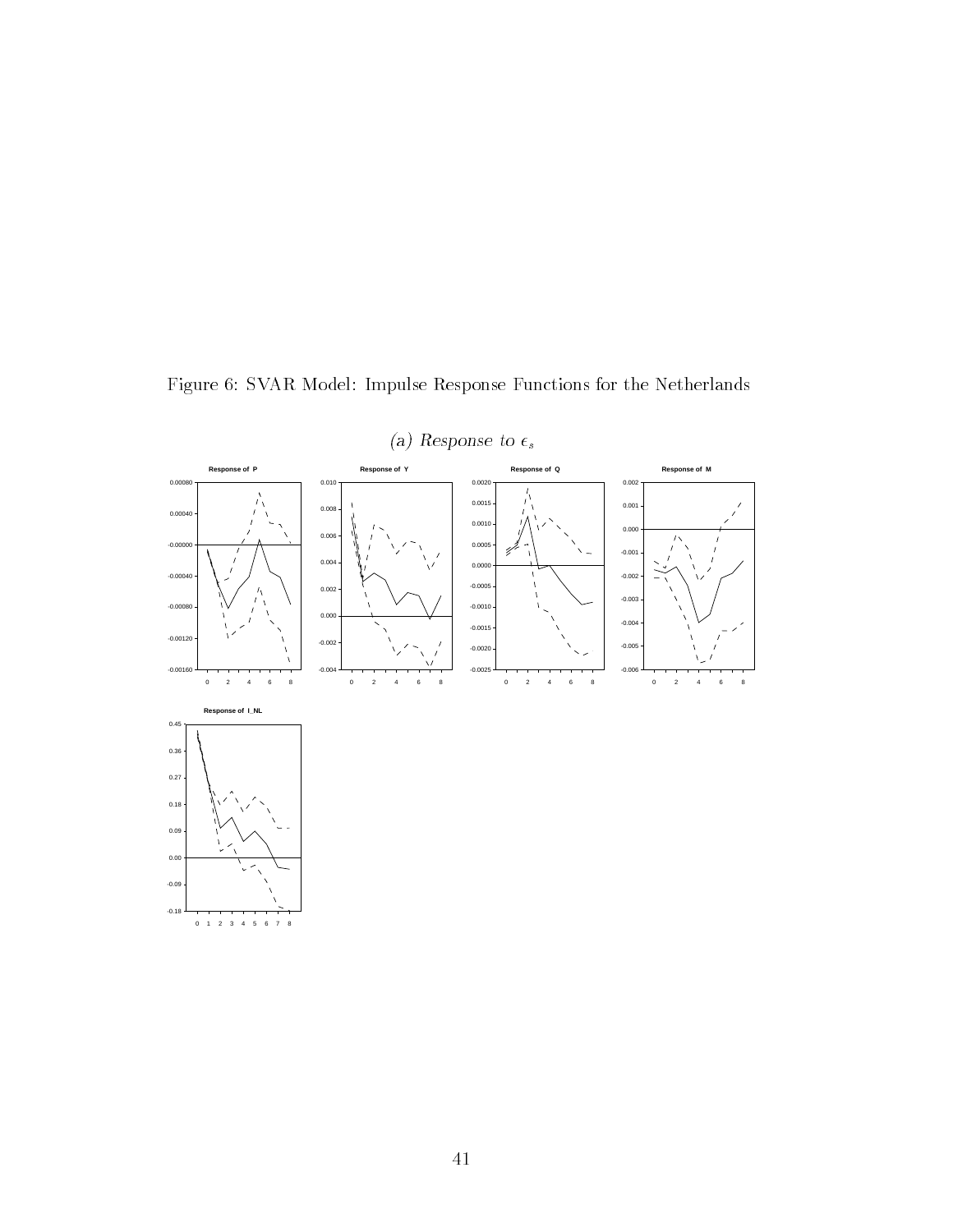

Figure 6: SVAR Model: Impulse Response Functions for the Netherlands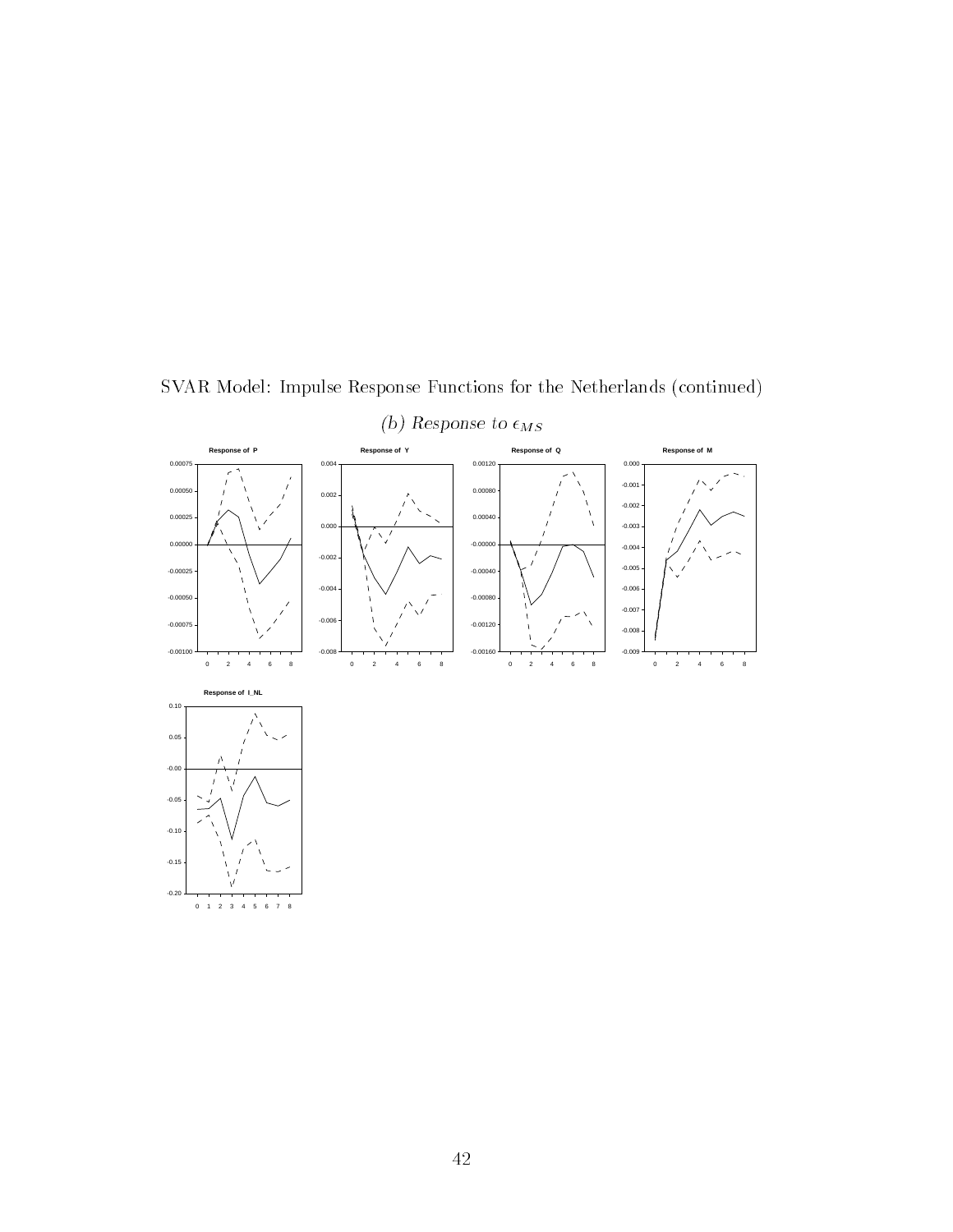

SVAR Model: Impulse Response Functions for the Netherlands (continued)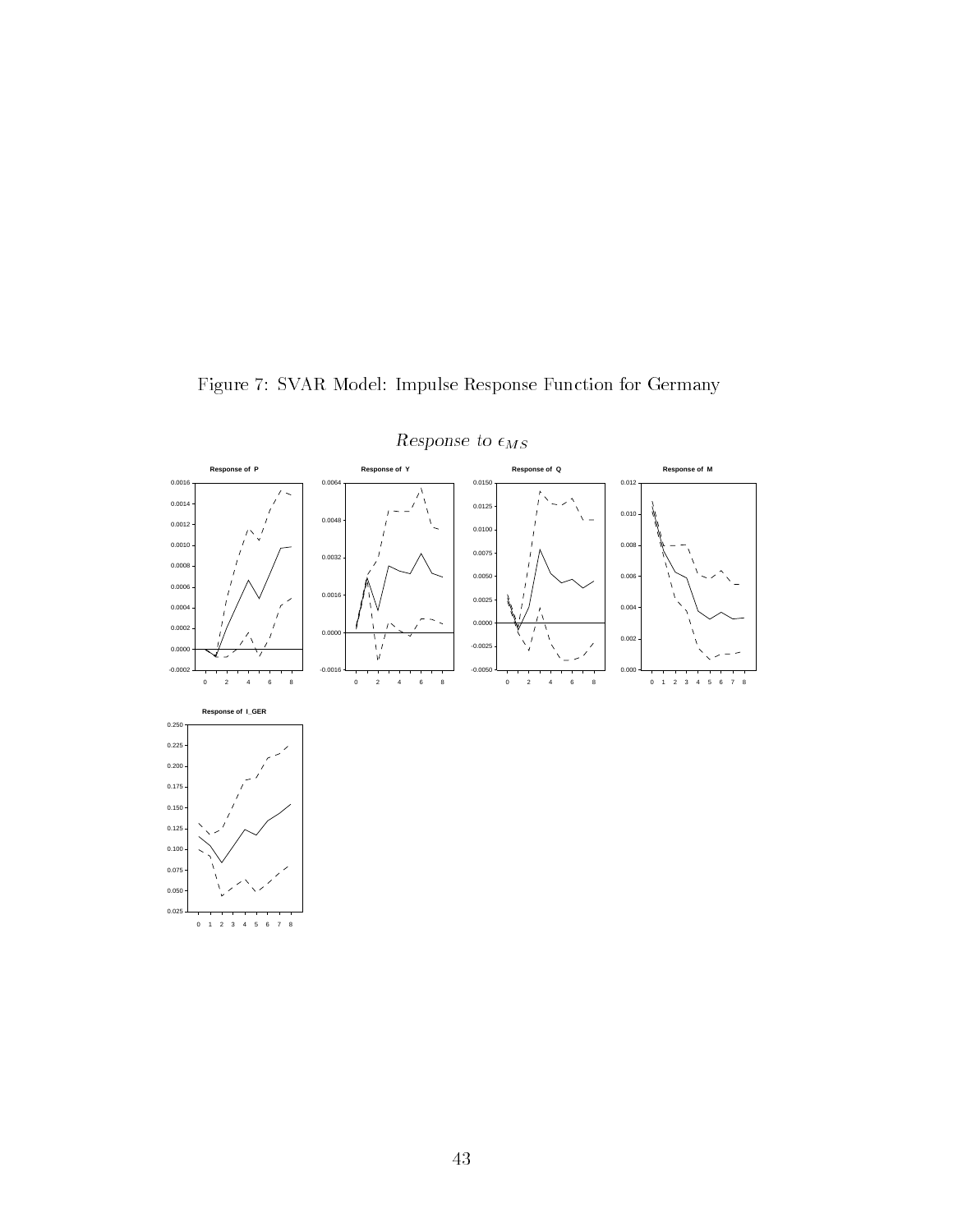

Figure 7: SVAR Model: Impulse Response Function for Germany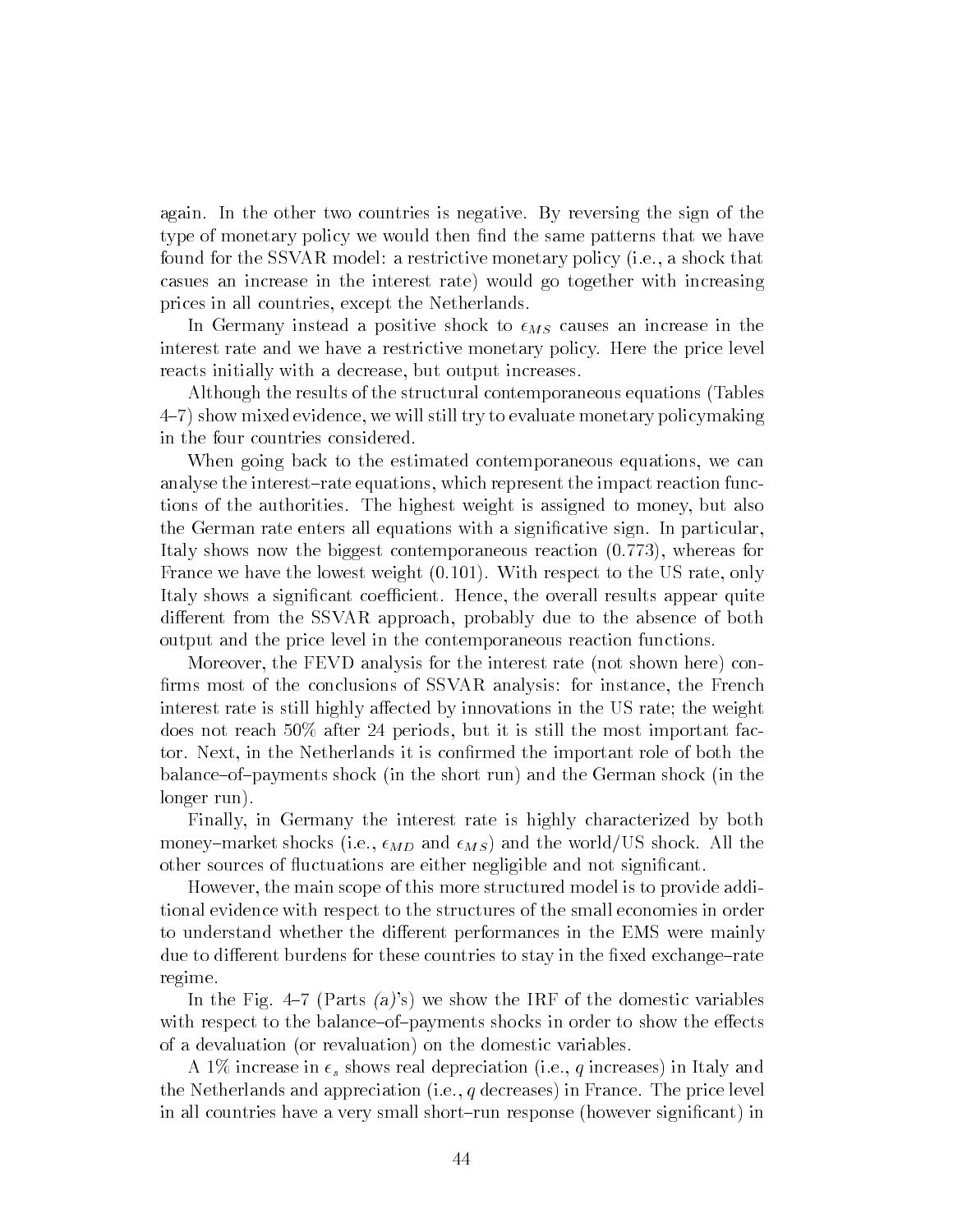again. In the other two countries is negative. By reversing the sign of the type of monetary policy we would then find the same patterns that we have found for the SSVAR model: a restrictive monetary policy (i.e., a shock that casues an increase in the interest rate) would go together with increasing prices in all countries, except the Netherlands.

In Germany instead a positive shock to  $\epsilon_{MS}$  causes an increase in the interest rate and we have a restrictive monetary policy. Here the price level reacts initially with a decrease, but output increases.

Although the results of the structural contemporaneous equations (Tables 4-7) show mixed evidence, we will still try to evaluate monetary policymaking in the four countries considered.

When going back to the estimated contemporaneous equations, we can analyse the interest-rate equations, which represent the impact reaction functions of the authorities. The highest weight is assigned to money, but also the German rate enters all equations with a signicative sign. In particular, Italy shows now the biggest contemporaneous reaction (0.773), whereas for France we have the lowest weight (0.101). With respect to the US rate, only Italy shows a significant coefficient. Hence, the overall results appear quite different from the SSVAR approach, probably due to the absence of both output and the price level in the contemporaneous reaction functions.

Moreover, the FEVD analysis for the interest rate (not shown here) con firms most of the conclusions of SSVAR analysis: for instance, the French interest rate is still highly affected by innovations in the US rate; the weight does not reach 50% after 24 periods, but it is still the most important factor. Next, in the Netherlands it is confirmed the important role of both the balance{of{payments shock (in the short run) and the German shock (in the longer run).

Finally, in Germany the interest rate is highly characterized by both money–market shocks (i.e.,  $\epsilon_{MD}$  and  $\epsilon_{MS}$ ) and the world/US shock. All the other sources of 
uctuations are either negligible and not signicant.

However, the main scope of this more structured model is to provide additional evidence with respect to the structures of the small economies in order to understand whether the different performances in the EMS were mainly due to different burdens for these countries to stay in the fixed exchange-rate regime.

In the Fig. 4-7 (Parts  $(a)$ 's) we show the IRF of the domestic variables with respect to the balance-of-payments shocks in order to show the effects of a devaluation (or revaluation) on the domestic variables.

A 1% increase in  $\epsilon_s$  shows real depreciation (i.e., q increases) in Italy and the Netherlands and appreciation (i.e.,  $q$  decreases) in France. The price level in all countries have a very small short-run response (however significant) in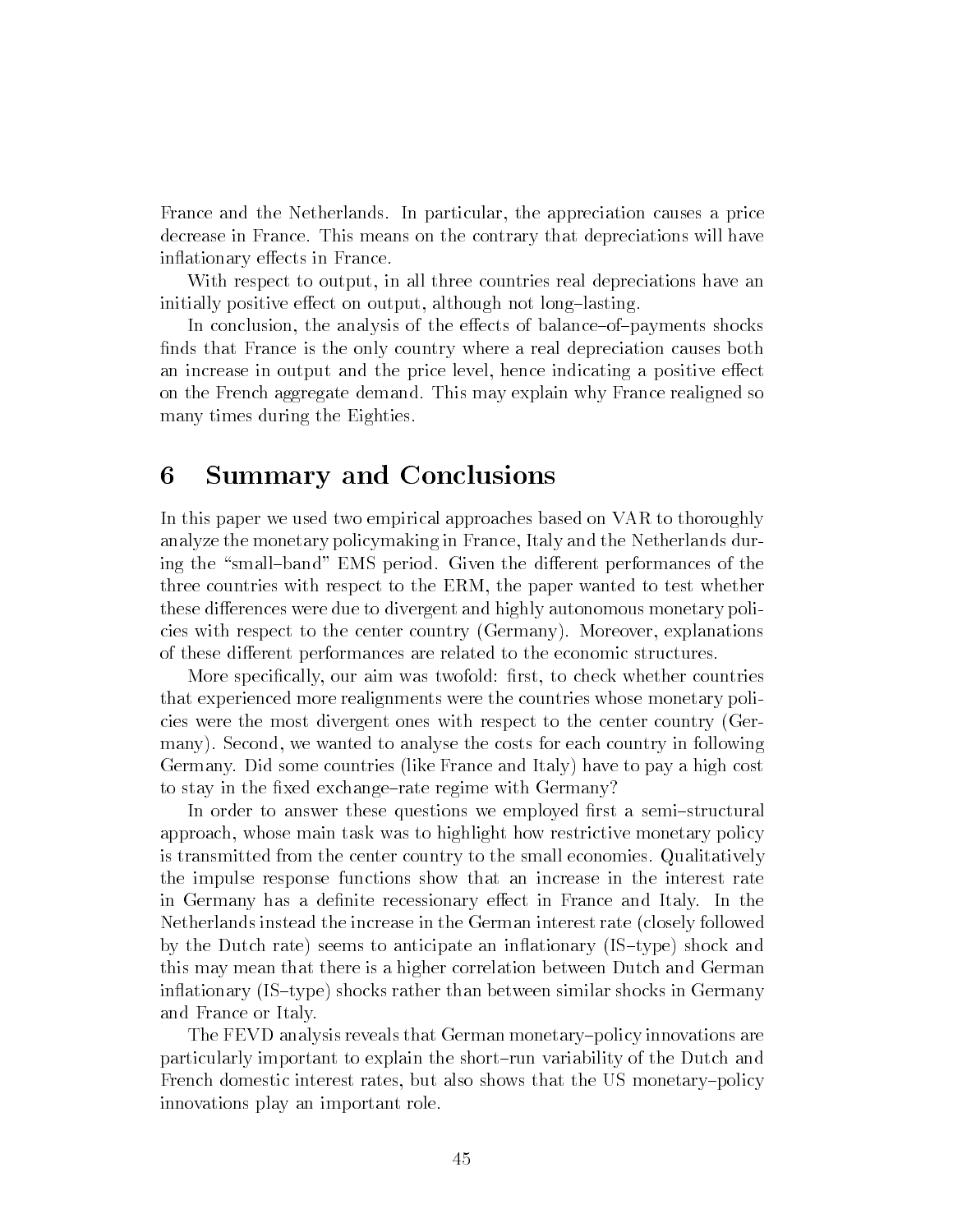France and the Netherlands. In particular, the appreciation causes a price decrease in France. This means on the contrary that depreciations will have inflationary effects in France.

With respect to output, in all three countries real depreciations have an initially positive effect on output, although not long-lasting.

In conclusion, the analysis of the effects of balance–of–payments shocks finds that France is the only country where a real depreciation causes both an increase in output and the price level, hence indicating a positive effect on the French aggregate demand. This may explain why France realigned so many times during the Eighties.

#### 6 6 Summary and Conclusions

In this paper we used two empirical approaches based on VAR to thoroughly analyze the monetary policymaking in France, Italy and the Netherlands during the "small-band" EMS period. Given the different performances of the three countries with respect to the ERM, the paper wanted to test whether these differences were due to divergent and highly autonomous monetary policies with respect to the center country (Germany). Moreover, explanations of these different performances are related to the economic structures.

More specifically, our aim was twofold: first, to check whether countries that experienced more realignments were the countries whose monetary policies were the most divergent ones with respect to the center country (Germany). Second, we wanted to analyse the costs for each country in following Germany. Did some countries (like France and Italy) have to pay a high cost to stay in the fixed exchange-rate regime with Germany?

In order to answer these questions we employed first a semi-structural approach, whose main task was to highlight how restrictive monetary policy is transmitted from the center country to the small economies. Qualitatively the impulse response functions show that an increase in the interest rate in Germany has a definite recessionary effect in France and Italy. In the Netherlands instead the increase in the German interest rate (closely followed by the Dutch rate) seems to anticipate an inflationary  $(IS-type)$  shock and this may mean that there is a higher correlation between Dutch and German inflationary (IS-type) shocks rather than between similar shocks in Germany and France or Italy.

The FEVD analysis reveals that German monetary-policy innovations are particularly important to explain the short{run variability of the Dutch and French domestic interest rates, but also shows that the US monetary-policy innovations play an important role.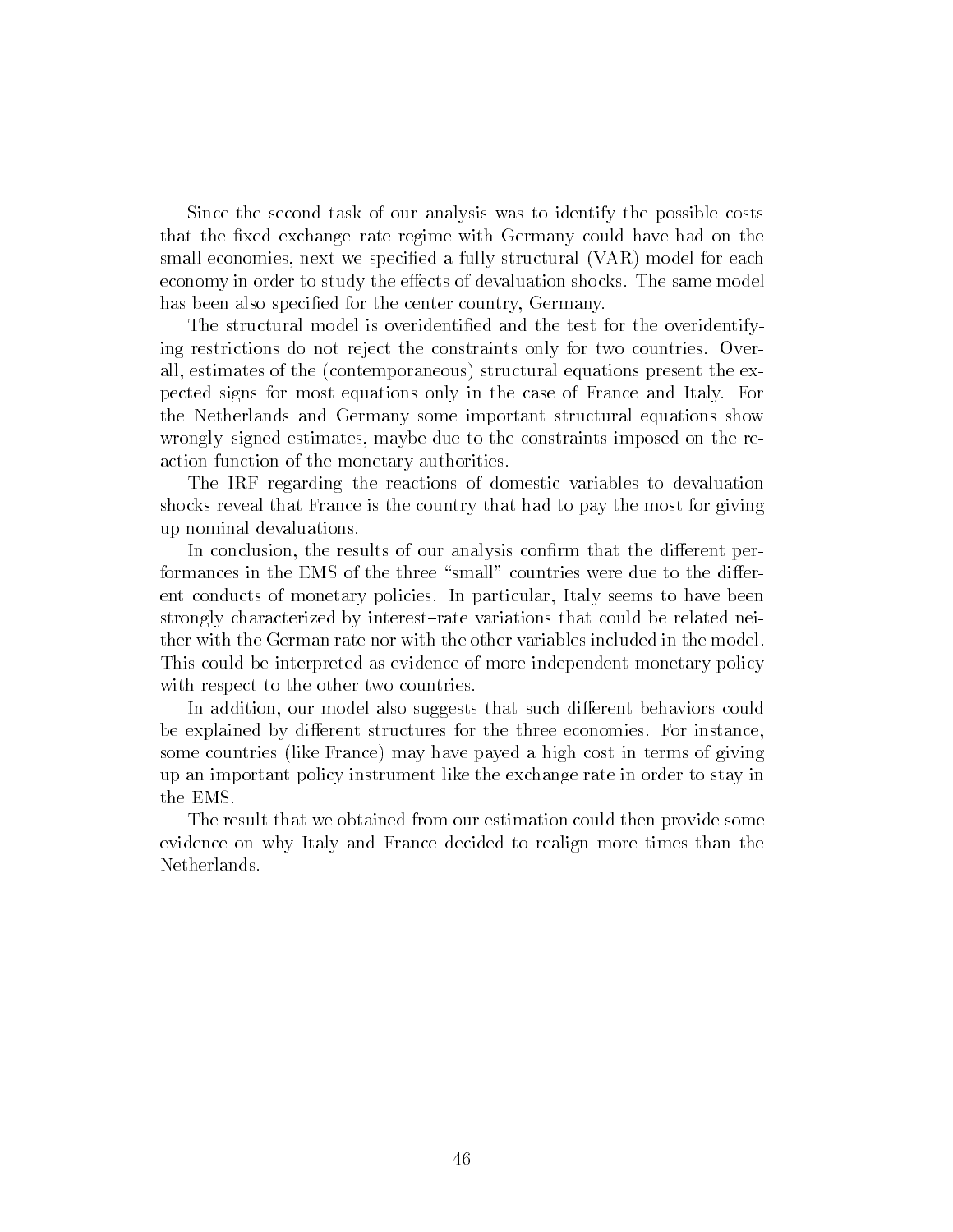Since the second task of our analysis was to identify the possible costs that the fixed exchange-rate regime with Germany could have had on the small economies, next we specified a fully structural (VAR) model for each economy in order to study the effects of devaluation shocks. The same model has been also specified for the center country, Germany.

The structural model is overidentied and the test for the overidentifying restrictions do not reject the constraints only for two countries. Overall, estimates of the (contemporaneous) structural equations present the expected signs for most equations only in the case of France and Italy. For the Netherlands and Germany some important structural equations show wrongly-signed estimates, maybe due to the constraints imposed on the reaction function of the monetary authorities.

The IRF regarding the reactions of domestic variables to devaluation shocks reveal that France is the country that had to pay the most for giving up nominal devaluations.

In conclusion, the results of our analysis confirm that the different performances in the EMS of the three "small" countries were due to the different conducts of monetary policies. In particular, Italy seems to have been strongly characterized by interest-rate variations that could be related neither with the German rate nor with the other variables included in the model. This could be interpreted as evidence of more independent monetary policy with respect to the other two countries.

In addition, our model also suggests that such different behaviors could be explained by different structures for the three economies. For instance, some countries (like France) may have payed a high cost in terms of giving up an important policy instrument like the exchange rate in order to stay in the EMS.

The result that we obtained from our estimation could then provide some evidence on why Italy and France decided to realign more times than the Netherlands.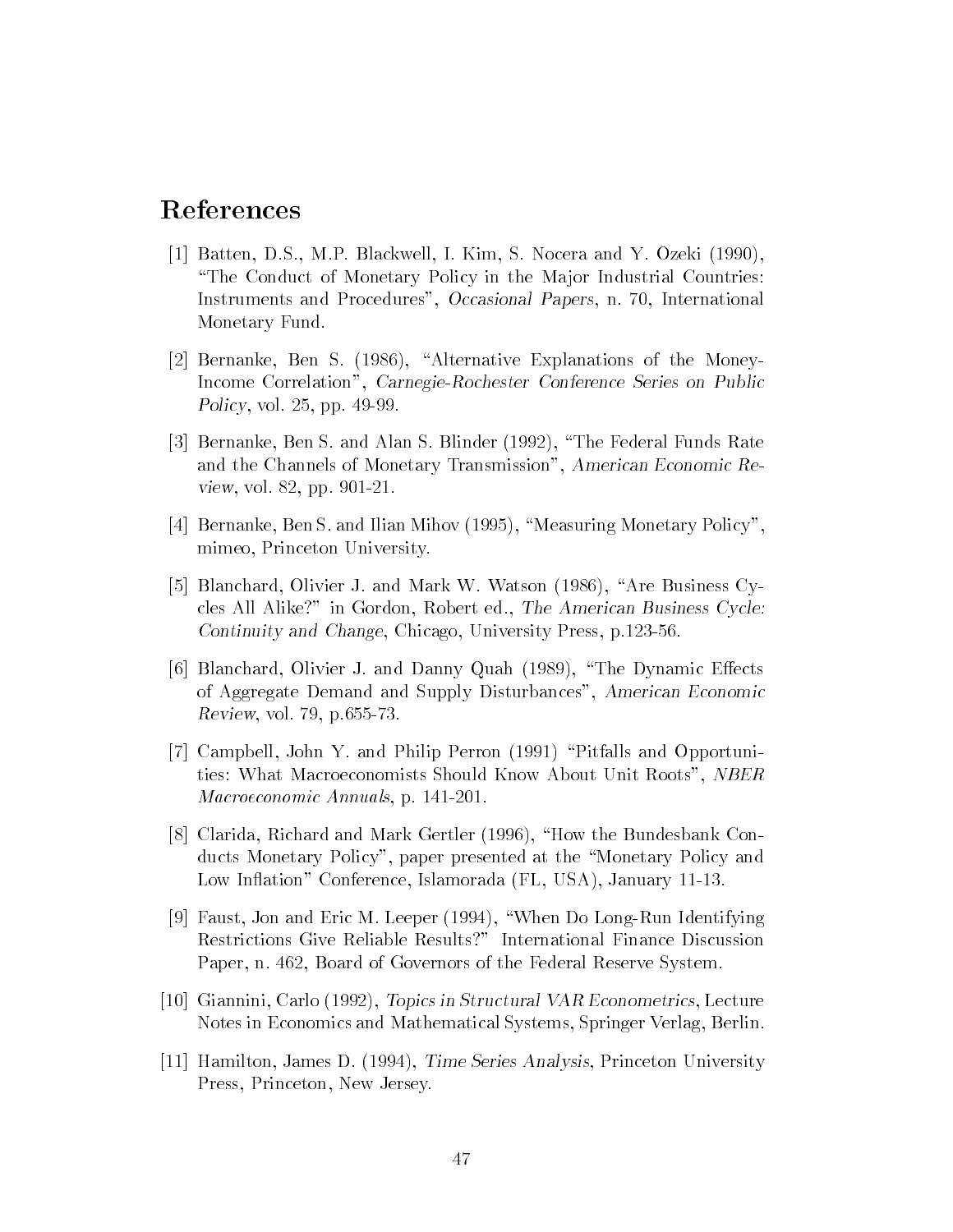## References

- [1] Batten, D.S., M.P. Blackwell, I. Kim, S. Nocera and Y. Ozeki (1990), "The Conduct of Monetary Policy in the Major Industrial Countries: Instruments and Procedures", Occasional Papers, n. 70, International Monetary Fund.
- [2] Bernanke, Ben S. (1986), "Alternative Explanations of the Money-Income Correlation", Carnegie-Rochester Conference Series on Public Policy, vol. 25, pp. 49-99.
- [3] Bernanke, Ben S. and Alan S. Blinder (1992), \The Federal Funds Rate and the Channels of Monetary Transmission", American Economic Review, vol. 82, pp. 901-21.
- [4] Bernanke, Ben S. and Ilian Mihov  $(1995)$ , "Measuring Monetary Policy", mimeo, Princeton University.
- [5] Blanchard, Olivier J. and Mark W. Watson (1986), "Are Business Cycles All Alike?" in Gordon, Robert ed., The American Business Cycle: Continuity and Change, Chicago, University Press, p.123-56.
- [6] Blanchard, Olivier J. and Danny Quah  $(1989)$ , "The Dynamic Effects of Aggregate Demand and Supply Disturbances", American Economic Review, vol. 79, p.655-73.
- [7] Campbell, John Y. and Philip Perron (1991) "Pitfalls and Opportunities: What Macroeconomists Should Know About Unit Roots", NBER Macroeconomic Annuals, p. 141-201.
- $[8]$  Clarida, Richard and Mark Gertler (1996), "How the Bundesbank Conducts Monetary Policy", paper presented at the "Monetary Policy and Low In
ation" Conference, Islamorada (FL, USA), January 11-13.
- [9] Faust, Jon and Eric M. Leeper (1994), \When Do Long-Run Identifying Restrictions Give Reliable Results?" International Finance Discussion Paper, n. 462, Board of Governors of the Federal Reserve System.
- [10] Giannini, Carlo (1992), Topics in Structural VAR Econometrics, Lecture Notes in Economics and Mathematical Systems, Springer Verlag, Berlin.
- [11] Hamilton, James D. (1994), Time Series Analysis, Princeton University Press, Princeton, New Jersey.